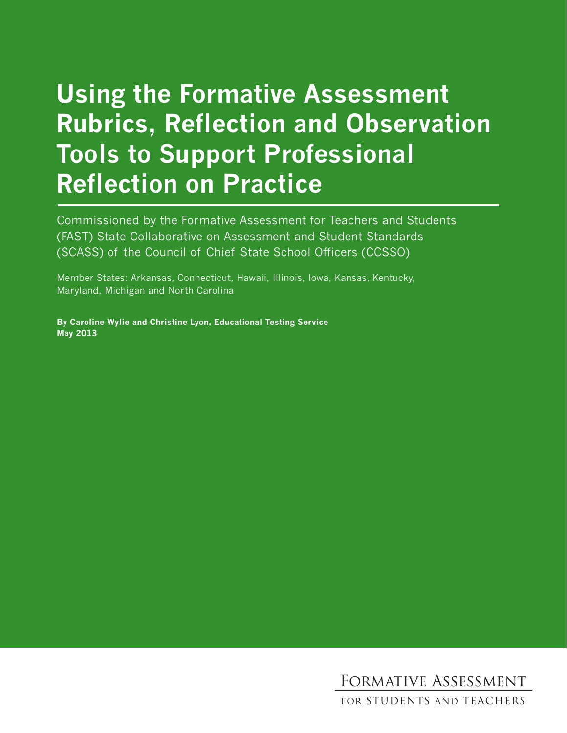# **Using the Formative Assessment Rubrics, Reflection and Observation Tools to Support Professional Reflection on Practice**

Commissioned by the Formative Assessment for Teachers and Students (FAST) State Collaborative on Assessment and Student Standards (SCASS) of the Council of Chief State School Officers (CCSSO)

Member States: Arkansas, Connecticut, Hawaii, Illinois, Iowa, Kansas, Kentucky, Maryland, Michigan and North Carolina

**By Caroline Wylie and Christine Lyon, Educational Testing Service May 2013**

Formative Assessment

for students and teachers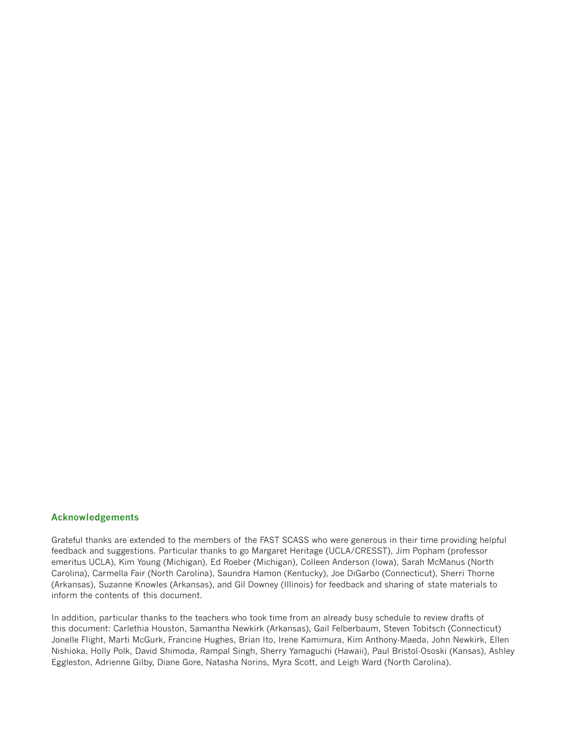#### **Acknowledgements**

Grateful thanks are extended to the members of the FAST SCASS who were generous in their time providing helpful feedback and suggestions. Particular thanks to go Margaret Heritage (UCLA/CRESST), Jim Popham (professor emeritus UCLA), Kim Young (Michigan), Ed Roeber (Michigan), Colleen Anderson (Iowa), Sarah McManus (North Carolina), Carmella Fair (North Carolina), Saundra Hamon (Kentucky), Joe DiGarbo (Connecticut), Sherri Thorne (Arkansas), Suzanne Knowles (Arkansas), and Gil Downey (Illinois) for feedback and sharing of state materials to inform the contents of this document.

In addition, particular thanks to the teachers who took time from an already busy schedule to review drafts of this document: Carlethia Houston, Samantha Newkirk (Arkansas), Gail Felberbaum, Steven Tobitsch (Connecticut) Jonelle Flight, Marti McGurk, Francine Hughes, Brian Ito, Irene Kamimura, Kim Anthony-Maeda, John Newkirk, Ellen Nishioka, Holly Polk, David Shimoda, Rampal Singh, Sherry Yamaguchi (Hawaii), Paul Bristol-Ososki (Kansas), Ashley Eggleston, Adrienne Gilby, Diane Gore, Natasha Norins, Myra Scott, and Leigh Ward (North Carolina).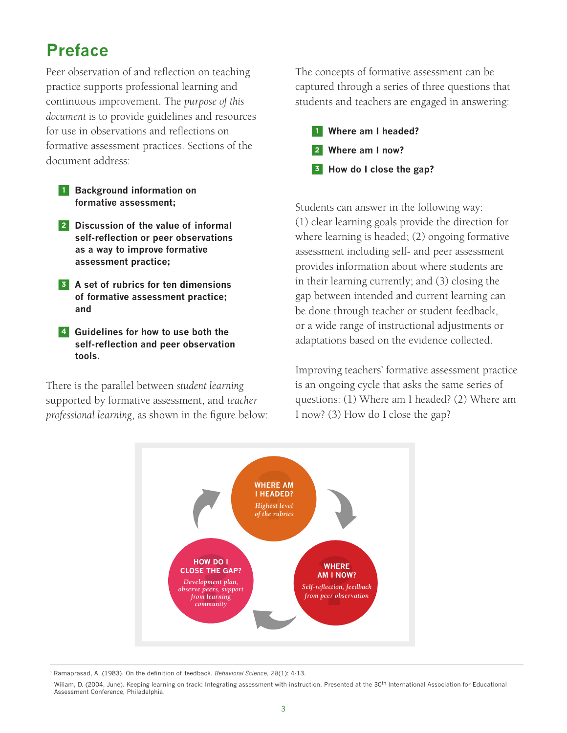# **Preface**

Peer observation of and reflection on teaching practice supports professional learning and continuous improvement. The *purpose of this document* is to provide guidelines and resources for use in observations and reflections on formative assessment practices. Sections of the document address:

- **1 Background information on formative assessment;**
- **<sup>2</sup> Discussion of the value of informal self-reflection or peer observations as a way to improve formative assessment practice;**
- **3 A set of rubrics for ten dimensions of formative assessment practice; and**
- **4 Guidelines for how to use both the self-reflection and peer observation tools.**

There is the parallel between *student learning* supported by formative assessment, and *teacher professional learning*, as shown in the figure below: The concepts of formative assessment can be captured through a series of three questions that students and teachers are engaged in answering:



Students can answer in the following way: (1) clear learning goals provide the direction for where learning is headed; (2) ongoing formative assessment including self- and peer assessment provides information about where students are in their learning currently; and (3) closing the gap between intended and current learning can be done through teacher or student feedback, or a wide range of instructional adjustments or adaptations based on the evidence collected.

Improving teachers' formative assessment practice is an ongoing cycle that asks the same series of questions: (1) Where am I headed? (2) Where am I now? (3) How do I close the gap?



<sup>1</sup> Ramaprasad, A. (1983). On the definition of feedback. *Behavioral Science*, 28(1): 4-13.

Wiliam, D. (2004, June). Keeping learning on track: Integrating assessment with instruction. Presented at the 30<sup>th</sup> International Association for Educational Assessment Conference, Philadelphia.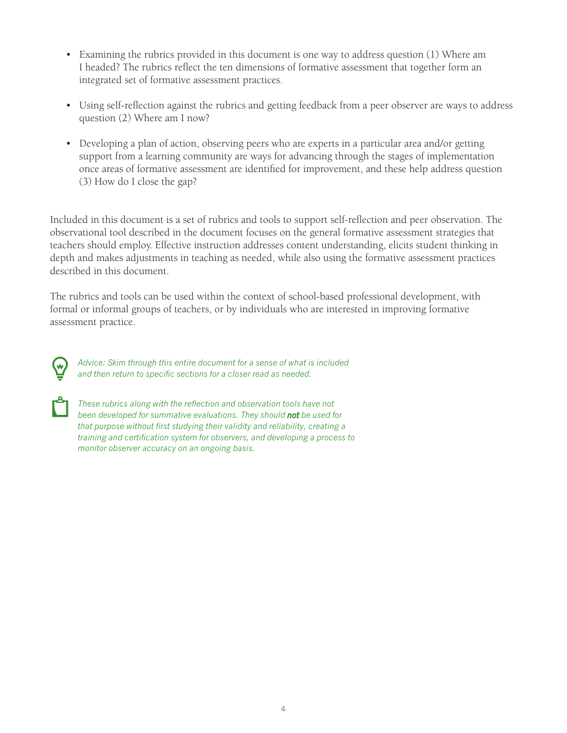- Examining the rubrics provided in this document is one way to address question (1) Where am I headed? The rubrics reflect the ten dimensions of formative assessment that together form an integrated set of formative assessment practices.
- Using self-reflection against the rubrics and getting feedback from a peer observer are ways to address question (2) Where am I now?
- Developing a plan of action, observing peers who are experts in a particular area and/or getting support from a learning community are ways for advancing through the stages of implementation once areas of formative assessment are identified for improvement, and these help address question (3) How do I close the gap?

Included in this document is a set of rubrics and tools to support self-reflection and peer observation. The observational tool described in the document focuses on the general formative assessment strategies that teachers should employ. Effective instruction addresses content understanding, elicits student thinking in depth and makes adjustments in teaching as needed, while also using the formative assessment practices described in this document.

The rubrics and tools can be used within the context of school-based professional development, with formal or informal groups of teachers, or by individuals who are interested in improving formative assessment practice.



*Advice: Skim through this entire document for a sense of what is included and then return to specific sections for a closer read as needed.*



*These rubrics along with the reflection and observation tools have not been developed for summative evaluations. They should not be used for that purpose without first studying their validity and reliability, creating a training and certification system for observers, and developing a process to monitor observer accuracy on an ongoing basis.*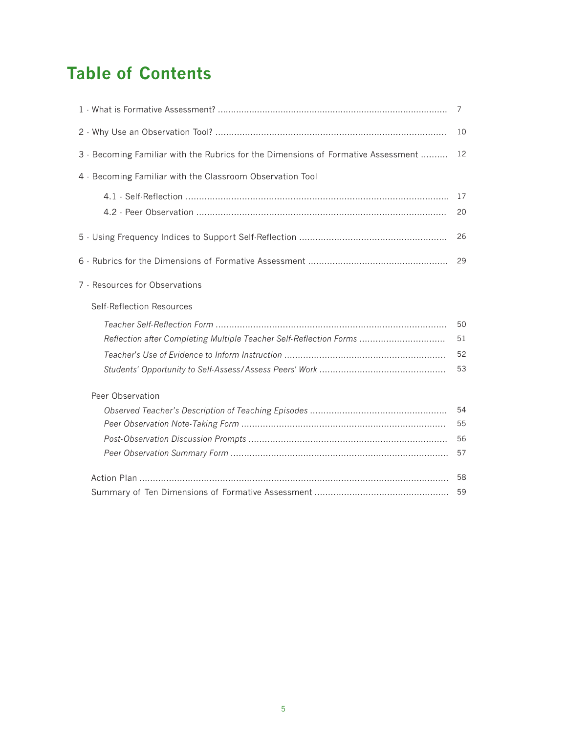# **Table of Contents**

|                                                                                   | 7  |
|-----------------------------------------------------------------------------------|----|
|                                                                                   | 10 |
| 3 - Becoming Familiar with the Rubrics for the Dimensions of Formative Assessment | 12 |
| 4 - Becoming Familiar with the Classroom Observation Tool                         |    |
|                                                                                   | 17 |
|                                                                                   | 20 |
|                                                                                   | 26 |
|                                                                                   | 29 |
| 7 - Resources for Observations                                                    |    |
| Self-Reflection Resources                                                         |    |
|                                                                                   | 50 |
| Reflection after Completing Multiple Teacher Self-Reflection Forms                | 51 |
|                                                                                   | 52 |
|                                                                                   | 53 |
| Peer Observation                                                                  |    |
|                                                                                   | 54 |
|                                                                                   | 55 |
|                                                                                   | 56 |
|                                                                                   | 57 |
|                                                                                   | 58 |
|                                                                                   | 59 |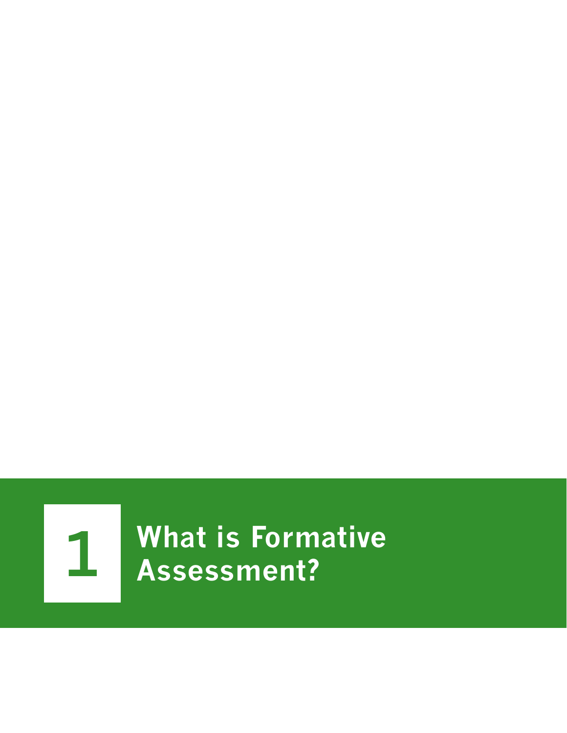

**1 What is Formative Assessment?**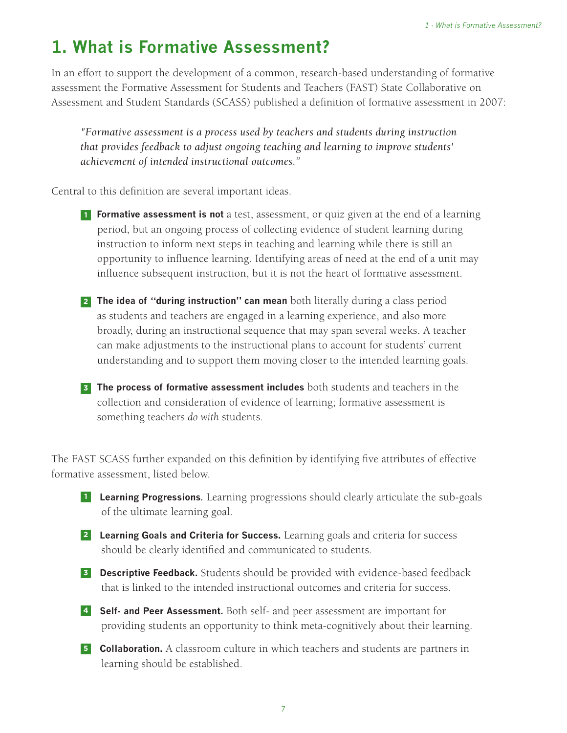# **1. What is Formative Assessment?**

In an effort to support the development of a common, research-based understanding of formative assessment the Formative Assessment for Students and Teachers (FAST) State Collaborative on Assessment and Student Standards (SCASS) published a definition of formative assessment in 2007:

*"Formative assessment is a process used by teachers and students during instruction that provides feedback to adjust ongoing teaching and learning to improve students' achievement of intended instructional outcomes."*

Central to this definition are several important ideas.

- **1 Formative assessment is not** a test, assessment, or quiz given at the end of a learning period, but an ongoing process of collecting evidence of student learning during instruction to inform next steps in teaching and learning while there is still an opportunity to influence learning. Identifying areas of need at the end of a unit may influence subsequent instruction, but it is not the heart of formative assessment.
- **<sup>2</sup> The idea of "during instruction" can mean** both literally during a class period as students and teachers are engaged in a learning experience, and also more broadly, during an instructional sequence that may span several weeks. A teacher can make adjustments to the instructional plans to account for students' current understanding and to support them moving closer to the intended learning goals.
- **<sup>3</sup> The process of formative assessment includes** both students and teachers in the collection and consideration of evidence of learning; formative assessment is something teachers *do with* students.

The FAST SCASS further expanded on this definition by identifying five attributes of effective formative assessment, listed below.

- **<sup>1</sup> Learning Progressions***.* Learning progressions should clearly articulate the sub-goals of the ultimate learning goal.
- **<sup>2</sup> Learning Goals and Criteria for Success.** Learning goals and criteria for success should be clearly identified and communicated to students.
- **<sup>3</sup> Descriptive Feedback.** Students should be provided with evidence-based feedback that is linked to the intended instructional outcomes and criteria for success.
- **<sup>4</sup> Self- and Peer Assessment.** Both self- and peer assessment are important for providing students an opportunity to think meta-cognitively about their learning.
- **<sup>5</sup> Collaboration.** A classroom culture in which teachers and students are partners in learning should be established.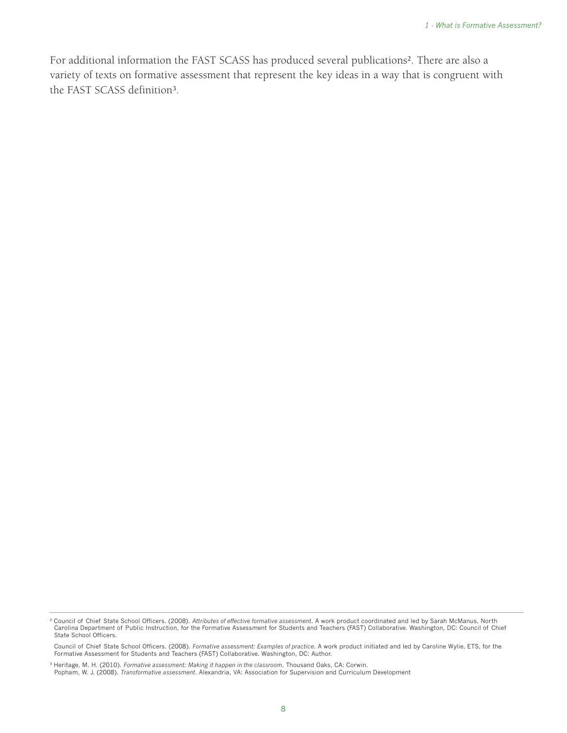For additional information the FAST SCASS has produced several publications². There are also a variety of texts on formative assessment that represent the key ideas in a way that is congruent with the FAST SCASS definition<sup>3</sup>.

Council of Chief State School Officers. (2008). *Formative assessment: Examples of practice*. A work product initiated and led by Caroline Wylie, ETS, for the Formative Assessment for Students and Teachers (FAST) Collaborative. Washington, DC: Author.

<sup>&</sup>lt;sup>2</sup> Council of Chief State School Officers. (2008). *Attributes of effective formative assessment*. A work product coordinated and led by Sarah McManus, North<br>Carolina Department of Public Instruction, for the Formative As State School Officers.

<sup>&</sup>lt;sup>3</sup> Heritage, M. H. (2010). *Formative assessment: Making it happen in the classroom.* Thousand Oaks, CA: Corwin.<br>Popham, W. J. (2008). *Transformative assessment*. Alexandria, VA: Association for Supervision and Curriculu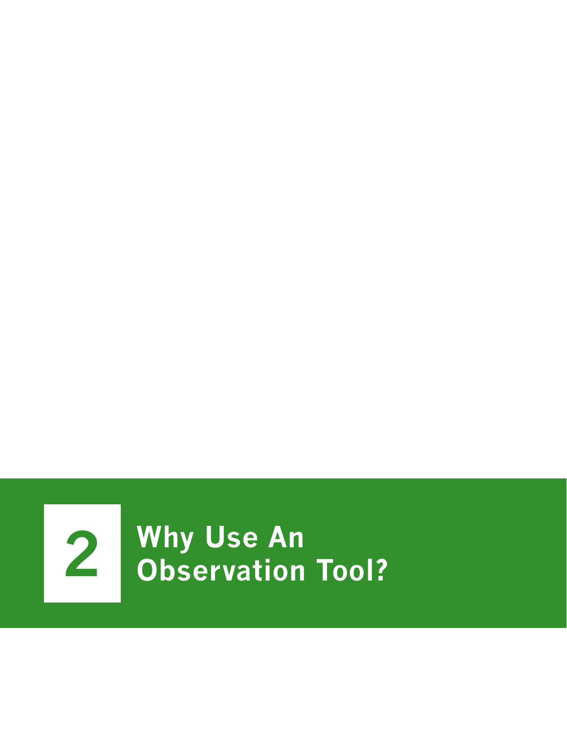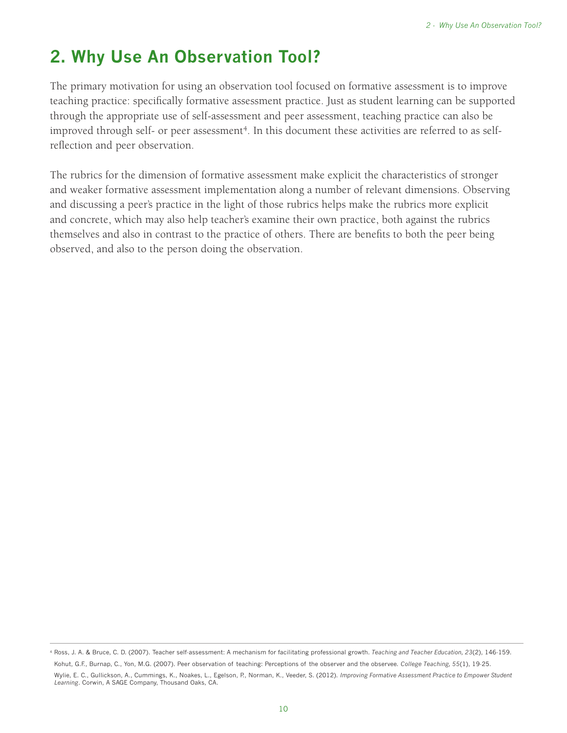# **2. Why Use An Observation Tool?**

The primary motivation for using an observation tool focused on formative assessment is to improve teaching practice: specifically formative assessment practice. Just as student learning can be supported through the appropriate use of self-assessment and peer assessment, teaching practice can also be improved through self- or peer assessment<sup>4</sup>. In this document these activities are referred to as selfreflection and peer observation.

The rubrics for the dimension of formative assessment make explicit the characteristics of stronger and weaker formative assessment implementation along a number of relevant dimensions. Observing and discussing a peer's practice in the light of those rubrics helps make the rubrics more explicit and concrete, which may also help teacher's examine their own practice, both against the rubrics themselves and also in contrast to the practice of others. There are benefits to both the peer being observed, and also to the person doing the observation.

<sup>4</sup> Ross, J. A. & Bruce, C. D. (2007). Teacher self-assessment: A mechanism for facilitating professional growth. *Teaching and Teacher Education, 23*(2), 146-159. Kohut, G.F., Burnap, C., Yon, M.G. (2007). Peer observation of teaching: Perceptions of the observer and the observee. *College Teaching, 55*(1), 19-25. Wylie, E. C., Gullickson, A., Cummings, K., Noakes, L., Egelson, P., Norman, K., Veeder, S. (2012). *Improving Formative Assessment Practice to Empower Student Learning*. Corwin, A SAGE Company, Thousand Oaks, CA.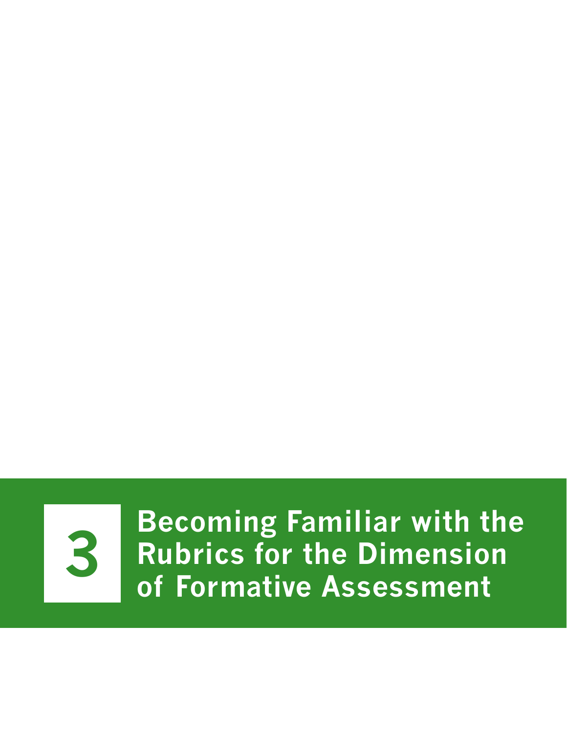

**3** Becoming Familiar with the<br> **3** Rubrics for the Dimension **Rubrics for the Dimension of Formative Assessment**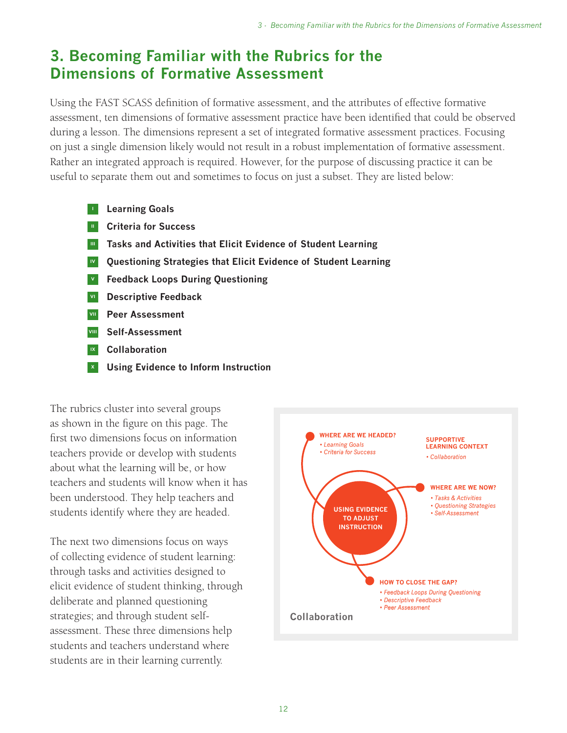## **3. Becoming Familiar with the Rubrics for the Dimensions of Formative Assessment**

Using the FAST SCASS definition of formative assessment, and the attributes of effective formative assessment, ten dimensions of formative assessment practice have been identified that could be observed during a lesson. The dimensions represent a set of integrated formative assessment practices. Focusing on just a single dimension likely would not result in a robust implementation of formative assessment. Rather an integrated approach is required. However, for the purpose of discussing practice it can be useful to separate them out and sometimes to focus on just a subset. They are listed below:

- **<sup>I</sup> Learning Goals**
- **II Criteria for Success**
- **III Tasks and Activities that Elicit Evidence of Student Learning**
- **IV Questioning Strategies that Elicit Evidence of Student Learning**
- **<sup>V</sup> Feedback Loops During Questioning**
- **VI Descriptive Feedback**
- **VII Peer Assessment**
- **VIII Self-Assessment**
- **IX Collaboration**
- **<sup>X</sup> Using Evidence to Inform Instruction**

The rubrics cluster into several groups as shown in the figure on this page. The first two dimensions focus on information teachers provide or develop with students about what the learning will be, or how teachers and students will know when it has been understood. They help teachers and students identify where they are headed.

The next two dimensions focus on ways of collecting evidence of student learning: through tasks and activities designed to elicit evidence of student thinking, through deliberate and planned questioning strategies; and through student selfassessment. These three dimensions help students and teachers understand where students are in their learning currently.

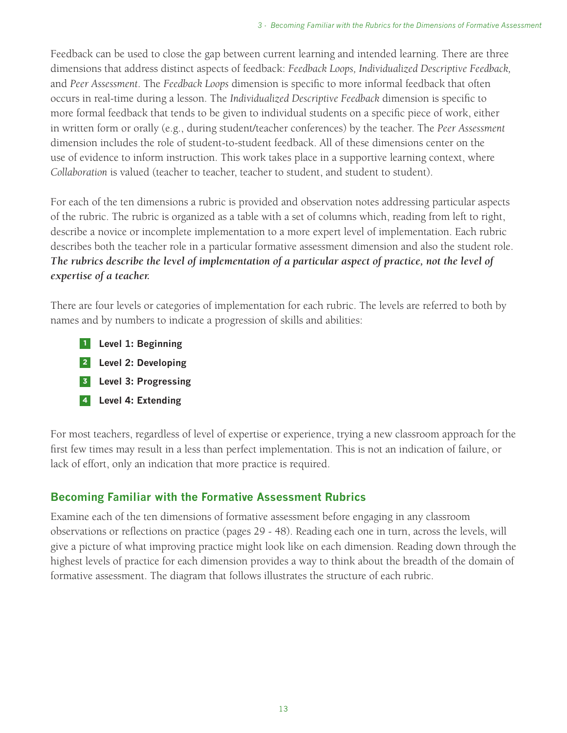Feedback can be used to close the gap between current learning and intended learning. There are three dimensions that address distinct aspects of feedback: *Feedback Loops, Individualized Descriptive Feedback,* and *Peer Assessment*. The *Feedback Loops* dimension is specific to more informal feedback that often occurs in real-time during a lesson. The *Individualized Descriptive Feedback* dimension is specific to more formal feedback that tends to be given to individual students on a specific piece of work, either in written form or orally (e.g., during student/teacher conferences) by the teacher. The *Peer Assessment* dimension includes the role of student-to-student feedback. All of these dimensions center on the use of evidence to inform instruction. This work takes place in a supportive learning context, where *Collaboration* is valued (teacher to teacher, teacher to student, and student to student).

For each of the ten dimensions a rubric is provided and observation notes addressing particular aspects of the rubric. The rubric is organized as a table with a set of columns which, reading from left to right, describe a novice or incomplete implementation to a more expert level of implementation. Each rubric describes both the teacher role in a particular formative assessment dimension and also the student role. *The rubrics describe the level of implementation of a particular aspect of practice, not the level of expertise of a teacher.* 

There are four levels or categories of implementation for each rubric. The levels are referred to both by names and by numbers to indicate a progression of skills and abilities:

- **<sup>1</sup> Level 1: Beginning**
- **<sup>2</sup> Level 2: Developing**
- **<sup>3</sup> Level 3: Progressing**
- **<sup>4</sup> Level 4: Extending**

For most teachers, regardless of level of expertise or experience, trying a new classroom approach for the first few times may result in a less than perfect implementation. This is not an indication of failure, or lack of effort, only an indication that more practice is required.

#### **Becoming Familiar with the Formative Assessment Rubrics**

Examine each of the ten dimensions of formative assessment before engaging in any classroom observations or reflections on practice (pages 29 - 48). Reading each one in turn, across the levels, will give a picture of what improving practice might look like on each dimension. Reading down through the highest levels of practice for each dimension provides a way to think about the breadth of the domain of formative assessment. The diagram that follows illustrates the structure of each rubric.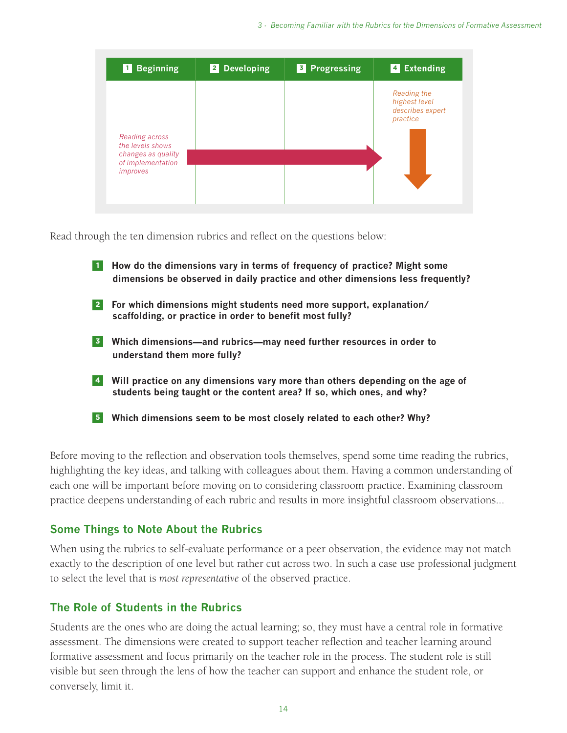| <b>Beginning</b><br>$\vert$ 1 $\vert$               | 2 Developing | <b>3</b> Progressing | 4 Extending                                                  |
|-----------------------------------------------------|--------------|----------------------|--------------------------------------------------------------|
| Reading across<br>the levels shows                  |              |                      | Reading the<br>highest level<br>describes expert<br>practice |
| changes as quality<br>of implementation<br>improves |              |                      |                                                              |

Read through the ten dimension rubrics and reflect on the questions below:

- **<sup>1</sup> How do the dimensions vary in terms of frequency of practice? Might some dimensions be observed in daily practice and other dimensions less frequently?**
- **<sup>2</sup> For which dimensions might students need more support, explanation/ scaffolding, or practice in order to benefit most fully?**
- **<sup>3</sup> Which dimensions—and rubrics—may need further resources in order to understand them more fully?**
- **<sup>4</sup> Will practice on any dimensions vary more than others depending on the age of students being taught or the content area? If so, which ones, and why?**
- **<sup>5</sup> Which dimensions seem to be most closely related to each other? Why?**

Before moving to the reflection and observation tools themselves, spend some time reading the rubrics, highlighting the key ideas, and talking with colleagues about them. Having a common understanding of each one will be important before moving on to considering classroom practice. Examining classroom practice deepens understanding of each rubric and results in more insightful classroom observations...

#### **Some Things to Note About the Rubrics**

When using the rubrics to self-evaluate performance or a peer observation, the evidence may not match exactly to the description of one level but rather cut across two. In such a case use professional judgment to select the level that is *most representative* of the observed practice.

#### **The Role of Students in the Rubrics**

Students are the ones who are doing the actual learning; so, they must have a central role in formative assessment. The dimensions were created to support teacher reflection and teacher learning around formative assessment and focus primarily on the teacher role in the process. The student role is still visible but seen through the lens of how the teacher can support and enhance the student role, or conversely, limit it.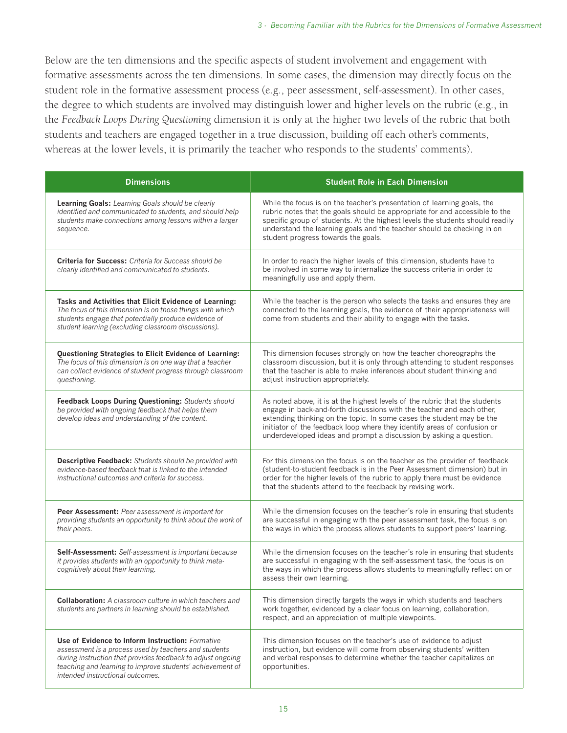Below are the ten dimensions and the specific aspects of student involvement and engagement with formative assessments across the ten dimensions. In some cases, the dimension may directly focus on the student role in the formative assessment process (e.g., peer assessment, self-assessment). In other cases, the degree to which students are involved may distinguish lower and higher levels on the rubric (e.g., in the *Feedback Loops During Questioning* dimension it is only at the higher two levels of the rubric that both students and teachers are engaged together in a true discussion, building off each other's comments, whereas at the lower levels, it is primarily the teacher who responds to the students' comments).

| <b>Dimensions</b>                                                                                                                                                                                                                                                         | <b>Student Role in Each Dimension</b>                                                                                                                                                                                                                                                                                                                                           |
|---------------------------------------------------------------------------------------------------------------------------------------------------------------------------------------------------------------------------------------------------------------------------|---------------------------------------------------------------------------------------------------------------------------------------------------------------------------------------------------------------------------------------------------------------------------------------------------------------------------------------------------------------------------------|
| Learning Goals: Learning Goals should be clearly<br>identified and communicated to students, and should help<br>students make connections among lessons within a larger<br>sequence.                                                                                      | While the focus is on the teacher's presentation of learning goals, the<br>rubric notes that the goals should be appropriate for and accessible to the<br>specific group of students. At the highest levels the students should readily<br>understand the learning goals and the teacher should be checking in on<br>student progress towards the goals.                        |
| <b>Criteria for Success:</b> Criteria for Success should be<br>clearly identified and communicated to students.                                                                                                                                                           | In order to reach the higher levels of this dimension, students have to<br>be involved in some way to internalize the success criteria in order to<br>meaningfully use and apply them.                                                                                                                                                                                          |
| Tasks and Activities that Elicit Evidence of Learning:<br>The focus of this dimension is on those things with which<br>students engage that potentially produce evidence of<br>student learning (excluding classroom discussions).                                        | While the teacher is the person who selects the tasks and ensures they are<br>connected to the learning goals, the evidence of their appropriateness will<br>come from students and their ability to engage with the tasks.                                                                                                                                                     |
| Questioning Strategies to Elicit Evidence of Learning:<br>The focus of this dimension is on one way that a teacher<br>can collect evidence of student progress through classroom<br>questioning.                                                                          | This dimension focuses strongly on how the teacher choreographs the<br>classroom discussion, but it is only through attending to student responses<br>that the teacher is able to make inferences about student thinking and<br>adjust instruction appropriately.                                                                                                               |
| Feedback Loops During Questioning: Students should<br>be provided with ongoing feedback that helps them<br>develop ideas and understanding of the content.                                                                                                                | As noted above, it is at the highest levels of the rubric that the students<br>engage in back-and-forth discussions with the teacher and each other,<br>extending thinking on the topic. In some cases the student may be the<br>initiator of the feedback loop where they identify areas of confusion or<br>underdeveloped ideas and prompt a discussion by asking a question. |
| <b>Descriptive Feedback:</b> Students should be provided with<br>evidence-based feedback that is linked to the intended<br>instructional outcomes and criteria for success.                                                                                               | For this dimension the focus is on the teacher as the provider of feedback<br>(student-to-student feedback is in the Peer Assessment dimension) but in<br>order for the higher levels of the rubric to apply there must be evidence<br>that the students attend to the feedback by revising work.                                                                               |
| Peer Assessment: Peer assessment is important for<br>providing students an opportunity to think about the work of<br>their peers.                                                                                                                                         | While the dimension focuses on the teacher's role in ensuring that students<br>are successful in engaging with the peer assessment task, the focus is on<br>the ways in which the process allows students to support peers' learning.                                                                                                                                           |
| Self-Assessment: Self-assessment is important because<br>it provides students with an opportunity to think meta-<br>cognitively about their learning.                                                                                                                     | While the dimension focuses on the teacher's role in ensuring that students<br>are successful in engaging with the self-assessment task, the focus is on<br>the ways in which the process allows students to meaningfully reflect on or<br>assess their own learning.                                                                                                           |
| <b>Collaboration:</b> A classroom culture in which teachers and<br>students are partners in learning should be established.                                                                                                                                               | This dimension directly targets the ways in which students and teachers<br>work together, evidenced by a clear focus on learning, collaboration,<br>respect, and an appreciation of multiple viewpoints.                                                                                                                                                                        |
| Use of Evidence to Inform Instruction: Formative<br>assessment is a process used by teachers and students<br>during instruction that provides feedback to adjust ongoing<br>teaching and learning to improve students' achievement of<br>intended instructional outcomes. | This dimension focuses on the teacher's use of evidence to adjust<br>instruction, but evidence will come from observing students' written<br>and verbal responses to determine whether the teacher capitalizes on<br>opportunities.                                                                                                                                             |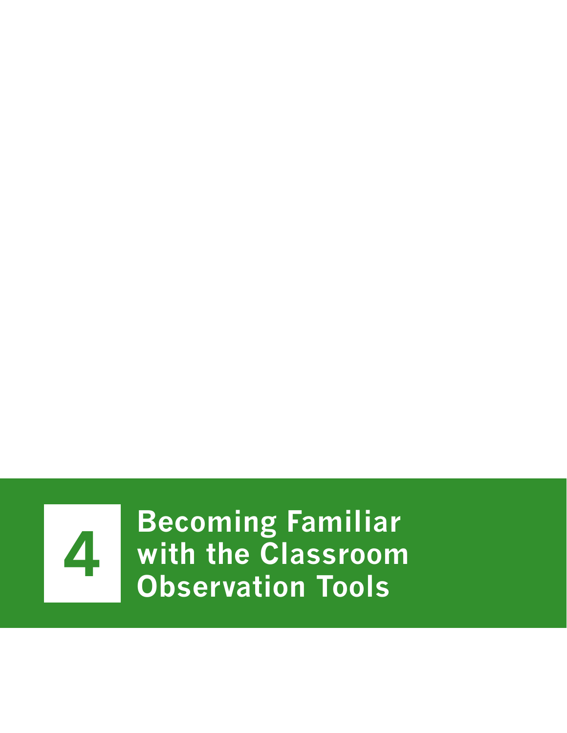

**4 Becoming Familiar<br>
<b>4 Becoming Familiar**<br> **Becoming Tools with the Classroom Observation Tools**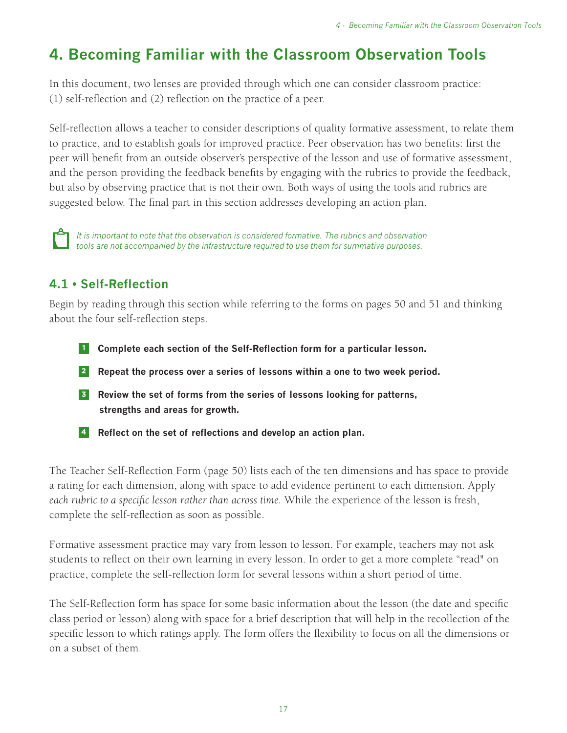# **4. Becoming Familiar with the Classroom Observation Tools**

In this document, two lenses are provided through which one can consider classroom practice: (1) self-reflection and (2) reflection on the practice of a peer.

Self-reflection allows a teacher to consider descriptions of quality formative assessment, to relate them to practice, and to establish goals for improved practice. Peer observation has two benefits: first the peer will benefit from an outside observer's perspective of the lesson and use of formative assessment, and the person providing the feedback benefits by engaging with the rubrics to provide the feedback, but also by observing practice that is not their own. Both ways of using the tools and rubrics are suggested below. The final part in this section addresses developing an action plan.



*It is important to note that the observation is considered formative. The rubrics and observation tools are not accompanied by the infrastructure required to use them for summative purposes.*

## **4.1 • Self-Reflection**

Begin by reading through this section while referring to the forms on pages 50 and 51 and thinking about the four self-reflection steps.

- **<sup>1</sup> Complete each section of the Self-Reflection form for a particular lesson.**
- **<sup>2</sup> Repeat the process over a series of lessons within a one to two week period.**
- **<sup>3</sup> Review the set of forms from the series of lessons looking for patterns, strengths and areas for growth.**
- **<sup>4</sup> Reflect on the set of reflections and develop an action plan.**

The Teacher Self-Reflection Form (page 50) lists each of the ten dimensions and has space to provide a rating for each dimension, along with space to add evidence pertinent to each dimension. Apply *each rubric to a specific lesson rather than across time.* While the experience of the lesson is fresh, complete the self-reflection as soon as possible.

Formative assessment practice may vary from lesson to lesson. For example, teachers may not ask students to reflect on their own learning in every lesson. In order to get a more complete "read" on practice, complete the self-reflection form for several lessons within a short period of time.

The Self-Reflection form has space for some basic information about the lesson (the date and specific class period or lesson) along with space for a brief description that will help in the recollection of the specific lesson to which ratings apply. The form offers the flexibility to focus on all the dimensions or on a subset of them.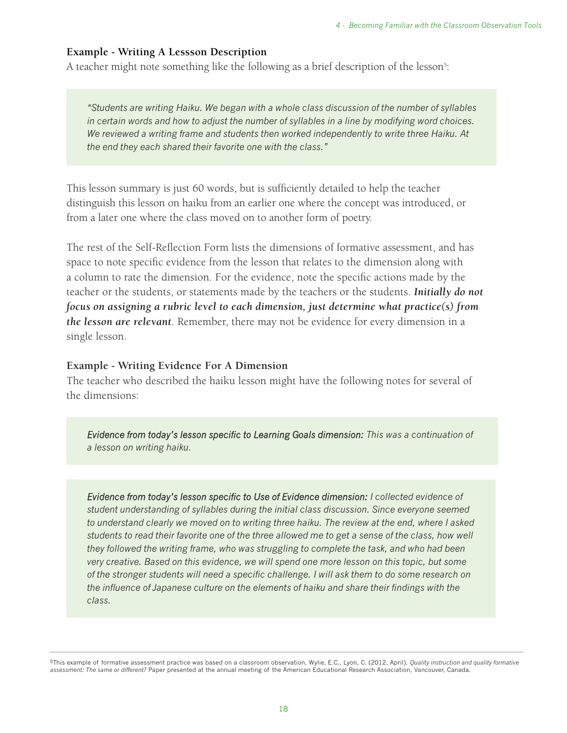#### **Example - Writing A Lessson Description**

A teacher might note something like the following as a brief description of the lesson<sup>5</sup>:

*"Students are writing Haiku. We began with a whole class discussion of the number of syllables in certain words and how to adjust the number of syllables in a line by modifying word choices. We reviewed a writing frame and students then worked independently to write three Haiku. At the end they each shared their favorite one with the class."*

This lesson summary is just 60 words, but is sufficiently detailed to help the teacher distinguish this lesson on haiku from an earlier one where the concept was introduced, or from a later one where the class moved on to another form of poetry.

The rest of the Self-Reflection Form lists the dimensions of formative assessment, and has space to note specific evidence from the lesson that relates to the dimension along with a column to rate the dimension. For the evidence, note the specific actions made by the teacher or the students, or statements made by the teachers or the students. *Initially do not focus on assigning a rubric level to each dimension, just determine what practice(s) from the lesson are relevant*. Remember, there may not be evidence for every dimension in a single lesson.

#### **Example - Writing Evidence For A Dimension**

The teacher who described the haiku lesson might have the following notes for several of the dimensions:

*Evidence from today's lesson specific to Learning Goals dimension: This was a continuation of a lesson on writing haiku.*

*Evidence from today's lesson specific to Use of Evidence dimension: I collected evidence of student understanding of syllables during the initial class discussion. Since everyone seemed to understand clearly we moved on to writing three haiku. The review at the end, where I asked students to read their favorite one of the three allowed me to get a sense of the class, how well they followed the writing frame, who was struggling to complete the task, and who had been very creative. Based on this evidence, we will spend one more lesson on this topic, but some of the stronger students will need a specific challenge. I will ask them to do some research on the influence of Japanese culture on the elements of haiku and share their findings with the class.*

5This example of formative assessment practice was based on a classroom observation, Wylie, E.C., Lyon, C. (2012, April). *Quality instruction and quality formative assessment: The same or different?* Paper presented at the annual meeting of the American Educational Research Association, Vancouver, Canada.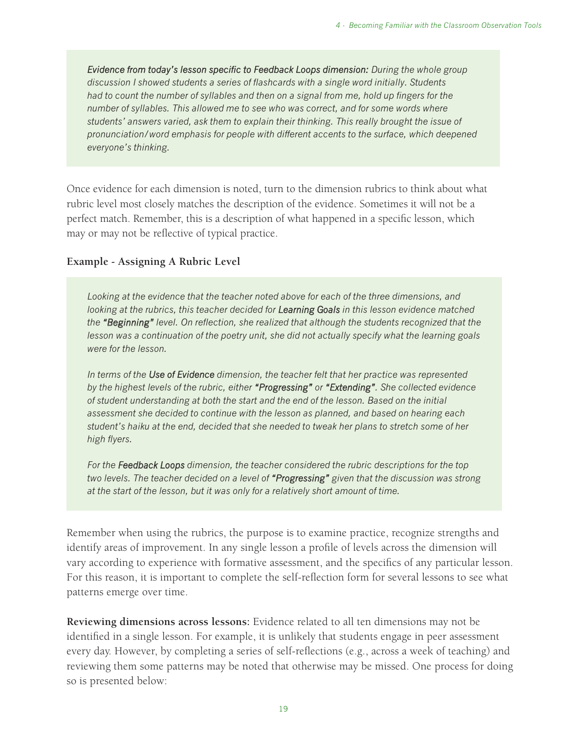*Evidence from today's lesson specific to Feedback Loops dimension: During the whole group discussion I showed students a series of flashcards with a single word initially. Students had to count the number of syllables and then on a signal from me, hold up fingers for the number of syllables. This allowed me to see who was correct, and for some words where students' answers varied, ask them to explain their thinking. This really brought the issue of pronunciation/word emphasis for people with different accents to the surface, which deepened everyone's thinking.*

Once evidence for each dimension is noted, turn to the dimension rubrics to think about what rubric level most closely matches the description of the evidence. Sometimes it will not be a perfect match. Remember, this is a description of what happened in a specific lesson, which may or may not be reflective of typical practice.

#### **Example - Assigning A Rubric Level**

*Looking at the evidence that the teacher noted above for each of the three dimensions, and looking at the rubrics, this teacher decided for Learning Goals in this lesson evidence matched the "Beginning" level. On reflection, she realized that although the students recognized that the lesson was a continuation of the poetry unit, she did not actually specify what the learning goals were for the lesson.* 

*In terms of the Use of Evidence dimension, the teacher felt that her practice was represented by the highest levels of the rubric, either "Progressing" or "Extending". She collected evidence of student understanding at both the start and the end of the lesson. Based on the initial assessment she decided to continue with the lesson as planned, and based on hearing each student's haiku at the end, decided that she needed to tweak her plans to stretch some of her high flyers.* 

*For the Feedback Loops dimension, the teacher considered the rubric descriptions for the top two levels. The teacher decided on a level of "Progressing" given that the discussion was strong at the start of the lesson, but it was only for a relatively short amount of time.*

Remember when using the rubrics, the purpose is to examine practice, recognize strengths and identify areas of improvement. In any single lesson a profile of levels across the dimension will vary according to experience with formative assessment, and the specifics of any particular lesson. For this reason, it is important to complete the self-reflection form for several lessons to see what patterns emerge over time.

**Reviewing dimensions across lessons:** Evidence related to all ten dimensions may not be identified in a single lesson. For example, it is unlikely that students engage in peer assessment every day. However, by completing a series of self-reflections (e.g., across a week of teaching) and reviewing them some patterns may be noted that otherwise may be missed. One process for doing so is presented below: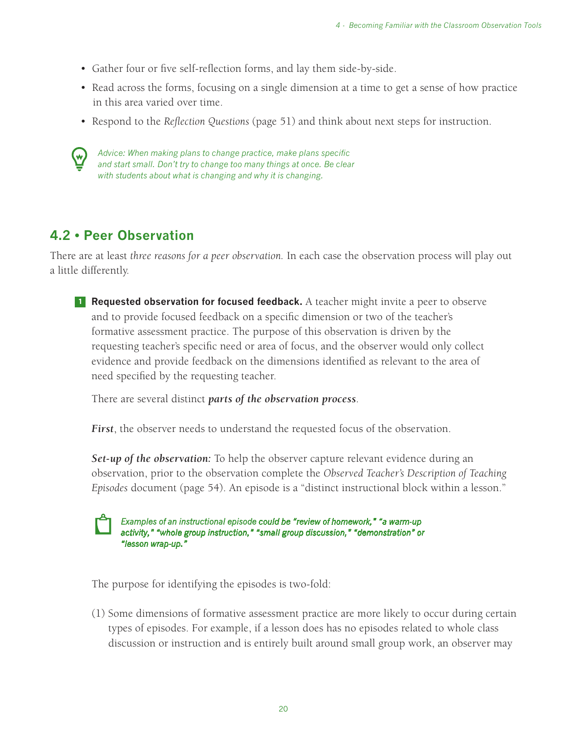- Gather four or five self-reflection forms, and lay them side-by-side.
- Read across the forms, focusing on a single dimension at a time to get a sense of how practice in this area varied over time.
- Respond to the *Reflection Questions* (page 51) and think about next steps for instruction.



*Advice: When making plans to change practice, make plans specific and start small. Don't try to change too many things at once. Be clear with students about what is changing and why it is changing.*

## **4.2 • Peer Observation**

There are at least *three reasons for a peer observation.* In each case the observation process will play out a little differently.

**1 Requested observation for focused feedback.** A teacher might invite a peer to observe and to provide focused feedback on a specific dimension or two of the teacher's formative assessment practice. The purpose of this observation is driven by the requesting teacher's specific need or area of focus, and the observer would only collect evidence and provide feedback on the dimensions identified as relevant to the area of need specified by the requesting teacher.

There are several distinct *parts of the observation process*.

*First*, the observer needs to understand the requested focus of the observation.

*Set-up of the observation:* To help the observer capture relevant evidence during an observation, prior to the observation complete the *Observed Teacher's Description of Teaching Episodes* document (page 54). An episode is a "distinct instructional block within a lesson."



*Examples of an instructional episode could be "review of homework," "a warm-up activity," "whole group instruction," "small group discussion," "demonstration" or "lesson wrap-up."* 

The purpose for identifying the episodes is two-fold:

(1) Some dimensions of formative assessment practice are more likely to occur during certain types of episodes. For example, if a lesson does has no episodes related to whole class discussion or instruction and is entirely built around small group work, an observer may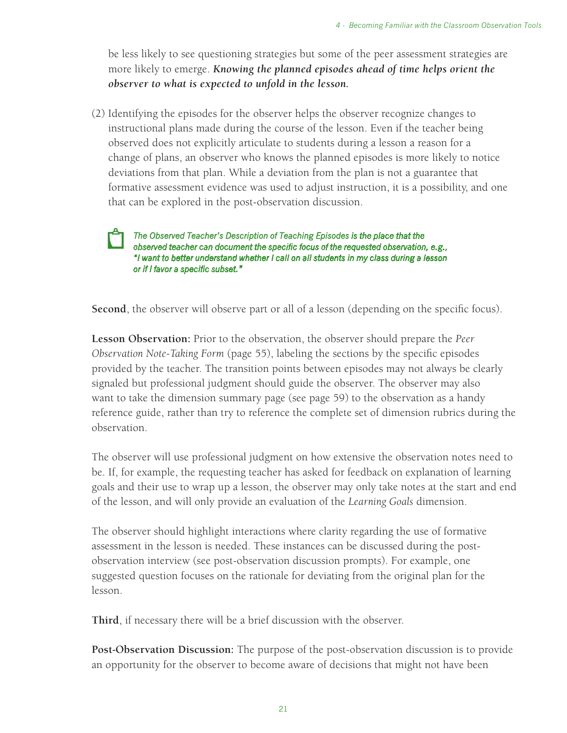be less likely to see questioning strategies but some of the peer assessment strategies are more likely to emerge. *Knowing the planned episodes ahead of time helps orient the observer to what is expected to unfold in the lesson.*

(2) Identifying the episodes for the observer helps the observer recognize changes to instructional plans made during the course of the lesson. Even if the teacher being observed does not explicitly articulate to students during a lesson a reason for a change of plans, an observer who knows the planned episodes is more likely to notice deviations from that plan. While a deviation from the plan is not a guarantee that formative assessment evidence was used to adjust instruction, it is a possibility, and one that can be explored in the post-observation discussion.

*The Observed Teacher's Description of Teaching Episodes is the place that the observed teacher can document the specific focus of the requested observation, e.g., "I want to better understand whether I call on all students in my class during a lesson or if I favor a specific subset."* 

**Second**, the observer will observe part or all of a lesson (depending on the specific focus).

**Lesson Observation:** Prior to the observation, the observer should prepare the *Peer Observation Note-Taking Form* (page 55), labeling the sections by the specific episodes provided by the teacher. The transition points between episodes may not always be clearly signaled but professional judgment should guide the observer. The observer may also want to take the dimension summary page (see page 59) to the observation as a handy reference guide, rather than try to reference the complete set of dimension rubrics during the observation.

The observer will use professional judgment on how extensive the observation notes need to be. If, for example, the requesting teacher has asked for feedback on explanation of learning goals and their use to wrap up a lesson, the observer may only take notes at the start and end of the lesson, and will only provide an evaluation of the *Learning Goals* dimension.

The observer should highlight interactions where clarity regarding the use of formative assessment in the lesson is needed. These instances can be discussed during the postobservation interview (see post-observation discussion prompts). For example, one suggested question focuses on the rationale for deviating from the original plan for the lesson.

**Third**, if necessary there will be a brief discussion with the observer.

**Post-Observation Discussion:** The purpose of the post-observation discussion is to provide an opportunity for the observer to become aware of decisions that might not have been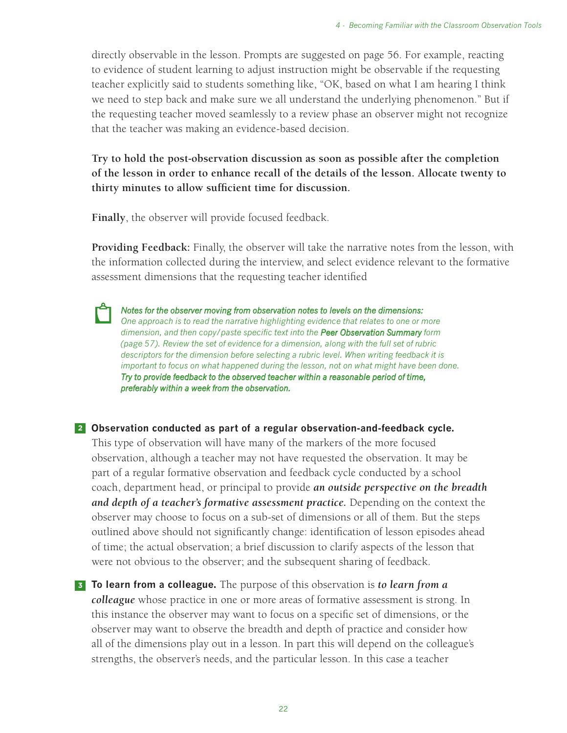directly observable in the lesson. Prompts are suggested on page 56. For example, reacting to evidence of student learning to adjust instruction might be observable if the requesting teacher explicitly said to students something like, "OK, based on what I am hearing I think we need to step back and make sure we all understand the underlying phenomenon." But if the requesting teacher moved seamlessly to a review phase an observer might not recognize that the teacher was making an evidence-based decision.

**Try to hold the post-observation discussion as soon as possible after the completion of the lesson in order to enhance recall of the details of the lesson. Allocate twenty to thirty minutes to allow sufficient time for discussion.**

**Finally**, the observer will provide focused feedback.

**Providing Feedback:** Finally, the observer will take the narrative notes from the lesson, with the information collected during the interview, and select evidence relevant to the formative assessment dimensions that the requesting teacher identified



*Notes for the observer moving from observation notes to levels on the dimensions: One approach is to read the narrative highlighting evidence that relates to one or more dimension, and then copy/paste specific text into the Peer Observation Summary form (page 57). Review the set of evidence for a dimension, along with the full set of rubric descriptors for the dimension before selecting a rubric level. When writing feedback it is important to focus on what happened during the lesson, not on what might have been done. Try to provide feedback to the observed teacher within a reasonable period of time, preferably within a week from the observation.* 

**<sup>2</sup> Observation conducted as part of a regular observation-and-feedback cycle.**

This type of observation will have many of the markers of the more focused observation, although a teacher may not have requested the observation. It may be part of a regular formative observation and feedback cycle conducted by a school coach, department head, or principal to provide *an outside perspective on the breadth and depth of a teacher's formative assessment practice.* Depending on the context the observer may choose to focus on a sub-set of dimensions or all of them. But the steps outlined above should not significantly change: identification of lesson episodes ahead of time; the actual observation; a brief discussion to clarify aspects of the lesson that were not obvious to the observer; and the subsequent sharing of feedback.

**<sup>3</sup> To learn from a colleague.** The purpose of this observation is *to learn from a colleague* whose practice in one or more areas of formative assessment is strong. In this instance the observer may want to focus on a specific set of dimensions, or the observer may want to observe the breadth and depth of practice and consider how all of the dimensions play out in a lesson. In part this will depend on the colleague's strengths, the observer's needs, and the particular lesson. In this case a teacher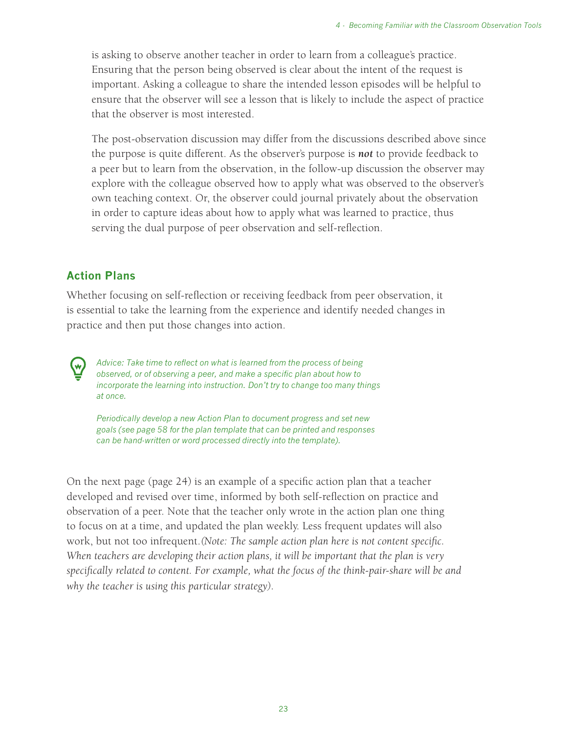is asking to observe another teacher in order to learn from a colleague's practice. Ensuring that the person being observed is clear about the intent of the request is important. Asking a colleague to share the intended lesson episodes will be helpful to ensure that the observer will see a lesson that is likely to include the aspect of practice that the observer is most interested.

The post-observation discussion may differ from the discussions described above since the purpose is quite different. As the observer's purpose is *not* to provide feedback to a peer but to learn from the observation, in the follow-up discussion the observer may explore with the colleague observed how to apply what was observed to the observer's own teaching context. Or, the observer could journal privately about the observation in order to capture ideas about how to apply what was learned to practice, thus serving the dual purpose of peer observation and self-reflection.

#### **Action Plans**

Whether focusing on self-reflection or receiving feedback from peer observation, it is essential to take the learning from the experience and identify needed changes in practice and then put those changes into action.

*Advice: Take time to reflect on what is learned from the process of being observed, or of observing a peer, and make a specific plan about how to incorporate the learning into instruction. Don't try to change too many things at once.*

*Periodically develop a new Action Plan to document progress and set new goals (see page 58 for the plan template that can be printed and responses can be hand-written or word processed directly into the template).*

On the next page (page 24) is an example of a specific action plan that a teacher developed and revised over time, informed by both self-reflection on practice and observation of a peer. Note that the teacher only wrote in the action plan one thing to focus on at a time, and updated the plan weekly. Less frequent updates will also work, but not too infrequent.*(Note: The sample action plan here is not content specific. When teachers are developing their action plans, it will be important that the plan is very specifically related to content. For example, what the focus of the think-pair-share will be and why the teacher is using this particular strategy).*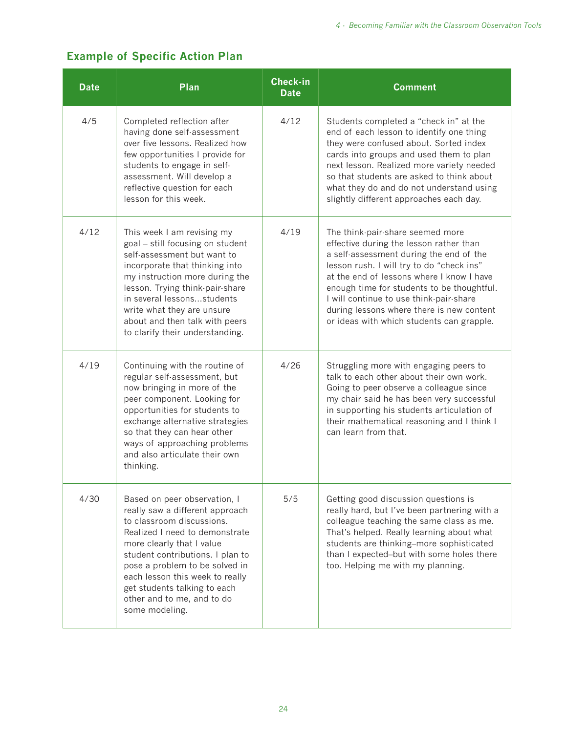## **Example of Specific Action Plan**

| <b>Date</b> | Plan                                                                                                                                                                                                                                                                                                                                                 | <b>Check-in</b><br><b>Date</b> | <b>Comment</b>                                                                                                                                                                                                                                                                                                                                                                                      |
|-------------|------------------------------------------------------------------------------------------------------------------------------------------------------------------------------------------------------------------------------------------------------------------------------------------------------------------------------------------------------|--------------------------------|-----------------------------------------------------------------------------------------------------------------------------------------------------------------------------------------------------------------------------------------------------------------------------------------------------------------------------------------------------------------------------------------------------|
| 4/5         | Completed reflection after<br>having done self-assessment<br>over five lessons. Realized how<br>few opportunities I provide for<br>students to engage in self-<br>assessment. Will develop a<br>reflective question for each<br>lesson for this week.                                                                                                | 4/12                           | Students completed a "check in" at the<br>end of each lesson to identify one thing<br>they were confused about. Sorted index<br>cards into groups and used them to plan<br>next lesson. Realized more variety needed<br>so that students are asked to think about<br>what they do and do not understand using<br>slightly different approaches each day.                                            |
| 4/12        | This week I am revising my<br>goal - still focusing on student<br>self-assessment but want to<br>incorporate that thinking into<br>my instruction more during the<br>lesson. Trying think-pair-share<br>in several lessonsstudents<br>write what they are unsure<br>about and then talk with peers<br>to clarify their understanding.                | 4/19                           | The think-pair-share seemed more<br>effective during the lesson rather than<br>a self-assessment during the end of the<br>lesson rush. I will try to do "check ins"<br>at the end of lessons where I know I have<br>enough time for students to be thoughtful.<br>I will continue to use think-pair-share<br>during lessons where there is new content<br>or ideas with which students can grapple. |
| 4/19        | Continuing with the routine of<br>regular self-assessment, but<br>now bringing in more of the<br>peer component. Looking for<br>opportunities for students to<br>exchange alternative strategies<br>so that they can hear other<br>ways of approaching problems<br>and also articulate their own<br>thinking.                                        | 4/26                           | Struggling more with engaging peers to<br>talk to each other about their own work.<br>Going to peer observe a colleague since<br>my chair said he has been very successful<br>in supporting his students articulation of<br>their mathematical reasoning and I think I<br>can learn from that.                                                                                                      |
| 4/30        | Based on peer observation, I<br>really saw a different approach<br>to classroom discussions.<br>Realized I need to demonstrate<br>more clearly that I value<br>student contributions. I plan to<br>pose a problem to be solved in<br>each lesson this week to really<br>get students talking to each<br>other and to me, and to do<br>some modeling. | 5/5                            | Getting good discussion questions is<br>really hard, but I've been partnering with a<br>colleague teaching the same class as me.<br>That's helped. Really learning about what<br>students are thinking-more sophisticated<br>than I expected-but with some holes there<br>too. Helping me with my planning.                                                                                         |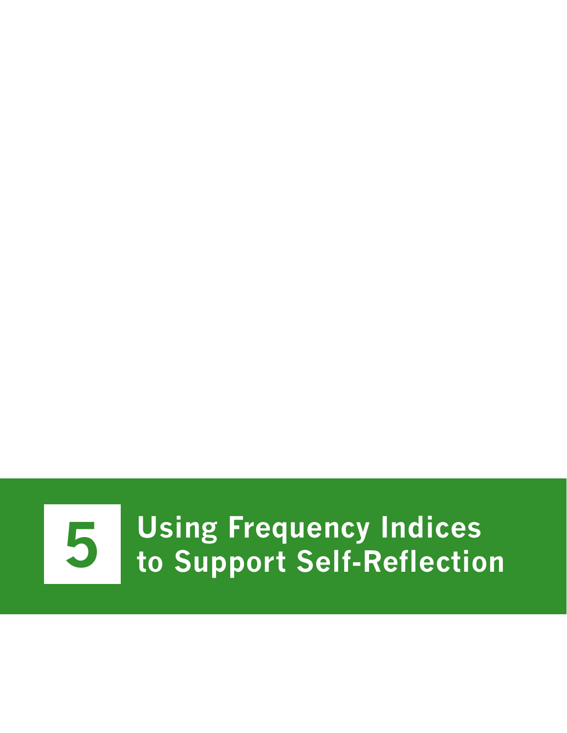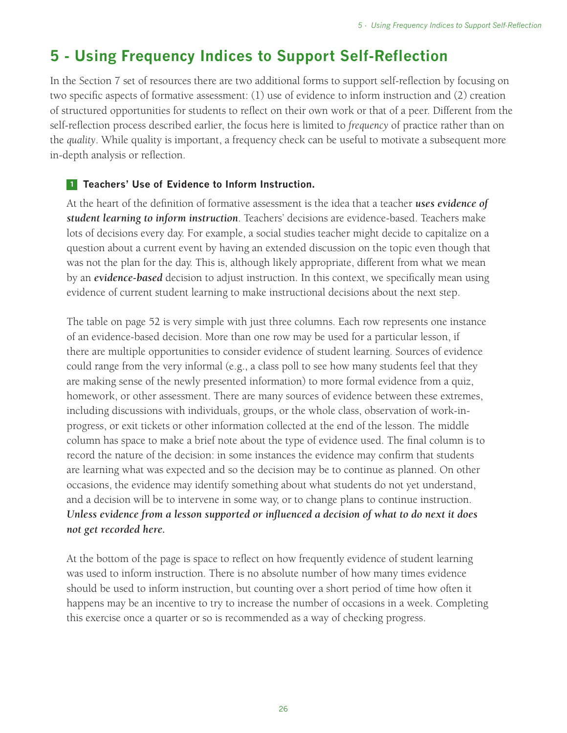# **5 - Using Frequency Indices to Support Self-Reflection**

In the Section 7 set of resources there are two additional forms to support self-reflection by focusing on two specific aspects of formative assessment: (1) use of evidence to inform instruction and (2) creation of structured opportunities for students to reflect on their own work or that of a peer. Different from the self-reflection process described earlier, the focus here is limited to *frequency* of practice rather than on the *quality*. While quality is important, a frequency check can be useful to motivate a subsequent more in-depth analysis or reflection.

#### **<sup>1</sup> Teachers' Use of Evidence to Inform Instruction.**

At the heart of the definition of formative assessment is the idea that a teacher *uses evidence of student learning to inform instruction*. Teachers' decisions are evidence-based. Teachers make lots of decisions every day. For example, a social studies teacher might decide to capitalize on a question about a current event by having an extended discussion on the topic even though that was not the plan for the day. This is, although likely appropriate, different from what we mean by an *evidence-based* decision to adjust instruction. In this context, we specifically mean using evidence of current student learning to make instructional decisions about the next step.

The table on page 52 is very simple with just three columns. Each row represents one instance of an evidence-based decision. More than one row may be used for a particular lesson, if there are multiple opportunities to consider evidence of student learning. Sources of evidence could range from the very informal (e.g., a class poll to see how many students feel that they are making sense of the newly presented information) to more formal evidence from a quiz, homework, or other assessment. There are many sources of evidence between these extremes, including discussions with individuals, groups, or the whole class, observation of work-inprogress, or exit tickets or other information collected at the end of the lesson. The middle column has space to make a brief note about the type of evidence used. The final column is to record the nature of the decision: in some instances the evidence may confirm that students are learning what was expected and so the decision may be to continue as planned. On other occasions, the evidence may identify something about what students do not yet understand, and a decision will be to intervene in some way, or to change plans to continue instruction. *Unless evidence from a lesson supported or influenced a decision of what to do next it does not get recorded here.*

At the bottom of the page is space to reflect on how frequently evidence of student learning was used to inform instruction. There is no absolute number of how many times evidence should be used to inform instruction, but counting over a short period of time how often it happens may be an incentive to try to increase the number of occasions in a week. Completing this exercise once a quarter or so is recommended as a way of checking progress.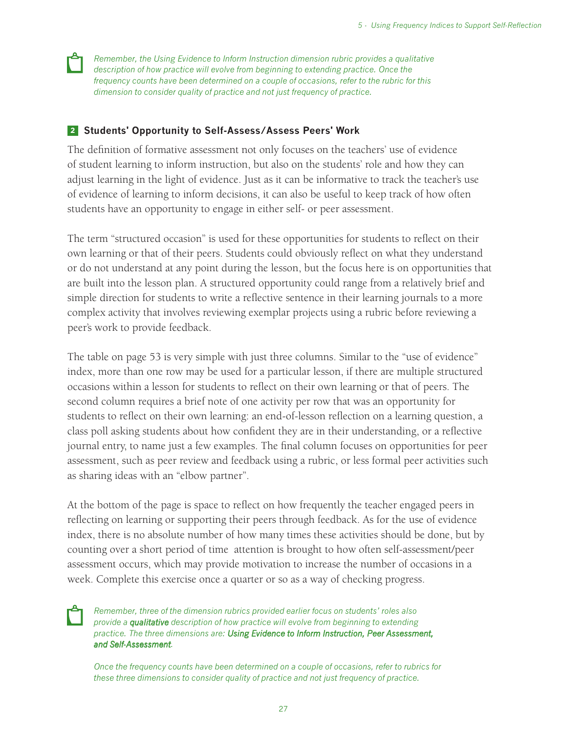*Remember, the Using Evidence to Inform Instruction dimension rubric provides a qualitative description of how practice will evolve from beginning to extending practice. Once the frequency counts have been determined on a couple of occasions, refer to the rubric for this dimension to consider quality of practice and not just frequency of practice.*

#### **<sup>2</sup> Students' Opportunity to Self-Assess/Assess Peers' Work**

The definition of formative assessment not only focuses on the teachers' use of evidence of student learning to inform instruction, but also on the students' role and how they can adjust learning in the light of evidence. Just as it can be informative to track the teacher's use of evidence of learning to inform decisions, it can also be useful to keep track of how often students have an opportunity to engage in either self- or peer assessment.

The term "structured occasion" is used for these opportunities for students to reflect on their own learning or that of their peers. Students could obviously reflect on what they understand or do not understand at any point during the lesson, but the focus here is on opportunities that are built into the lesson plan. A structured opportunity could range from a relatively brief and simple direction for students to write a reflective sentence in their learning journals to a more complex activity that involves reviewing exemplar projects using a rubric before reviewing a peer's work to provide feedback.

The table on page 53 is very simple with just three columns. Similar to the "use of evidence" index, more than one row may be used for a particular lesson, if there are multiple structured occasions within a lesson for students to reflect on their own learning or that of peers. The second column requires a brief note of one activity per row that was an opportunity for students to reflect on their own learning: an end-of-lesson reflection on a learning question, a class poll asking students about how confident they are in their understanding, or a reflective journal entry, to name just a few examples. The final column focuses on opportunities for peer assessment, such as peer review and feedback using a rubric, or less formal peer activities such as sharing ideas with an "elbow partner".

At the bottom of the page is space to reflect on how frequently the teacher engaged peers in reflecting on learning or supporting their peers through feedback. As for the use of evidence index, there is no absolute number of how many times these activities should be done, but by counting over a short period of time attention is brought to how often self-assessment/peer assessment occurs, which may provide motivation to increase the number of occasions in a week. Complete this exercise once a quarter or so as a way of checking progress.

*Remember, three of the dimension rubrics provided earlier focus on students' roles also provide a qualitative description of how practice will evolve from beginning to extending practice. The three dimensions are: Using Evidence to Inform Instruction, Peer Assessment, and Self-Assessment.*

*Once the frequency counts have been determined on a couple of occasions, refer to rubrics for these three dimensions to consider quality of practice and not just frequency of practice.*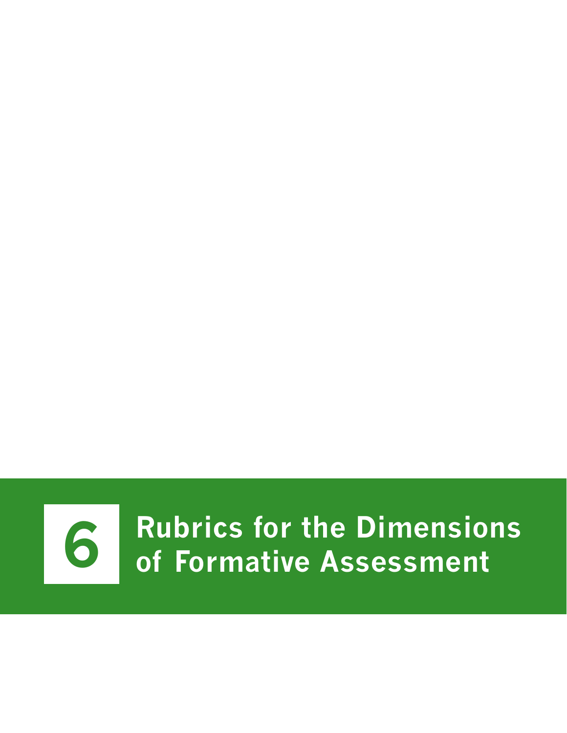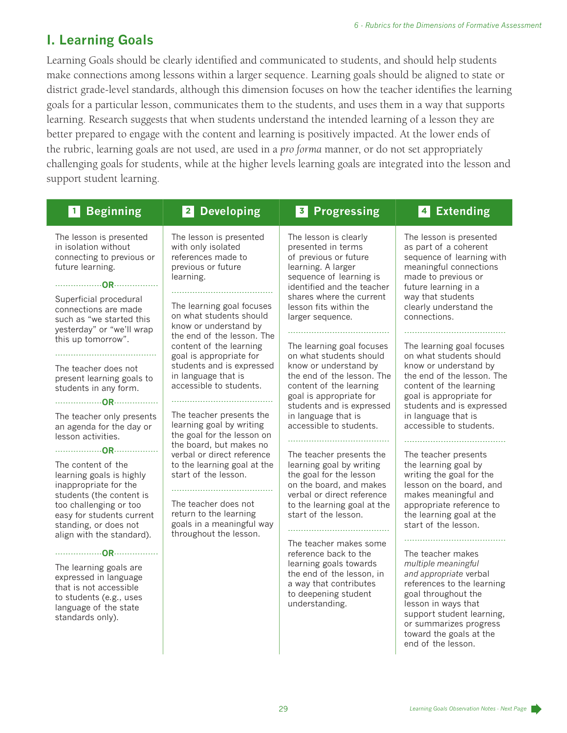## **I. Learning Goals**

Learning Goals should be clearly identified and communicated to students, and should help students make connections among lessons within a larger sequence. Learning goals should be aligned to state or district grade-level standards, although this dimension focuses on how the teacher identifies the learning goals for a particular lesson, communicates them to the students, and uses them in a way that supports learning. Research suggests that when students understand the intended learning of a lesson they are better prepared to engage with the content and learning is positively impacted. At the lower ends of the rubric, learning goals are not used, are used in a *pro forma* manner, or do not set appropriately challenging goals for students, while at the higher levels learning goals are integrated into the lesson and support student learning.

| <b>Beginning</b><br>$\vert$ 1                                                                                                                                                                                    | <b>Developing</b><br>$\vert$ 2 $\vert$                                                                                                                                                     | <b>Progressing</b><br>$\vert 3 \vert$                                                                                                                                                           | <b>Extending</b><br>$\vert$ 4                                                                                                                                                                                                                          |
|------------------------------------------------------------------------------------------------------------------------------------------------------------------------------------------------------------------|--------------------------------------------------------------------------------------------------------------------------------------------------------------------------------------------|-------------------------------------------------------------------------------------------------------------------------------------------------------------------------------------------------|--------------------------------------------------------------------------------------------------------------------------------------------------------------------------------------------------------------------------------------------------------|
| The lesson is presented<br>in isolation without<br>connecting to previous or<br>future learning.                                                                                                                 | The lesson is presented<br>with only isolated<br>references made to<br>previous or future<br>learning.                                                                                     | The lesson is clearly<br>presented in terms<br>of previous or future<br>learning. A larger<br>sequence of learning is<br>identified and the teacher                                             | The lesson is presented<br>as part of a coherent<br>sequence of learning with<br>meaningful connections<br>made to previous or<br>future learning in a                                                                                                 |
| Superficial procedural<br>connections are made<br>such as "we started this<br>yesterday" or "we'll wrap                                                                                                          | The learning goal focuses<br>on what students should<br>know or understand by<br>the end of the lesson. The                                                                                | shares where the current<br>lesson fits within the<br>larger sequence.                                                                                                                          | way that students<br>clearly understand the<br>connections.                                                                                                                                                                                            |
| this up tomorrow".<br>The teacher does not<br>present learning goals to                                                                                                                                          | content of the learning<br>goal is appropriate for<br>students and is expressed<br>in language that is                                                                                     | The learning goal focuses<br>on what students should<br>know or understand by<br>the end of the lesson. The                                                                                     | The learning goal focuses<br>on what students should<br>know or understand by<br>the end of the lesson. The                                                                                                                                            |
| students in any form.                                                                                                                                                                                            | accessible to students.                                                                                                                                                                    | content of the learning<br>goal is appropriate for<br>students and is expressed                                                                                                                 | content of the learning<br>goal is appropriate for<br>students and is expressed                                                                                                                                                                        |
| The teacher only presents<br>an agenda for the day or<br>lesson activities.                                                                                                                                      | The teacher presents the<br>learning goal by writing<br>the goal for the lesson on<br>the board, but makes no                                                                              | in language that is<br>accessible to students.                                                                                                                                                  | in language that is<br>accessible to students.                                                                                                                                                                                                         |
| The content of the<br>learning goals is highly<br>inappropriate for the<br>students (the content is<br>too challenging or too<br>easy for students current<br>standing, or does not<br>align with the standard). | verbal or direct reference<br>to the learning goal at the<br>start of the lesson.<br>The teacher does not<br>return to the learning<br>goals in a meaningful way<br>throughout the lesson. | The teacher presents the<br>learning goal by writing<br>the goal for the lesson<br>on the board, and makes<br>verbal or direct reference<br>to the learning goal at the<br>start of the lesson. | The teacher presents<br>the learning goal by<br>writing the goal for the<br>lesson on the board, and<br>makes meaningful and<br>appropriate reference to<br>the learning goal at the<br>start of the lesson.                                           |
| The learning goals are<br>expressed in language<br>that is not accessible<br>to students (e.g., uses<br>language of the state<br>standards only).                                                                |                                                                                                                                                                                            | The teacher makes some<br>reference back to the<br>learning goals towards<br>the end of the lesson, in<br>a way that contributes<br>to deepening student<br>understanding.                      | The teacher makes<br>multiple meaningful<br>and appropriate verbal<br>references to the learning<br>goal throughout the<br>lesson in ways that<br>support student learning,<br>or summarizes progress<br>toward the goals at the<br>end of the lesson. |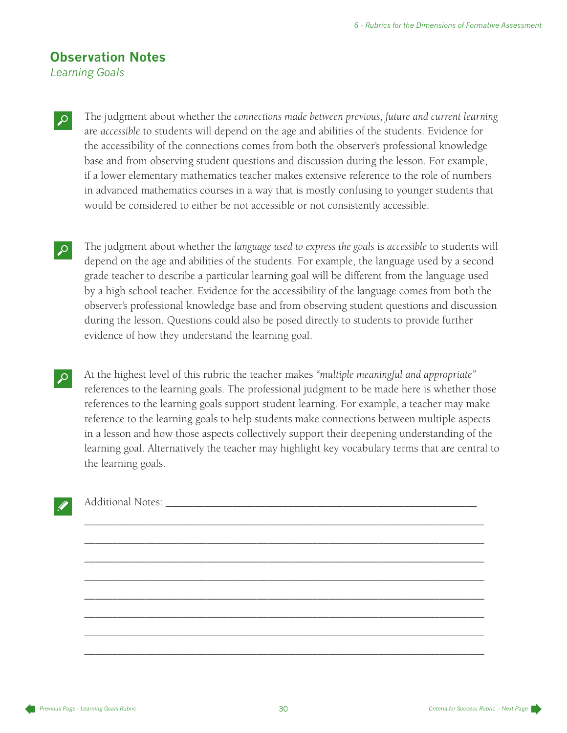## **Observation Notes**

*Learning Goals*

- M The judgment about whether the *connections made between previous, future and current learning* are *accessible* to students will depend on the age and abilities of the students. Evidence for the accessibility of the connections comes from both the observer's professional knowledge base and from observing student questions and discussion during the lesson. For example, if a lower elementary mathematics teacher makes extensive reference to the role of numbers in advanced mathematics courses in a way that is mostly confusing to younger students that would be considered to either be not accessible or not consistently accessible.
- M The judgment about whether the *language used to express the goals* is *accessible* to students will depend on the age and abilities of the students. For example, the language used by a second grade teacher to describe a particular learning goal will be different from the language used by a high school teacher. Evidence for the accessibility of the language comes from both the observer's professional knowledge base and from observing student questions and discussion during the lesson. Questions could also be posed directly to students to provide further evidence of how they understand the learning goal.
- M At the highest level of this rubric the teacher makes *"multiple meaningful and appropriate"* references to the learning goals. The professional judgment to be made here is whether those references to the learning goals support student learning. For example, a teacher may make reference to the learning goals to help students make connections between multiple aspects in a lesson and how those aspects collectively support their deepening understanding of the learning goal. Alternatively the teacher may highlight key vocabulary terms that are central to the learning goals.

\_\_\_\_\_\_\_\_\_\_\_\_\_\_\_\_\_\_\_\_\_\_\_\_\_\_\_\_\_\_\_\_\_\_\_\_\_\_\_\_\_\_\_\_\_\_\_\_\_\_\_\_\_\_\_\_\_\_\_\_\_\_\_\_\_\_\_\_\_\_\_\_

\_\_\_\_\_\_\_\_\_\_\_\_\_\_\_\_\_\_\_\_\_\_\_\_\_\_\_\_\_\_\_\_\_\_\_\_\_\_\_\_\_\_\_\_\_\_\_\_\_\_\_\_\_\_\_\_\_\_\_\_\_\_\_\_\_\_\_\_\_\_\_\_

\_\_\_\_\_\_\_\_\_\_\_\_\_\_\_\_\_\_\_\_\_\_\_\_\_\_\_\_\_\_\_\_\_\_\_\_\_\_\_\_\_\_\_\_\_\_\_\_\_\_\_\_\_\_\_\_\_\_\_\_\_\_\_\_\_\_\_\_\_\_\_\_

\_\_\_\_\_\_\_\_\_\_\_\_\_\_\_\_\_\_\_\_\_\_\_\_\_\_\_\_\_\_\_\_\_\_\_\_\_\_\_\_\_\_\_\_\_\_\_\_\_\_\_\_\_\_\_\_\_\_\_\_\_\_\_\_\_\_\_\_\_\_\_\_

\_\_\_\_\_\_\_\_\_\_\_\_\_\_\_\_\_\_\_\_\_\_\_\_\_\_\_\_\_\_\_\_\_\_\_\_\_\_\_\_\_\_\_\_\_\_\_\_\_\_\_\_\_\_\_\_\_\_\_\_\_\_\_\_\_\_\_\_\_\_\_\_

\_\_\_\_\_\_\_\_\_\_\_\_\_\_\_\_\_\_\_\_\_\_\_\_\_\_\_\_\_\_\_\_\_\_\_\_\_\_\_\_\_\_\_\_\_\_\_\_\_\_\_\_\_\_\_\_\_\_\_\_\_\_\_\_\_\_\_\_\_\_\_\_

\_\_\_\_\_\_\_\_\_\_\_\_\_\_\_\_\_\_\_\_\_\_\_\_\_\_\_\_\_\_\_\_\_\_\_\_\_\_\_\_\_\_\_\_\_\_\_\_\_\_\_\_\_\_\_\_\_\_\_\_\_\_\_\_\_\_\_\_\_\_\_\_

\_\_\_\_\_\_\_\_\_\_\_\_\_\_\_\_\_\_\_\_\_\_\_\_\_\_\_\_\_\_\_\_\_\_\_\_\_\_\_\_\_\_\_\_\_\_\_\_\_\_\_\_\_\_\_\_\_\_\_\_\_\_\_\_\_\_\_\_\_\_\_\_

Additional Notes: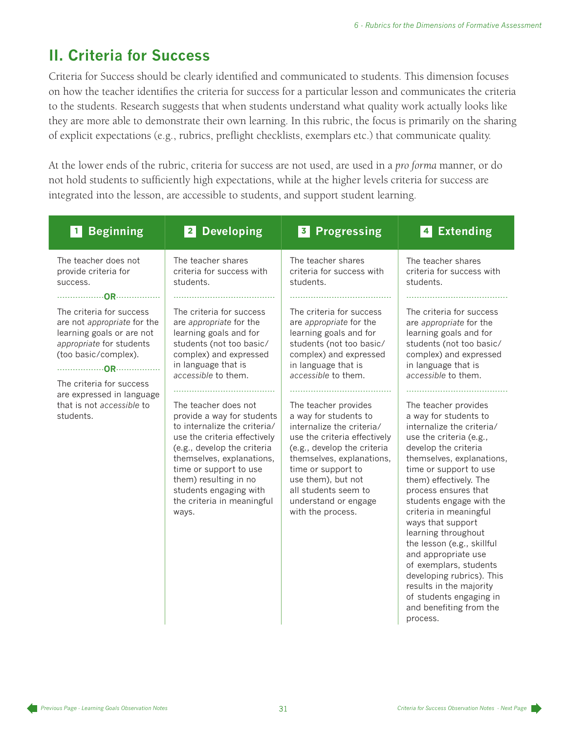# **II. Criteria for Success**

Criteria for Success should be clearly identified and communicated to students. This dimension focuses on how the teacher identifies the criteria for success for a particular lesson and communicates the criteria to the students. Research suggests that when students understand what quality work actually looks like they are more able to demonstrate their own learning. In this rubric, the focus is primarily on the sharing of explicit expectations (e.g., rubrics, preflight checklists, exemplars etc.) that communicate quality.

At the lower ends of the rubric, criteria for success are not used, are used in a *pro forma* manner, or do not hold students to sufficiently high expectations, while at the higher levels criteria for success are integrated into the lesson, are accessible to students, and support student learning.

| <b>Beginning</b>                                                                                                                                                                                                                            | <b>Developing</b><br> 2                                                                                                                                                                                                                                                                                                                                                                                                                                                                 | <b>Progressing</b><br>$\overline{\mathbf{3}}$                                                                                                                                                                                                                                                                                                                                                                                                                                | <b>Extending</b><br>$\vert$ 4                                                                                                                                                                                                                                                                                                                                                                                                                                                                                                                                                                                                                                                                                                          |
|---------------------------------------------------------------------------------------------------------------------------------------------------------------------------------------------------------------------------------------------|-----------------------------------------------------------------------------------------------------------------------------------------------------------------------------------------------------------------------------------------------------------------------------------------------------------------------------------------------------------------------------------------------------------------------------------------------------------------------------------------|------------------------------------------------------------------------------------------------------------------------------------------------------------------------------------------------------------------------------------------------------------------------------------------------------------------------------------------------------------------------------------------------------------------------------------------------------------------------------|----------------------------------------------------------------------------------------------------------------------------------------------------------------------------------------------------------------------------------------------------------------------------------------------------------------------------------------------------------------------------------------------------------------------------------------------------------------------------------------------------------------------------------------------------------------------------------------------------------------------------------------------------------------------------------------------------------------------------------------|
| The teacher does not<br>provide criteria for<br>success.                                                                                                                                                                                    | The teacher shares<br>criteria for success with<br>students.                                                                                                                                                                                                                                                                                                                                                                                                                            | The teacher shares<br>criteria for success with<br>students.                                                                                                                                                                                                                                                                                                                                                                                                                 | The teacher shares<br>criteria for success with<br>students.                                                                                                                                                                                                                                                                                                                                                                                                                                                                                                                                                                                                                                                                           |
| The criteria for success<br>are not appropriate for the<br>learning goals or are not<br>appropriate for students<br>(too basic/complex).<br>The criteria for success<br>are expressed in language<br>that is not accessible to<br>students. | The criteria for success<br>are appropriate for the<br>learning goals and for<br>students (not too basic/<br>complex) and expressed<br>in language that is<br>accessible to them.<br>The teacher does not<br>provide a way for students<br>to internalize the criteria/<br>use the criteria effectively<br>(e.g., develop the criteria<br>themselves, explanations,<br>time or support to use<br>them) resulting in no<br>students engaging with<br>the criteria in meaningful<br>ways. | The criteria for success<br>are appropriate for the<br>learning goals and for<br>students (not too basic/<br>complex) and expressed<br>in language that is<br>accessible to them.<br>The teacher provides<br>a way for students to<br>internalize the criteria/<br>use the criteria effectively<br>(e.g., develop the criteria<br>themselves, explanations,<br>time or support to<br>use them), but not<br>all students seem to<br>understand or engage<br>with the process. | The criteria for success<br>are appropriate for the<br>learning goals and for<br>students (not too basic/<br>complex) and expressed<br>in language that is<br>accessible to them.<br>The teacher provides<br>a way for students to<br>internalize the criteria/<br>use the criteria (e.g.,<br>develop the criteria<br>themselves, explanations,<br>time or support to use<br>them) effectively. The<br>process ensures that<br>students engage with the<br>criteria in meaningful<br>ways that support<br>learning throughout<br>the lesson (e.g., skillful<br>and appropriate use<br>of exemplars, students<br>developing rubrics). This<br>results in the majority<br>of students engaging in<br>and benefiting from the<br>process. |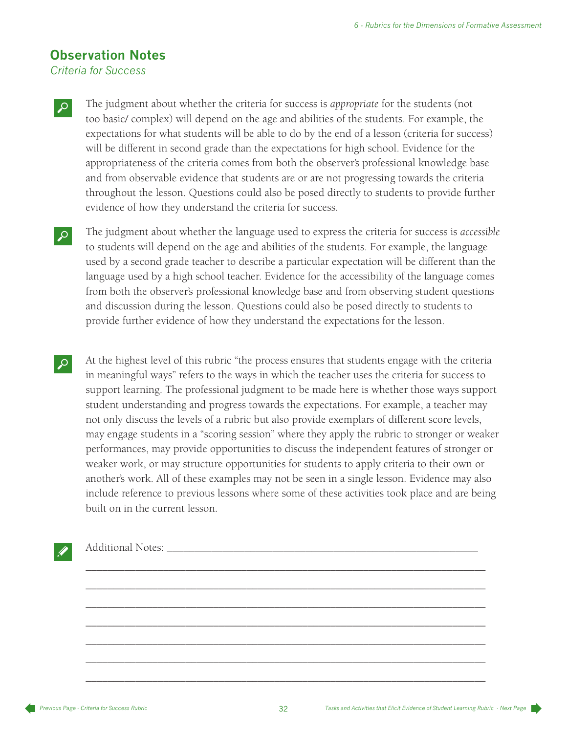### **Observation Notes**

*Criteria for Success*

M The judgment about whether the criteria for success is *appropriate* for the students (not too basic/ complex) will depend on the age and abilities of the students. For example, the expectations for what students will be able to do by the end of a lesson (criteria for success) will be different in second grade than the expectations for high school. Evidence for the appropriateness of the criteria comes from both the observer's professional knowledge base and from observable evidence that students are or are not progressing towards the criteria throughout the lesson. Questions could also be posed directly to students to provide further evidence of how they understand the criteria for success.

M The judgment about whether the language used to express the criteria for success is *accessible* to students will depend on the age and abilities of the students. For example, the language used by a second grade teacher to describe a particular expectation will be different than the language used by a high school teacher. Evidence for the accessibility of the language comes from both the observer's professional knowledge base and from observing student questions and discussion during the lesson. Questions could also be posed directly to students to provide further evidence of how they understand the expectations for the lesson.

At the highest level of this rubric "the process ensures that students engage with the criteria in meaningful ways" refers to the ways in which the teacher uses the criteria for success to support learning. The professional judgment to be made here is whether those ways support student understanding and progress towards the expectations. For example, a teacher may not only discuss the levels of a rubric but also provide exemplars of different score levels, may engage students in a "scoring session" where they apply the rubric to stronger or weaker performances, may provide opportunities to discuss the independent features of stronger or weaker work, or may structure opportunities for students to apply criteria to their own or another's work. All of these examples may not be seen in a single lesson. Evidence may also include reference to previous lessons where some of these activities took place and are being built on in the current lesson.

#### Additional Notes: \_\_\_\_\_\_\_\_\_\_\_\_\_\_\_\_\_\_\_\_\_\_\_\_\_\_\_\_\_\_\_\_\_\_\_\_\_\_\_\_\_\_\_\_\_\_\_\_\_\_\_\_\_\_\_\_

\_\_\_\_\_\_\_\_\_\_\_\_\_\_\_\_\_\_\_\_\_\_\_\_\_\_\_\_\_\_\_\_\_\_\_\_\_\_\_\_\_\_\_\_\_\_\_\_\_\_\_\_\_\_\_\_\_\_\_\_\_\_\_\_\_\_\_\_\_\_\_\_

\_\_\_\_\_\_\_\_\_\_\_\_\_\_\_\_\_\_\_\_\_\_\_\_\_\_\_\_\_\_\_\_\_\_\_\_\_\_\_\_\_\_\_\_\_\_\_\_\_\_\_\_\_\_\_\_\_\_\_\_\_\_\_\_\_\_\_\_\_\_\_\_

\_\_\_\_\_\_\_\_\_\_\_\_\_\_\_\_\_\_\_\_\_\_\_\_\_\_\_\_\_\_\_\_\_\_\_\_\_\_\_\_\_\_\_\_\_\_\_\_\_\_\_\_\_\_\_\_\_\_\_\_\_\_\_\_\_\_\_\_\_\_\_\_

\_\_\_\_\_\_\_\_\_\_\_\_\_\_\_\_\_\_\_\_\_\_\_\_\_\_\_\_\_\_\_\_\_\_\_\_\_\_\_\_\_\_\_\_\_\_\_\_\_\_\_\_\_\_\_\_\_\_\_\_\_\_\_\_\_\_\_\_\_\_\_\_

\_\_\_\_\_\_\_\_\_\_\_\_\_\_\_\_\_\_\_\_\_\_\_\_\_\_\_\_\_\_\_\_\_\_\_\_\_\_\_\_\_\_\_\_\_\_\_\_\_\_\_\_\_\_\_\_\_\_\_\_\_\_\_\_\_\_\_\_\_\_\_\_

\_\_\_\_\_\_\_\_\_\_\_\_\_\_\_\_\_\_\_\_\_\_\_\_\_\_\_\_\_\_\_\_\_\_\_\_\_\_\_\_\_\_\_\_\_\_\_\_\_\_\_\_\_\_\_\_\_\_\_\_\_\_\_\_\_\_\_\_\_\_\_\_

\_\_\_\_\_\_\_\_\_\_\_\_\_\_\_\_\_\_\_\_\_\_\_\_\_\_\_\_\_\_\_\_\_\_\_\_\_\_\_\_\_\_\_\_\_\_\_\_\_\_\_\_\_\_\_\_\_\_\_\_\_\_\_\_\_\_\_\_\_\_\_\_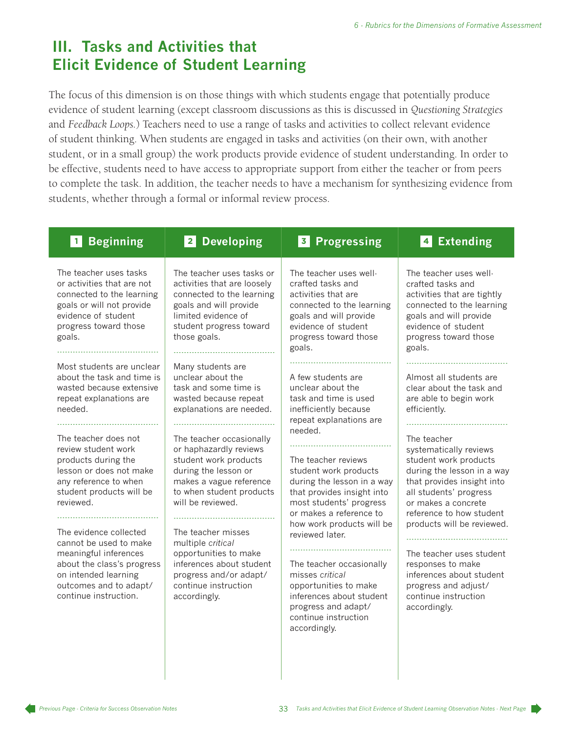## **III. Tasks and Activities that Elicit Evidence of Student Learning**

The focus of this dimension is on those things with which students engage that potentially produce evidence of student learning (except classroom discussions as this is discussed in *Questioning Strategies* and *Feedback Loops.*) Teachers need to use a range of tasks and activities to collect relevant evidence of student thinking. When students are engaged in tasks and activities (on their own, with another student, or in a small group) the work products provide evidence of student understanding. In order to be effective, students need to have access to appropriate support from either the teacher or from peers to complete the task. In addition, the teacher needs to have a mechanism for synthesizing evidence from students, whether through a formal or informal review process.

| 1 Beginning                                                                                                                                                                        | <b>Developing</b><br>2 <sup>1</sup>                                                                                                                                               | <b>Progressing</b><br>3 <sup>1</sup>                                                                                                                                                                            | 4 Extending                                                                                                                                                                                             |
|------------------------------------------------------------------------------------------------------------------------------------------------------------------------------------|-----------------------------------------------------------------------------------------------------------------------------------------------------------------------------------|-----------------------------------------------------------------------------------------------------------------------------------------------------------------------------------------------------------------|---------------------------------------------------------------------------------------------------------------------------------------------------------------------------------------------------------|
| The teacher uses tasks<br>or activities that are not<br>connected to the learning<br>goals or will not provide<br>evidence of student<br>progress toward those<br>goals.           | The teacher uses tasks or<br>activities that are loosely<br>connected to the learning<br>goals and will provide<br>limited evidence of<br>student progress toward<br>those goals. | The teacher uses well-<br>crafted tasks and<br>activities that are<br>connected to the learning<br>goals and will provide<br>evidence of student<br>progress toward those<br>goals.                             | The teacher uses well-<br>crafted tasks and<br>activities that are tightly<br>connected to the learning<br>goals and will provide<br>evidence of student<br>progress toward those<br>goals.             |
| Most students are unclear<br>about the task and time is<br>wasted because extensive<br>repeat explanations are<br>needed.                                                          | Many students are<br>unclear about the<br>task and some time is<br>wasted because repeat<br>explanations are needed.                                                              | A few students are<br>unclear about the<br>task and time is used<br>inefficiently because<br>repeat explanations are                                                                                            | Almost all students are<br>clear about the task and<br>are able to begin work<br>efficiently.                                                                                                           |
| The teacher does not<br>review student work<br>products during the<br>lesson or does not make<br>any reference to when<br>student products will be<br>reviewed.                    | The teacher occasionally<br>or haphazardly reviews<br>student work products<br>during the lesson or<br>makes a vague reference<br>to when student products<br>will be reviewed.   | needed.<br>The teacher reviews<br>student work products<br>during the lesson in a way<br>that provides insight into<br>most students' progress<br>or makes a reference to                                       | The teacher<br>systematically reviews<br>student work products<br>during the lesson in a way<br>that provides insight into<br>all students' progress<br>or makes a concrete<br>reference to how student |
| The evidence collected<br>cannot be used to make<br>meaningful inferences<br>about the class's progress<br>on intended learning<br>outcomes and to adapt/<br>continue instruction. | The teacher misses<br>multiple critical<br>opportunities to make<br>inferences about student<br>progress and/or adapt/<br>continue instruction<br>accordingly.                    | how work products will be<br>reviewed later.<br>The teacher occasionally<br>misses critical<br>opportunities to make<br>inferences about student<br>progress and adapt/<br>continue instruction<br>accordingly. | products will be reviewed.<br>The teacher uses student<br>responses to make<br>inferences about student<br>progress and adjust/<br>continue instruction<br>accordingly.                                 |
|                                                                                                                                                                                    |                                                                                                                                                                                   |                                                                                                                                                                                                                 |                                                                                                                                                                                                         |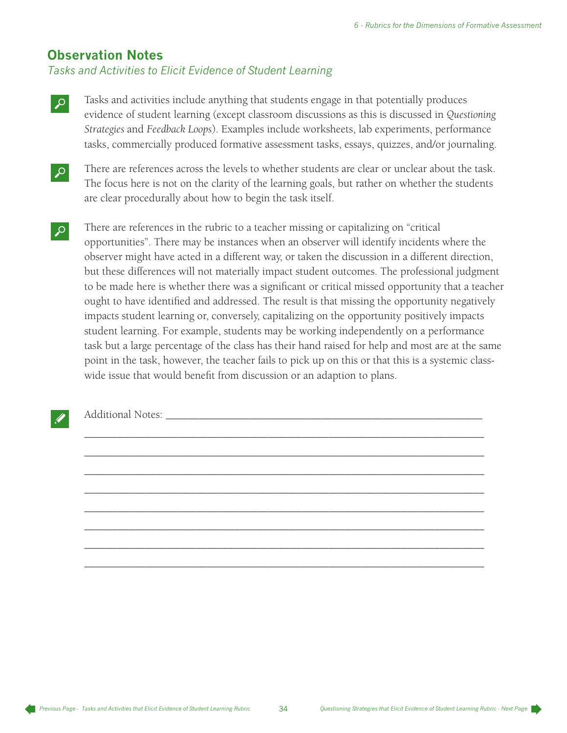## **Observation Notes**

*Tasks and Activities to Elicit Evidence of Student Learning*

- M Tasks and activities include anything that students engage in that potentially produces evidence of student learning (except classroom discussions as this is discussed in *Questioning Strategies* and *Feedback Loops*). Examples include worksheets, lab experiments, performance tasks, commercially produced formative assessment tasks, essays, quizzes, and/or journaling.
- There are references across the levels to whether students are clear or unclear about the task. The focus here is not on the clarity of the learning goals, but rather on whether the students are clear procedurally about how to begin the task itself.
- There are references in the rubric to a teacher missing or capitalizing on "critical" opportunities". There may be instances when an observer will identify incidents where the observer might have acted in a different way, or taken the discussion in a different direction, but these differences will not materially impact student outcomes. The professional judgment to be made here is whether there was a significant or critical missed opportunity that a teacher ought to have identified and addressed. The result is that missing the opportunity negatively impacts student learning or, conversely, capitalizing on the opportunity positively impacts student learning. For example, students may be working independently on a performance task but a large percentage of the class has their hand raised for help and most are at the same point in the task, however, the teacher fails to pick up on this or that this is a systemic classwide issue that would benefit from discussion or an adaption to plans.

\_\_\_\_\_\_\_\_\_\_\_\_\_\_\_\_\_\_\_\_\_\_\_\_\_\_\_\_\_\_\_\_\_\_\_\_\_\_\_\_\_\_\_\_\_\_\_\_\_\_\_\_\_\_\_\_\_\_\_\_\_\_\_\_\_\_\_\_\_\_\_\_

\_\_\_\_\_\_\_\_\_\_\_\_\_\_\_\_\_\_\_\_\_\_\_\_\_\_\_\_\_\_\_\_\_\_\_\_\_\_\_\_\_\_\_\_\_\_\_\_\_\_\_\_\_\_\_\_\_\_\_\_\_\_\_\_\_\_\_\_\_\_\_\_

\_\_\_\_\_\_\_\_\_\_\_\_\_\_\_\_\_\_\_\_\_\_\_\_\_\_\_\_\_\_\_\_\_\_\_\_\_\_\_\_\_\_\_\_\_\_\_\_\_\_\_\_\_\_\_\_\_\_\_\_\_\_\_\_\_\_\_\_\_\_\_\_

\_\_\_\_\_\_\_\_\_\_\_\_\_\_\_\_\_\_\_\_\_\_\_\_\_\_\_\_\_\_\_\_\_\_\_\_\_\_\_\_\_\_\_\_\_\_\_\_\_\_\_\_\_\_\_\_\_\_\_\_\_\_\_\_\_\_\_\_\_\_\_\_

\_\_\_\_\_\_\_\_\_\_\_\_\_\_\_\_\_\_\_\_\_\_\_\_\_\_\_\_\_\_\_\_\_\_\_\_\_\_\_\_\_\_\_\_\_\_\_\_\_\_\_\_\_\_\_\_\_\_\_\_\_\_\_\_\_\_\_\_\_\_\_\_

\_\_\_\_\_\_\_\_\_\_\_\_\_\_\_\_\_\_\_\_\_\_\_\_\_\_\_\_\_\_\_\_\_\_\_\_\_\_\_\_\_\_\_\_\_\_\_\_\_\_\_\_\_\_\_\_\_\_\_\_\_\_\_\_\_\_\_\_\_\_\_\_

\_\_\_\_\_\_\_\_\_\_\_\_\_\_\_\_\_\_\_\_\_\_\_\_\_\_\_\_\_\_\_\_\_\_\_\_\_\_\_\_\_\_\_\_\_\_\_\_\_\_\_\_\_\_\_\_\_\_\_\_\_\_\_\_\_\_\_\_\_\_\_\_

\_\_\_\_\_\_\_\_\_\_\_\_\_\_\_\_\_\_\_\_\_\_\_\_\_\_\_\_\_\_\_\_\_\_\_\_\_\_\_\_\_\_\_\_\_\_\_\_\_\_\_\_\_\_\_\_\_\_\_\_\_\_\_\_\_\_\_\_\_\_\_\_

Additional Notes: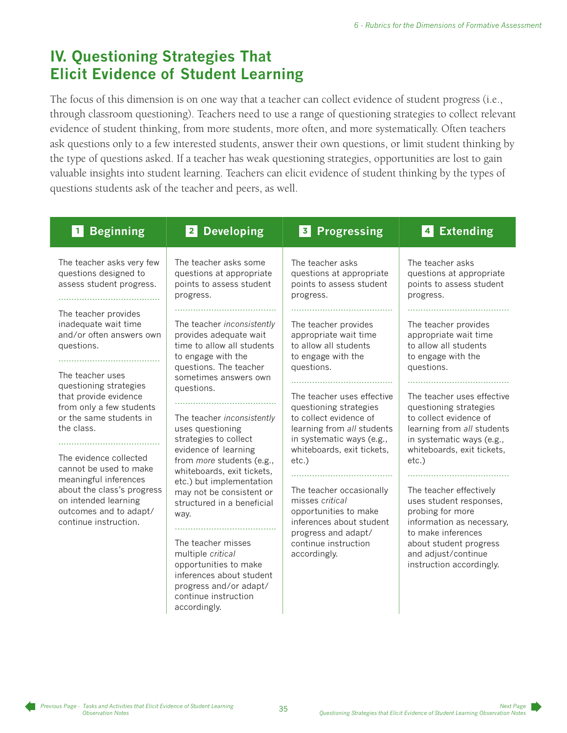# **IV. Questioning Strategies That Elicit Evidence of Student Learning**

The focus of this dimension is on one way that a teacher can collect evidence of student progress (i.e., through classroom questioning). Teachers need to use a range of questioning strategies to collect relevant evidence of student thinking, from more students, more often, and more systematically. Often teachers ask questions only to a few interested students, answer their own questions, or limit student thinking by the type of questions asked. If a teacher has weak questioning strategies, opportunities are lost to gain valuable insights into student learning. Teachers can elicit evidence of student thinking by the types of questions students ask of the teacher and peers, as well.

| <b>Beginning</b><br>$\blacksquare$                                                                                                                                                 | <b>Developing</b><br>$\vert$ 2                                                                                                                                                | <b>Progressing</b><br>$\vert$ 3                                                                                                                                   | <b>Extending</b><br>$\overline{\mathbf{4}}$                                                                                                                      |
|------------------------------------------------------------------------------------------------------------------------------------------------------------------------------------|-------------------------------------------------------------------------------------------------------------------------------------------------------------------------------|-------------------------------------------------------------------------------------------------------------------------------------------------------------------|------------------------------------------------------------------------------------------------------------------------------------------------------------------|
| The teacher asks very few<br>questions designed to<br>assess student progress.                                                                                                     | The teacher asks some<br>questions at appropriate<br>points to assess student<br>progress.                                                                                    | The teacher asks<br>questions at appropriate<br>points to assess student<br>progress.                                                                             | The teacher asks<br>questions at appropriate<br>points to assess student<br>progress.                                                                            |
| The teacher provides<br>inadequate wait time<br>and/or often answers own<br>questions.                                                                                             | The teacher inconsistently<br>provides adequate wait<br>time to allow all students<br>to engage with the<br>questions. The teacher                                            | The teacher provides<br>appropriate wait time<br>to allow all students<br>to engage with the<br>questions.                                                        | The teacher provides<br>appropriate wait time<br>to allow all students<br>to engage with the<br>questions.                                                       |
| The teacher uses<br>questioning strategies<br>that provide evidence<br>from only a few students<br>or the same students in<br>the class.                                           | sometimes answers own<br>questions.<br>The teacher inconsistently<br>uses questioning<br>strategies to collect                                                                | The teacher uses effective<br>questioning strategies<br>to collect evidence of<br>learning from all students<br>in systematic ways (e.g.,                         | The teacher uses effective<br>questioning strategies<br>to collect evidence of<br>learning from all students<br>in systematic ways (e.g.,                        |
| The evidence collected<br>cannot be used to make<br>meaningful inferences<br>about the class's progress<br>on intended learning<br>outcomes and to adapt/<br>continue instruction. | evidence of learning<br>from more students (e.g.,<br>whiteboards, exit tickets,<br>etc.) but implementation<br>may not be consistent or<br>structured in a beneficial<br>way. | whiteboards, exit tickets,<br>$etc.$ )<br>The teacher occasionally<br>misses critical<br>opportunities to make<br>inferences about student<br>progress and adapt/ | whiteboards, exit tickets,<br>etc.)<br>The teacher effectively<br>uses student responses,<br>probing for more<br>information as necessary,<br>to make inferences |
|                                                                                                                                                                                    | The teacher misses<br>multiple critical<br>opportunities to make<br>inferences about student<br>progress and/or adapt/<br>continue instruction<br>accordingly.                | continue instruction<br>accordingly.                                                                                                                              | about student progress<br>and adjust/continue<br>instruction accordingly.                                                                                        |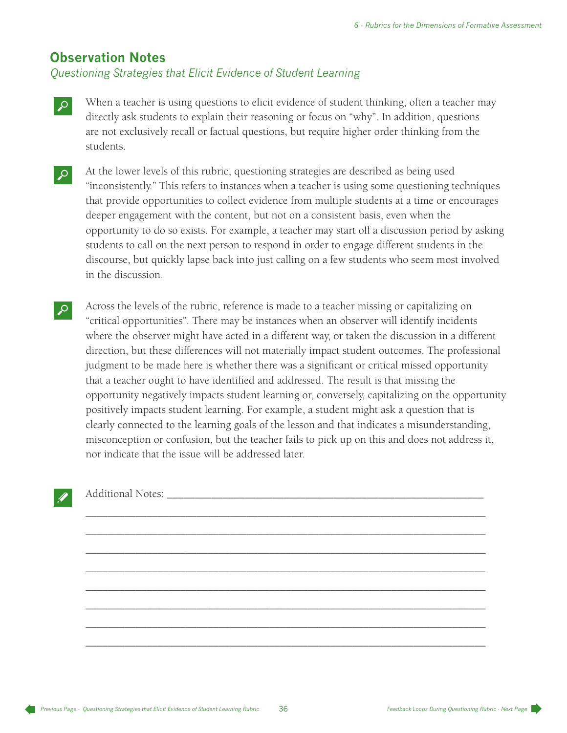#### **Observation Notes**

*Questioning Strategies that Elicit Evidence of Student Learning*

- When a teacher is using questions to elicit evidence of student thinking, often a teacher may directly ask students to explain their reasoning or focus on "why". In addition, questions are not exclusively recall or factual questions, but require higher order thinking from the students.
- At the lower levels of this rubric, questioning strategies are described as being used "inconsistently." This refers to instances when a teacher is using some questioning techniques that provide opportunities to collect evidence from multiple students at a time or encourages deeper engagement with the content, but not on a consistent basis, even when the opportunity to do so exists. For example, a teacher may start off a discussion period by asking students to call on the next person to respond in order to engage different students in the discourse, but quickly lapse back into just calling on a few students who seem most involved in the discussion.
- Across the levels of the rubric, reference is made to a teacher missing or capitalizing on "critical opportunities". There may be instances when an observer will identify incidents where the observer might have acted in a different way, or taken the discussion in a different direction, but these differences will not materially impact student outcomes. The professional judgment to be made here is whether there was a significant or critical missed opportunity that a teacher ought to have identified and addressed. The result is that missing the opportunity negatively impacts student learning or, conversely, capitalizing on the opportunity positively impacts student learning. For example, a student might ask a question that is clearly connected to the learning goals of the lesson and that indicates a misunderstanding, misconception or confusion, but the teacher fails to pick up on this and does not address it, nor indicate that the issue will be addressed later.

\_\_\_\_\_\_\_\_\_\_\_\_\_\_\_\_\_\_\_\_\_\_\_\_\_\_\_\_\_\_\_\_\_\_\_\_\_\_\_\_\_\_\_\_\_\_\_\_\_\_\_\_\_\_\_\_\_\_\_\_\_\_\_\_\_\_\_\_\_\_\_\_

\_\_\_\_\_\_\_\_\_\_\_\_\_\_\_\_\_\_\_\_\_\_\_\_\_\_\_\_\_\_\_\_\_\_\_\_\_\_\_\_\_\_\_\_\_\_\_\_\_\_\_\_\_\_\_\_\_\_\_\_\_\_\_\_\_\_\_\_\_\_\_\_

\_\_\_\_\_\_\_\_\_\_\_\_\_\_\_\_\_\_\_\_\_\_\_\_\_\_\_\_\_\_\_\_\_\_\_\_\_\_\_\_\_\_\_\_\_\_\_\_\_\_\_\_\_\_\_\_\_\_\_\_\_\_\_\_\_\_\_\_\_\_\_\_

\_\_\_\_\_\_\_\_\_\_\_\_\_\_\_\_\_\_\_\_\_\_\_\_\_\_\_\_\_\_\_\_\_\_\_\_\_\_\_\_\_\_\_\_\_\_\_\_\_\_\_\_\_\_\_\_\_\_\_\_\_\_\_\_\_\_\_\_\_\_\_\_

\_\_\_\_\_\_\_\_\_\_\_\_\_\_\_\_\_\_\_\_\_\_\_\_\_\_\_\_\_\_\_\_\_\_\_\_\_\_\_\_\_\_\_\_\_\_\_\_\_\_\_\_\_\_\_\_\_\_\_\_\_\_\_\_\_\_\_\_\_\_\_\_

\_\_\_\_\_\_\_\_\_\_\_\_\_\_\_\_\_\_\_\_\_\_\_\_\_\_\_\_\_\_\_\_\_\_\_\_\_\_\_\_\_\_\_\_\_\_\_\_\_\_\_\_\_\_\_\_\_\_\_\_\_\_\_\_\_\_\_\_\_\_\_\_

\_\_\_\_\_\_\_\_\_\_\_\_\_\_\_\_\_\_\_\_\_\_\_\_\_\_\_\_\_\_\_\_\_\_\_\_\_\_\_\_\_\_\_\_\_\_\_\_\_\_\_\_\_\_\_\_\_\_\_\_\_\_\_\_\_\_\_\_\_\_\_\_

\_\_\_\_\_\_\_\_\_\_\_\_\_\_\_\_\_\_\_\_\_\_\_\_\_\_\_\_\_\_\_\_\_\_\_\_\_\_\_\_\_\_\_\_\_\_\_\_\_\_\_\_\_\_\_\_\_\_\_\_\_\_\_\_\_\_\_\_\_\_\_\_

Additional Notes: \_\_\_\_\_\_\_\_\_\_\_\_\_\_\_\_\_\_\_\_\_\_\_\_\_\_\_\_\_\_\_\_\_\_\_\_\_\_\_\_\_\_\_\_\_\_\_\_\_\_\_\_\_\_\_\_\_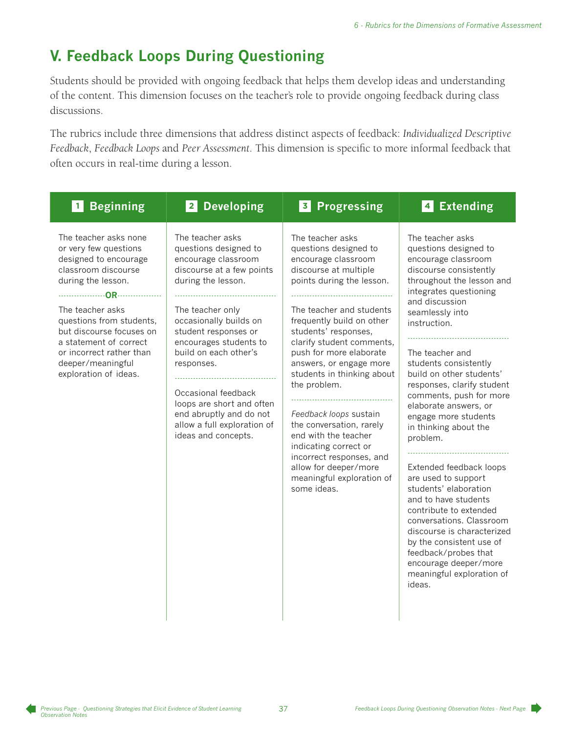# **V. Feedback Loops During Questioning**

Students should be provided with ongoing feedback that helps them develop ideas and understanding of the content. This dimension focuses on the teacher's role to provide ongoing feedback during class discussions.

The rubrics include three dimensions that address distinct aspects of feedback: *Individualized Descriptive Feedback*, *Feedback Loops* and *Peer Assessment*. This dimension is specific to more informal feedback that often occurs in real-time during a lesson.

| The teacher asks none<br>The teacher asks<br>The teacher asks<br>The teacher asks<br>or very few questions<br>questions designed to<br>questions designed to<br>questions designed to<br>designed to encourage<br>encourage classroom<br>encourage classroom<br>encourage classroom<br>classroom discourse<br>discourse at a few points<br>discourse at multiple<br>discourse consistently<br>during the lesson.<br>during the lesson.<br>points during the lesson.<br>throughout the lesson and<br>integrates questioning<br>and discussion<br>The teacher asks<br>The teacher and students<br>The teacher only<br>seamlessly into<br>questions from students,<br>occasionally builds on<br>frequently build on other<br>instruction.<br>but discourse focuses on<br>student responses or<br>students' responses,<br>a statement of correct<br>encourages students to<br>clarify student comments,<br>build on each other's<br>or incorrect rather than<br>push for more elaborate<br>The teacher and<br>deeper/meaningful<br>students consistently<br>responses.<br>answers, or engage more<br>build on other students'<br>exploration of ideas.<br>students in thinking about<br>the problem.<br>responses, clarify student<br>Occasional feedback<br>comments, push for more<br>loops are short and often<br>elaborate answers, or<br>end abruptly and do not<br>Feedback loops sustain<br>engage more students<br>allow a full exploration of<br>the conversation, rarely<br>in thinking about the<br>ideas and concepts.<br>end with the teacher<br>problem.<br>indicating correct or<br>incorrect responses, and<br>allow for deeper/more<br>Extended feedback loops<br>meaningful exploration of<br>are used to support<br>some ideas.<br>students' elaboration<br>and to have students<br>contribute to extended<br>conversations. Classroom<br>discourse is characterized | <b>Beginning</b><br>$\vert$ 1 | 2 Developing | 3 Progressing | <b>Extending</b><br>$\begin{array}{c} 4 \end{array}$ |
|-------------------------------------------------------------------------------------------------------------------------------------------------------------------------------------------------------------------------------------------------------------------------------------------------------------------------------------------------------------------------------------------------------------------------------------------------------------------------------------------------------------------------------------------------------------------------------------------------------------------------------------------------------------------------------------------------------------------------------------------------------------------------------------------------------------------------------------------------------------------------------------------------------------------------------------------------------------------------------------------------------------------------------------------------------------------------------------------------------------------------------------------------------------------------------------------------------------------------------------------------------------------------------------------------------------------------------------------------------------------------------------------------------------------------------------------------------------------------------------------------------------------------------------------------------------------------------------------------------------------------------------------------------------------------------------------------------------------------------------------------------------------------------------------------------------------------------------------------------------------------------------|-------------------------------|--------------|---------------|------------------------------------------------------|
| feedback/probes that<br>encourage deeper/more<br>meaningful exploration of<br>ideas.                                                                                                                                                                                                                                                                                                                                                                                                                                                                                                                                                                                                                                                                                                                                                                                                                                                                                                                                                                                                                                                                                                                                                                                                                                                                                                                                                                                                                                                                                                                                                                                                                                                                                                                                                                                                |                               |              |               | by the consistent use of                             |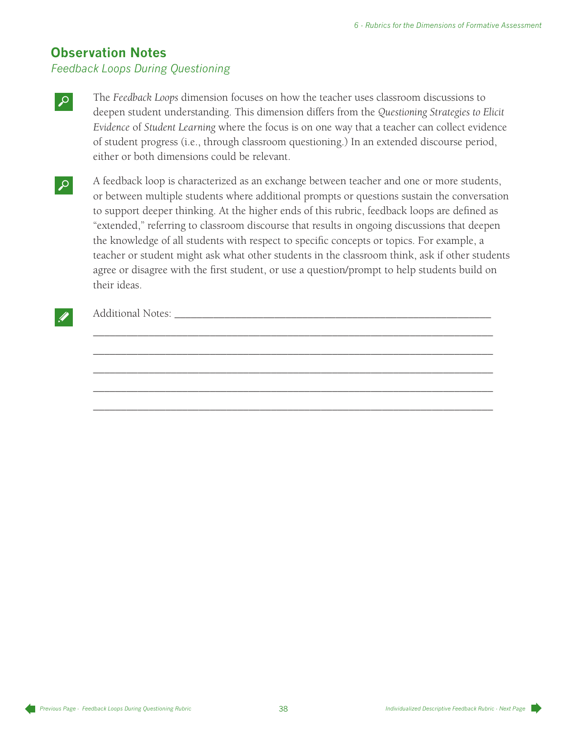## **Observation Notes**

#### *Feedback Loops During Questioning*

- The *Feedback Loops* dimension focuses on how the teacher uses classroom discussions to deepen student understanding. This dimension differs from the *Questioning Strategies to Elicit Evidence* of *Student Learning* where the focus is on one way that a teacher can collect evidence of student progress (i.e., through classroom questioning.) In an extended discourse period, either or both dimensions could be relevant.
- A feedback loop is characterized as an exchange between teacher and one or more students, or between multiple students where additional prompts or questions sustain the conversation to support deeper thinking. At the higher ends of this rubric, feedback loops are defined as "extended," referring to classroom discourse that results in ongoing discussions that deepen the knowledge of all students with respect to specific concepts or topics. For example, a teacher or student might ask what other students in the classroom think, ask if other students agree or disagree with the first student, or use a question/prompt to help students build on their ideas.

\_\_\_\_\_\_\_\_\_\_\_\_\_\_\_\_\_\_\_\_\_\_\_\_\_\_\_\_\_\_\_\_\_\_\_\_\_\_\_\_\_\_\_\_\_\_\_\_\_\_\_\_\_\_\_\_\_\_\_\_\_\_\_\_\_\_\_\_\_\_\_\_

\_\_\_\_\_\_\_\_\_\_\_\_\_\_\_\_\_\_\_\_\_\_\_\_\_\_\_\_\_\_\_\_\_\_\_\_\_\_\_\_\_\_\_\_\_\_\_\_\_\_\_\_\_\_\_\_\_\_\_\_\_\_\_\_\_\_\_\_\_\_\_\_

\_\_\_\_\_\_\_\_\_\_\_\_\_\_\_\_\_\_\_\_\_\_\_\_\_\_\_\_\_\_\_\_\_\_\_\_\_\_\_\_\_\_\_\_\_\_\_\_\_\_\_\_\_\_\_\_\_\_\_\_\_\_\_\_\_\_\_\_\_\_\_\_

\_\_\_\_\_\_\_\_\_\_\_\_\_\_\_\_\_\_\_\_\_\_\_\_\_\_\_\_\_\_\_\_\_\_\_\_\_\_\_\_\_\_\_\_\_\_\_\_\_\_\_\_\_\_\_\_\_\_\_\_\_\_\_\_\_\_\_\_\_\_\_\_

\_\_\_\_\_\_\_\_\_\_\_\_\_\_\_\_\_\_\_\_\_\_\_\_\_\_\_\_\_\_\_\_\_\_\_\_\_\_\_\_\_\_\_\_\_\_\_\_\_\_\_\_\_\_\_\_\_\_\_\_\_\_\_\_\_\_\_\_\_\_\_\_

#### Additional Notes: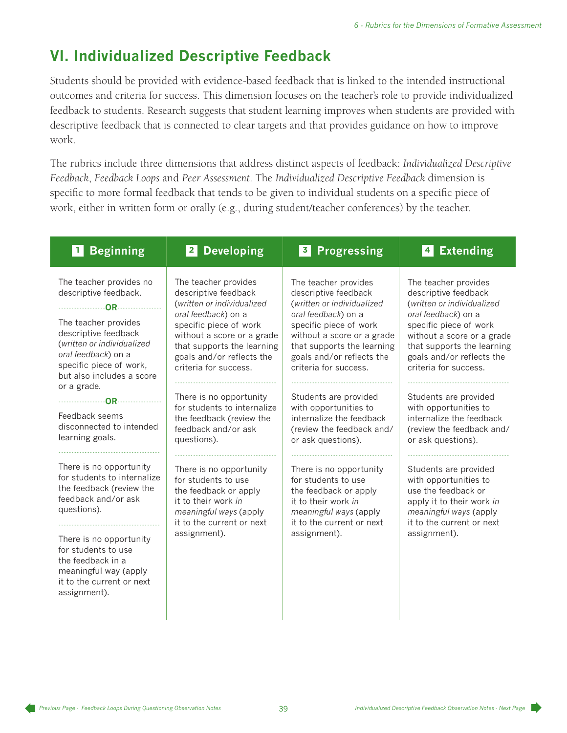# **VI. Individualized Descriptive Feedback**

Students should be provided with evidence-based feedback that is linked to the intended instructional outcomes and criteria for success. This dimension focuses on the teacher's role to provide individualized feedback to students. Research suggests that student learning improves when students are provided with descriptive feedback that is connected to clear targets and that provides guidance on how to improve work.

The rubrics include three dimensions that address distinct aspects of feedback: *Individualized Descriptive Feedback*, *Feedback Loops* and *Peer Assessment*. The *Individualized Descriptive Feedback* dimension is specific to more formal feedback that tends to be given to individual students on a specific piece of work, either in written form or orally (e.g., during student/teacher conferences) by the teacher.

| <b>Beginning</b>                                                                                                                                                                                                                                                      | 2 Developing                                                                                                                                                          | <b>Progressing</b>                                                                                                                                                    | <b>Extending</b>                                                                                                                                                          |
|-----------------------------------------------------------------------------------------------------------------------------------------------------------------------------------------------------------------------------------------------------------------------|-----------------------------------------------------------------------------------------------------------------------------------------------------------------------|-----------------------------------------------------------------------------------------------------------------------------------------------------------------------|---------------------------------------------------------------------------------------------------------------------------------------------------------------------------|
| $\blacksquare$                                                                                                                                                                                                                                                        |                                                                                                                                                                       | 3                                                                                                                                                                     | $\vert$ 4                                                                                                                                                                 |
| The teacher provides no                                                                                                                                                                                                                                               | The teacher provides                                                                                                                                                  | The teacher provides                                                                                                                                                  | The teacher provides                                                                                                                                                      |
| descriptive feedback.                                                                                                                                                                                                                                                 | descriptive feedback                                                                                                                                                  | descriptive feedback                                                                                                                                                  | descriptive feedback                                                                                                                                                      |
|                                                                                                                                                                                                                                                                       | (written or individualized                                                                                                                                            | (written or individualized                                                                                                                                            | (written or individualized                                                                                                                                                |
| The teacher provides                                                                                                                                                                                                                                                  | oral feedback) on a                                                                                                                                                   | oral feedback) on a                                                                                                                                                   | oral feedback) on a                                                                                                                                                       |
| descriptive feedback                                                                                                                                                                                                                                                  | specific piece of work                                                                                                                                                | specific piece of work                                                                                                                                                | specific piece of work                                                                                                                                                    |
| (written or individualized                                                                                                                                                                                                                                            | without a score or a grade                                                                                                                                            | without a score or a grade                                                                                                                                            | without a score or a grade                                                                                                                                                |
| oral feedback) on a                                                                                                                                                                                                                                                   | that supports the learning                                                                                                                                            | that supports the learning                                                                                                                                            | that supports the learning                                                                                                                                                |
| specific piece of work,                                                                                                                                                                                                                                               | goals and/or reflects the                                                                                                                                             | goals and/or reflects the                                                                                                                                             | goals and/or reflects the                                                                                                                                                 |
| but also includes a score                                                                                                                                                                                                                                             | criteria for success.                                                                                                                                                 | criteria for success.                                                                                                                                                 | criteria for success.                                                                                                                                                     |
| or a grade.                                                                                                                                                                                                                                                           | There is no opportunity                                                                                                                                               | Students are provided                                                                                                                                                 | Students are provided                                                                                                                                                     |
|                                                                                                                                                                                                                                                                       | for students to internalize                                                                                                                                           | with opportunities to                                                                                                                                                 | with opportunities to                                                                                                                                                     |
| Feedback seems                                                                                                                                                                                                                                                        | the feedback (review the                                                                                                                                              | internalize the feedback                                                                                                                                              | internalize the feedback                                                                                                                                                  |
| disconnected to intended                                                                                                                                                                                                                                              | feedback and/or ask                                                                                                                                                   | (review the feedback and/                                                                                                                                             | (review the feedback and/                                                                                                                                                 |
| learning goals.                                                                                                                                                                                                                                                       | questions).                                                                                                                                                           | or ask questions).                                                                                                                                                    | or ask questions).                                                                                                                                                        |
| There is no opportunity<br>for students to internalize<br>the feedback (review the<br>feedback and/or ask<br>questions).<br>There is no opportunity<br>for students to use<br>the feedback in a<br>meaningful way (apply<br>it to the current or next<br>assignment). | There is no opportunity<br>for students to use<br>the feedback or apply<br>it to their work in<br>meaningful ways (apply<br>it to the current or next<br>assignment). | There is no opportunity<br>for students to use<br>the feedback or apply<br>it to their work in<br>meaningful ways (apply<br>it to the current or next<br>assignment). | Students are provided<br>with opportunities to<br>use the feedback or<br>apply it to their work in<br>meaningful ways (apply<br>it to the current or next<br>assignment). |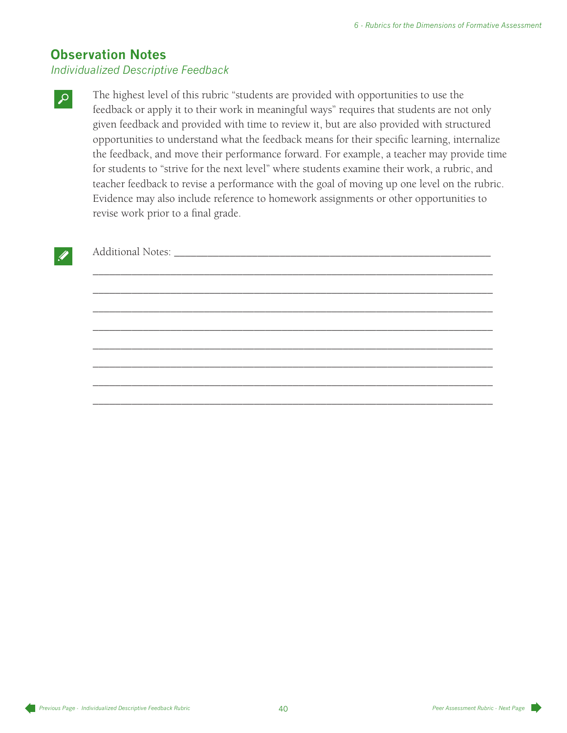### **Observation Notes**

#### *Individualized Descriptive Feedback*

The highest level of this rubric "students are provided with opportunities to use the feedback or apply it to their work in meaningful ways" requires that students are not only given feedback and provided with time to review it, but are also provided with structured opportunities to understand what the feedback means for their specific learning, internalize the feedback, and move their performance forward. For example, a teacher may provide time for students to "strive for the next level" where students examine their work, a rubric, and teacher feedback to revise a performance with the goal of moving up one level on the rubric. Evidence may also include reference to homework assignments or other opportunities to revise work prior to a final grade.

\_\_\_\_\_\_\_\_\_\_\_\_\_\_\_\_\_\_\_\_\_\_\_\_\_\_\_\_\_\_\_\_\_\_\_\_\_\_\_\_\_\_\_\_\_\_\_\_\_\_\_\_\_\_\_\_\_\_\_\_\_\_\_\_\_\_\_\_\_\_\_\_

\_\_\_\_\_\_\_\_\_\_\_\_\_\_\_\_\_\_\_\_\_\_\_\_\_\_\_\_\_\_\_\_\_\_\_\_\_\_\_\_\_\_\_\_\_\_\_\_\_\_\_\_\_\_\_\_\_\_\_\_\_\_\_\_\_\_\_\_\_\_\_\_

\_\_\_\_\_\_\_\_\_\_\_\_\_\_\_\_\_\_\_\_\_\_\_\_\_\_\_\_\_\_\_\_\_\_\_\_\_\_\_\_\_\_\_\_\_\_\_\_\_\_\_\_\_\_\_\_\_\_\_\_\_\_\_\_\_\_\_\_\_\_\_\_

\_\_\_\_\_\_\_\_\_\_\_\_\_\_\_\_\_\_\_\_\_\_\_\_\_\_\_\_\_\_\_\_\_\_\_\_\_\_\_\_\_\_\_\_\_\_\_\_\_\_\_\_\_\_\_\_\_\_\_\_\_\_\_\_\_\_\_\_\_\_\_\_

\_\_\_\_\_\_\_\_\_\_\_\_\_\_\_\_\_\_\_\_\_\_\_\_\_\_\_\_\_\_\_\_\_\_\_\_\_\_\_\_\_\_\_\_\_\_\_\_\_\_\_\_\_\_\_\_\_\_\_\_\_\_\_\_\_\_\_\_\_\_\_\_

\_\_\_\_\_\_\_\_\_\_\_\_\_\_\_\_\_\_\_\_\_\_\_\_\_\_\_\_\_\_\_\_\_\_\_\_\_\_\_\_\_\_\_\_\_\_\_\_\_\_\_\_\_\_\_\_\_\_\_\_\_\_\_\_\_\_\_\_\_\_\_\_

\_\_\_\_\_\_\_\_\_\_\_\_\_\_\_\_\_\_\_\_\_\_\_\_\_\_\_\_\_\_\_\_\_\_\_\_\_\_\_\_\_\_\_\_\_\_\_\_\_\_\_\_\_\_\_\_\_\_\_\_\_\_\_\_\_\_\_\_\_\_\_\_

\_\_\_\_\_\_\_\_\_\_\_\_\_\_\_\_\_\_\_\_\_\_\_\_\_\_\_\_\_\_\_\_\_\_\_\_\_\_\_\_\_\_\_\_\_\_\_\_\_\_\_\_\_\_\_\_\_\_\_\_\_\_\_\_\_\_\_\_\_\_\_\_

Additional Notes: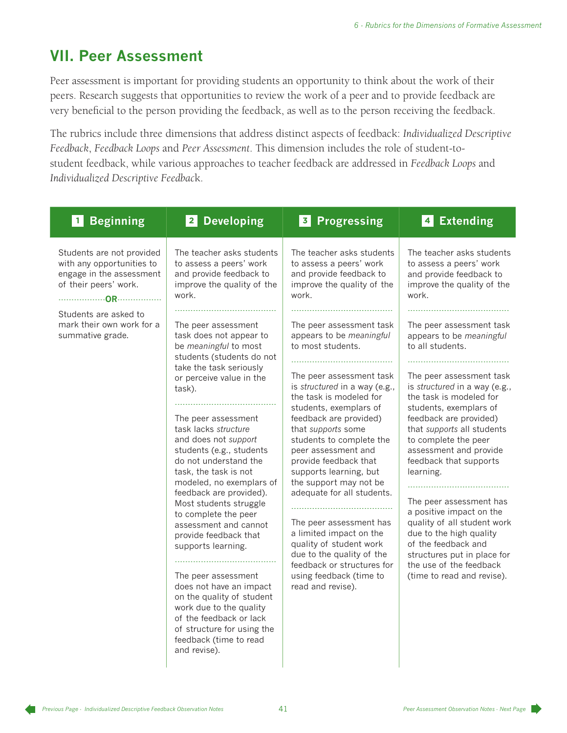# **VII. Peer Assessment**

Peer assessment is important for providing students an opportunity to think about the work of their peers. Research suggests that opportunities to review the work of a peer and to provide feedback are very beneficial to the person providing the feedback, as well as to the person receiving the feedback.

The rubrics include three dimensions that address distinct aspects of feedback: *Individualized Descriptive Feedback*, *Feedback Loops* and *Peer Assessment*. This dimension includes the role of student-tostudent feedback, while various approaches to teacher feedback are addressed in *Feedback Loops* and *Individualized Descriptive Feedbac*k.

| <b>1</b> Beginning                                                                                                                                                                    | 2 Developing                                                                                                                                                                                                                                                                                                                                                                                                                                                                                                                                                                                                                                                                                                                                                                                                                                       | 3 Progressing                                                                                                                                                                                                                                                                                                                                                                                                                                                                                                                                                                                                                                                                                                                   | 4 Extending                                                                                                                                                                                                                                                                                                                                                                                                                                                                                                                                                                                                                                                                                           |
|---------------------------------------------------------------------------------------------------------------------------------------------------------------------------------------|----------------------------------------------------------------------------------------------------------------------------------------------------------------------------------------------------------------------------------------------------------------------------------------------------------------------------------------------------------------------------------------------------------------------------------------------------------------------------------------------------------------------------------------------------------------------------------------------------------------------------------------------------------------------------------------------------------------------------------------------------------------------------------------------------------------------------------------------------|---------------------------------------------------------------------------------------------------------------------------------------------------------------------------------------------------------------------------------------------------------------------------------------------------------------------------------------------------------------------------------------------------------------------------------------------------------------------------------------------------------------------------------------------------------------------------------------------------------------------------------------------------------------------------------------------------------------------------------|-------------------------------------------------------------------------------------------------------------------------------------------------------------------------------------------------------------------------------------------------------------------------------------------------------------------------------------------------------------------------------------------------------------------------------------------------------------------------------------------------------------------------------------------------------------------------------------------------------------------------------------------------------------------------------------------------------|
| Students are not provided<br>with any opportunities to<br>engage in the assessment<br>of their peers' work.<br>Students are asked to<br>mark their own work for a<br>summative grade. | The teacher asks students<br>to assess a peers' work<br>and provide feedback to<br>improve the quality of the<br>work.<br>The peer assessment<br>task does not appear to<br>be meaningful to most<br>students (students do not<br>take the task seriously<br>or perceive value in the<br>task).<br>The peer assessment<br>task lacks structure<br>and does not support<br>students (e.g., students<br>do not understand the<br>task, the task is not<br>modeled, no exemplars of<br>feedback are provided).<br>Most students struggle<br>to complete the peer<br>assessment and cannot<br>provide feedback that<br>supports learning.<br>The peer assessment<br>does not have an impact<br>on the quality of student<br>work due to the quality<br>of the feedback or lack<br>of structure for using the<br>feedback (time to read<br>and revise). | The teacher asks students<br>to assess a peers' work<br>and provide feedback to<br>improve the quality of the<br>work.<br>The peer assessment task<br>appears to be meaningful<br>to most students.<br>The peer assessment task<br>is structured in a way (e.g.,<br>the task is modeled for<br>students, exemplars of<br>feedback are provided)<br>that supports some<br>students to complete the<br>peer assessment and<br>provide feedback that<br>supports learning, but<br>the support may not be<br>adequate for all students.<br>The peer assessment has<br>a limited impact on the<br>quality of student work<br>due to the quality of the<br>feedback or structures for<br>using feedback (time to<br>read and revise). | The teacher asks students<br>to assess a peers' work<br>and provide feedback to<br>improve the quality of the<br>work.<br>The peer assessment task<br>appears to be meaningful<br>to all students.<br>The peer assessment task<br>is structured in a way (e.g.,<br>the task is modeled for<br>students, exemplars of<br>feedback are provided)<br>that supports all students<br>to complete the peer<br>assessment and provide<br>feedback that supports<br>learning.<br>The peer assessment has<br>a positive impact on the<br>quality of all student work<br>due to the high quality<br>of the feedback and<br>structures put in place for<br>the use of the feedback<br>(time to read and revise). |

*Previous Page - Individualized Descriptive Feedback Observation Notes Peer Assessment Observation Notes - Next Page*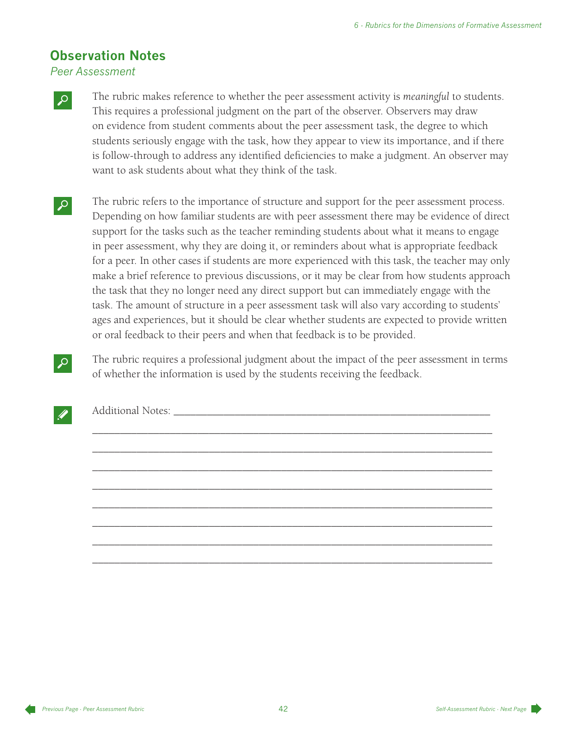## **Observation Notes**

*Peer Assessment*

The rubric makes reference to whether the peer assessment activity is *meaningful* to students. This requires a professional judgment on the part of the observer. Observers may draw on evidence from student comments about the peer assessment task, the degree to which students seriously engage with the task, how they appear to view its importance, and if there is follow-through to address any identified deficiencies to make a judgment. An observer may want to ask students about what they think of the task.

- The rubric refers to the importance of structure and support for the peer assessment process. Depending on how familiar students are with peer assessment there may be evidence of direct support for the tasks such as the teacher reminding students about what it means to engage in peer assessment, why they are doing it, or reminders about what is appropriate feedback for a peer. In other cases if students are more experienced with this task, the teacher may only make a brief reference to previous discussions, or it may be clear from how students approach the task that they no longer need any direct support but can immediately engage with the task. The amount of structure in a peer assessment task will also vary according to students' ages and experiences, but it should be clear whether students are expected to provide written or oral feedback to their peers and when that feedback is to be provided.
- The rubric requires a professional judgment about the impact of the peer assessment in terms of whether the information is used by the students receiving the feedback.

\_\_\_\_\_\_\_\_\_\_\_\_\_\_\_\_\_\_\_\_\_\_\_\_\_\_\_\_\_\_\_\_\_\_\_\_\_\_\_\_\_\_\_\_\_\_\_\_\_\_\_\_\_\_\_\_\_\_\_\_\_\_\_\_\_\_\_\_\_\_\_\_

\_\_\_\_\_\_\_\_\_\_\_\_\_\_\_\_\_\_\_\_\_\_\_\_\_\_\_\_\_\_\_\_\_\_\_\_\_\_\_\_\_\_\_\_\_\_\_\_\_\_\_\_\_\_\_\_\_\_\_\_\_\_\_\_\_\_\_\_\_\_\_\_

\_\_\_\_\_\_\_\_\_\_\_\_\_\_\_\_\_\_\_\_\_\_\_\_\_\_\_\_\_\_\_\_\_\_\_\_\_\_\_\_\_\_\_\_\_\_\_\_\_\_\_\_\_\_\_\_\_\_\_\_\_\_\_\_\_\_\_\_\_\_\_\_

\_\_\_\_\_\_\_\_\_\_\_\_\_\_\_\_\_\_\_\_\_\_\_\_\_\_\_\_\_\_\_\_\_\_\_\_\_\_\_\_\_\_\_\_\_\_\_\_\_\_\_\_\_\_\_\_\_\_\_\_\_\_\_\_\_\_\_\_\_\_\_\_

\_\_\_\_\_\_\_\_\_\_\_\_\_\_\_\_\_\_\_\_\_\_\_\_\_\_\_\_\_\_\_\_\_\_\_\_\_\_\_\_\_\_\_\_\_\_\_\_\_\_\_\_\_\_\_\_\_\_\_\_\_\_\_\_\_\_\_\_\_\_\_\_

\_\_\_\_\_\_\_\_\_\_\_\_\_\_\_\_\_\_\_\_\_\_\_\_\_\_\_\_\_\_\_\_\_\_\_\_\_\_\_\_\_\_\_\_\_\_\_\_\_\_\_\_\_\_\_\_\_\_\_\_\_\_\_\_\_\_\_\_\_\_\_\_

\_\_\_\_\_\_\_\_\_\_\_\_\_\_\_\_\_\_\_\_\_\_\_\_\_\_\_\_\_\_\_\_\_\_\_\_\_\_\_\_\_\_\_\_\_\_\_\_\_\_\_\_\_\_\_\_\_\_\_\_\_\_\_\_\_\_\_\_\_\_\_\_

\_\_\_\_\_\_\_\_\_\_\_\_\_\_\_\_\_\_\_\_\_\_\_\_\_\_\_\_\_\_\_\_\_\_\_\_\_\_\_\_\_\_\_\_\_\_\_\_\_\_\_\_\_\_\_\_\_\_\_\_\_\_\_\_\_\_\_\_\_\_\_\_

Additional Notes: \_\_\_\_\_\_\_\_\_\_\_\_\_\_\_\_\_\_\_\_\_\_\_\_\_\_\_\_\_\_\_\_\_\_\_\_\_\_\_\_\_\_\_\_\_\_\_\_\_\_\_\_\_\_\_\_\_

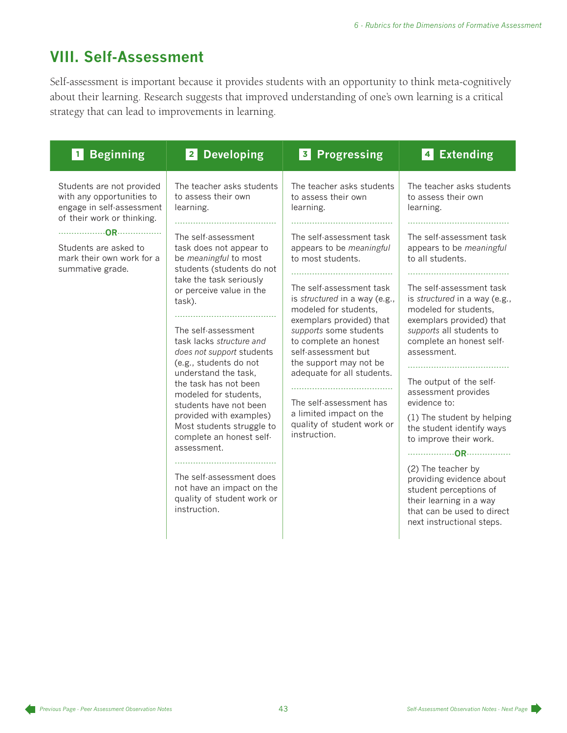# **VIII. Self-Assessment**

Self-assessment is important because it provides students with an opportunity to think meta-cognitively about their learning. Research suggests that improved understanding of one's own learning is a critical strategy that can lead to improvements in learning.

| <b>Beginning</b>                                                                                                                                                                            | <b>Developing</b>                                                                                                                                                                                                                                                                                                                                                                                                                                                                                                                                                                                                                                              | <b>Progressing</b>                                                                                                                                                                                                                                                                                                                                                                                                                                                                                 | <b>Extending</b>                                                                                                                                                                                                                                                                                                                                                                                                                                                                                                                                                                                                                                            |
|---------------------------------------------------------------------------------------------------------------------------------------------------------------------------------------------|----------------------------------------------------------------------------------------------------------------------------------------------------------------------------------------------------------------------------------------------------------------------------------------------------------------------------------------------------------------------------------------------------------------------------------------------------------------------------------------------------------------------------------------------------------------------------------------------------------------------------------------------------------------|----------------------------------------------------------------------------------------------------------------------------------------------------------------------------------------------------------------------------------------------------------------------------------------------------------------------------------------------------------------------------------------------------------------------------------------------------------------------------------------------------|-------------------------------------------------------------------------------------------------------------------------------------------------------------------------------------------------------------------------------------------------------------------------------------------------------------------------------------------------------------------------------------------------------------------------------------------------------------------------------------------------------------------------------------------------------------------------------------------------------------------------------------------------------------|
| 1                                                                                                                                                                                           | $\vert$ 2                                                                                                                                                                                                                                                                                                                                                                                                                                                                                                                                                                                                                                                      | $\vert$ 3                                                                                                                                                                                                                                                                                                                                                                                                                                                                                          | 4                                                                                                                                                                                                                                                                                                                                                                                                                                                                                                                                                                                                                                                           |
| Students are not provided<br>with any opportunities to<br>engage in self-assessment<br>of their work or thinking.<br>Students are asked to<br>mark their own work for a<br>summative grade. | The teacher asks students<br>to assess their own<br>learning.<br>The self-assessment<br>task does not appear to<br>be meaningful to most<br>students (students do not<br>take the task seriously<br>or perceive value in the<br>task).<br>The self-assessment<br>task lacks structure and<br>does not support students<br>(e.g., students do not<br>understand the task,<br>the task has not been<br>modeled for students,<br>students have not been<br>provided with examples)<br>Most students struggle to<br>complete an honest self-<br>assessment.<br>The self-assessment does<br>not have an impact on the<br>quality of student work or<br>instruction. | The teacher asks students<br>to assess their own<br>learning.<br>The self-assessment task<br>appears to be meaningful<br>to most students.<br>The self-assessment task<br>is structured in a way (e.g.,<br>modeled for students,<br>exemplars provided) that<br>supports some students<br>to complete an honest<br>self-assessment but<br>the support may not be<br>adequate for all students.<br>The self-assessment has<br>a limited impact on the<br>quality of student work or<br>instruction. | The teacher asks students<br>to assess their own<br>learning.<br>The self-assessment task<br>appears to be meaningful<br>to all students.<br>The self-assessment task<br>is structured in a way (e.g.,<br>modeled for students,<br>exemplars provided) that<br>supports all students to<br>complete an honest self-<br>assessment.<br>The output of the self-<br>assessment provides<br>evidence to:<br>(1) The student by helping<br>the student identify ways<br>to improve their work.<br>(2) The teacher by<br>providing evidence about<br>student perceptions of<br>their learning in a way<br>that can be used to direct<br>next instructional steps. |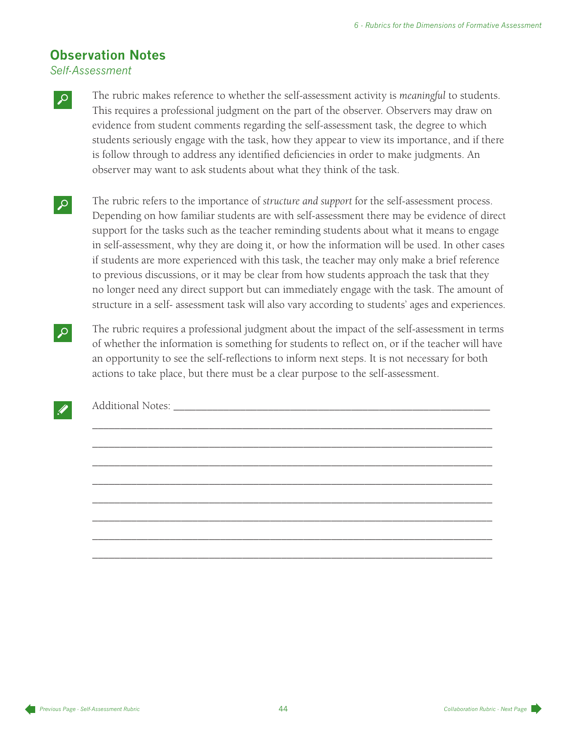## **Observation Notes**

*Self-Assessment*

The rubric makes reference to whether the self-assessment activity is *meaningful* to students. This requires a professional judgment on the part of the observer. Observers may draw on evidence from student comments regarding the self-assessment task, the degree to which students seriously engage with the task, how they appear to view its importance, and if there is follow through to address any identified deficiencies in order to make judgments. An observer may want to ask students about what they think of the task.

- M The rubric refers to the importance of *structure and support* for the self-assessment process. Depending on how familiar students are with self-assessment there may be evidence of direct support for the tasks such as the teacher reminding students about what it means to engage in self-assessment, why they are doing it, or how the information will be used. In other cases if students are more experienced with this task, the teacher may only make a brief reference to previous discussions, or it may be clear from how students approach the task that they no longer need any direct support but can immediately engage with the task. The amount of structure in a self- assessment task will also vary according to students' ages and experiences.
- The rubric requires a professional judgment about the impact of the self-assessment in terms of whether the information is something for students to reflect on, or if the teacher will have an opportunity to see the self-reflections to inform next steps. It is not necessary for both actions to take place, but there must be a clear purpose to the self-assessment.

\_\_\_\_\_\_\_\_\_\_\_\_\_\_\_\_\_\_\_\_\_\_\_\_\_\_\_\_\_\_\_\_\_\_\_\_\_\_\_\_\_\_\_\_\_\_\_\_\_\_\_\_\_\_\_\_\_\_\_\_\_\_\_\_\_\_\_\_\_\_\_\_

\_\_\_\_\_\_\_\_\_\_\_\_\_\_\_\_\_\_\_\_\_\_\_\_\_\_\_\_\_\_\_\_\_\_\_\_\_\_\_\_\_\_\_\_\_\_\_\_\_\_\_\_\_\_\_\_\_\_\_\_\_\_\_\_\_\_\_\_\_\_\_\_

\_\_\_\_\_\_\_\_\_\_\_\_\_\_\_\_\_\_\_\_\_\_\_\_\_\_\_\_\_\_\_\_\_\_\_\_\_\_\_\_\_\_\_\_\_\_\_\_\_\_\_\_\_\_\_\_\_\_\_\_\_\_\_\_\_\_\_\_\_\_\_\_

\_\_\_\_\_\_\_\_\_\_\_\_\_\_\_\_\_\_\_\_\_\_\_\_\_\_\_\_\_\_\_\_\_\_\_\_\_\_\_\_\_\_\_\_\_\_\_\_\_\_\_\_\_\_\_\_\_\_\_\_\_\_\_\_\_\_\_\_\_\_\_\_

\_\_\_\_\_\_\_\_\_\_\_\_\_\_\_\_\_\_\_\_\_\_\_\_\_\_\_\_\_\_\_\_\_\_\_\_\_\_\_\_\_\_\_\_\_\_\_\_\_\_\_\_\_\_\_\_\_\_\_\_\_\_\_\_\_\_\_\_\_\_\_\_

\_\_\_\_\_\_\_\_\_\_\_\_\_\_\_\_\_\_\_\_\_\_\_\_\_\_\_\_\_\_\_\_\_\_\_\_\_\_\_\_\_\_\_\_\_\_\_\_\_\_\_\_\_\_\_\_\_\_\_\_\_\_\_\_\_\_\_\_\_\_\_\_

\_\_\_\_\_\_\_\_\_\_\_\_\_\_\_\_\_\_\_\_\_\_\_\_\_\_\_\_\_\_\_\_\_\_\_\_\_\_\_\_\_\_\_\_\_\_\_\_\_\_\_\_\_\_\_\_\_\_\_\_\_\_\_\_\_\_\_\_\_\_\_\_

\_\_\_\_\_\_\_\_\_\_\_\_\_\_\_\_\_\_\_\_\_\_\_\_\_\_\_\_\_\_\_\_\_\_\_\_\_\_\_\_\_\_\_\_\_\_\_\_\_\_\_\_\_\_\_\_\_\_\_\_\_\_\_\_\_\_\_\_\_\_\_\_



Additional Notes: \_\_\_\_\_\_\_\_\_\_\_\_\_\_\_\_\_\_\_\_\_\_\_\_\_\_\_\_\_\_\_\_\_\_\_\_\_\_\_\_\_\_\_\_\_\_\_\_\_\_\_\_\_\_\_\_\_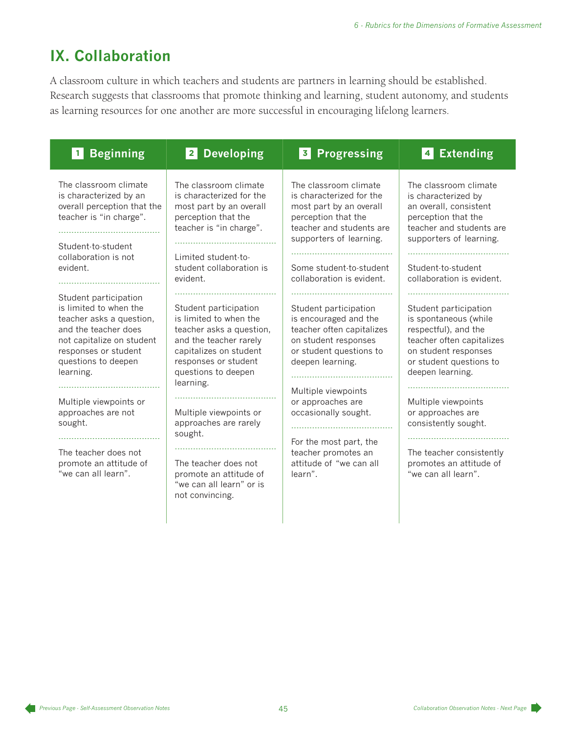# **IX. Collaboration**

A classroom culture in which teachers and students are partners in learning should be established. Research suggests that classrooms that promote thinking and learning, student autonomy, and students as learning resources for one another are more successful in encouraging lifelong learners.

| <b>Beginning</b>                                                                                                                                                                             | <b>Developing</b><br>$\vert$ 2 $\vert$                                                                                                                                                        | <b>Progressing</b><br>$\overline{\mathbf{3}}$                                                                                                                                                                      | <b>Extending</b><br>4                                                                                                                                                                                   |
|----------------------------------------------------------------------------------------------------------------------------------------------------------------------------------------------|-----------------------------------------------------------------------------------------------------------------------------------------------------------------------------------------------|--------------------------------------------------------------------------------------------------------------------------------------------------------------------------------------------------------------------|---------------------------------------------------------------------------------------------------------------------------------------------------------------------------------------------------------|
| The classroom climate<br>is characterized by an<br>overall perception that the<br>teacher is "in charge".<br>Student-to-student<br>collaboration is not<br>evident.<br><u>.</u>              | The classroom climate<br>is characterized for the<br>most part by an overall<br>perception that the<br>teacher is "in charge".<br>Limited student-to-<br>student collaboration is<br>evident. | The classroom climate<br>is characterized for the<br>most part by an overall<br>perception that the<br>teacher and students are<br>supporters of learning.<br>Some student-to-student<br>collaboration is evident. | The classroom climate<br>is characterized by<br>an overall, consistent<br>perception that the<br>teacher and students are<br>supporters of learning.<br>Student-to-student<br>collaboration is evident. |
| Student participation<br>is limited to when the<br>teacher asks a question,<br>and the teacher does<br>not capitalize on student<br>responses or student<br>questions to deepen<br>learning. | Student participation<br>is limited to when the<br>teacher asks a question,<br>and the teacher rarely<br>capitalizes on student<br>responses or student<br>questions to deepen<br>learning.   | Student participation<br>is encouraged and the<br>teacher often capitalizes<br>on student responses<br>or student questions to<br>deepen learning.                                                                 | Student participation<br>is spontaneous (while<br>respectful), and the<br>teacher often capitalizes<br>on student responses<br>or student questions to<br>deepen learning.                              |
| Multiple viewpoints or<br>approaches are not<br>sought.                                                                                                                                      | Multiple viewpoints or<br>approaches are rarely<br>sought.                                                                                                                                    | Multiple viewpoints<br>or approaches are<br>occasionally sought.                                                                                                                                                   | Multiple viewpoints<br>or approaches are<br>consistently sought.                                                                                                                                        |
| The teacher does not<br>promote an attitude of<br>"we can all learn".                                                                                                                        | The teacher does not<br>promote an attitude of<br>"we can all learn" or is<br>not convincing.                                                                                                 | For the most part, the<br>teacher promotes an<br>attitude of "we can all<br>learn".                                                                                                                                | The teacher consistently<br>promotes an attitude of<br>"we can all learn".                                                                                                                              |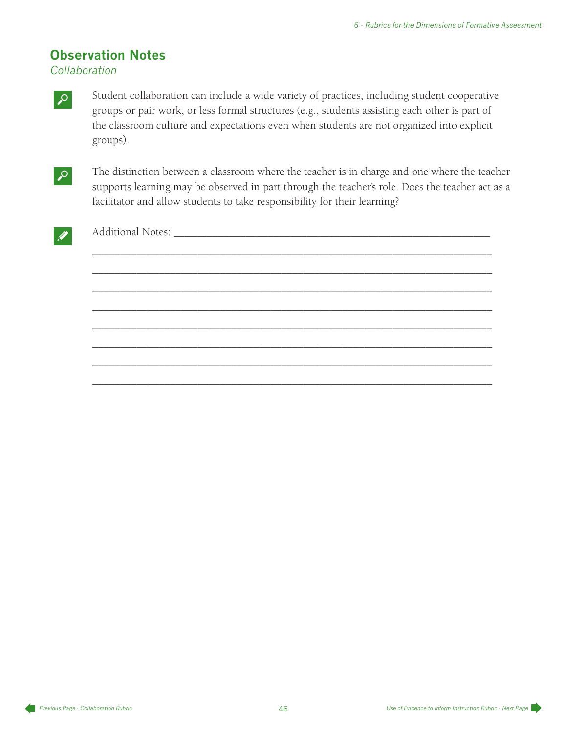## **Observation Notes**

*Collaboration*

Student collaboration can include a wide variety of practices, including student cooperative groups or pair work, or less formal structures (e.g., students assisting each other is part of the classroom culture and expectations even when students are not organized into explicit groups).



The distinction between a classroom where the teacher is in charge and one where the teacher supports learning may be observed in part through the teacher's role. Does the teacher act as a facilitator and allow students to take responsibility for their learning?

\_\_\_\_\_\_\_\_\_\_\_\_\_\_\_\_\_\_\_\_\_\_\_\_\_\_\_\_\_\_\_\_\_\_\_\_\_\_\_\_\_\_\_\_\_\_\_\_\_\_\_\_\_\_\_\_\_\_\_\_\_\_\_\_\_\_\_\_\_\_\_\_

\_\_\_\_\_\_\_\_\_\_\_\_\_\_\_\_\_\_\_\_\_\_\_\_\_\_\_\_\_\_\_\_\_\_\_\_\_\_\_\_\_\_\_\_\_\_\_\_\_\_\_\_\_\_\_\_\_\_\_\_\_\_\_\_\_\_\_\_\_\_\_\_

\_\_\_\_\_\_\_\_\_\_\_\_\_\_\_\_\_\_\_\_\_\_\_\_\_\_\_\_\_\_\_\_\_\_\_\_\_\_\_\_\_\_\_\_\_\_\_\_\_\_\_\_\_\_\_\_\_\_\_\_\_\_\_\_\_\_\_\_\_\_\_\_

\_\_\_\_\_\_\_\_\_\_\_\_\_\_\_\_\_\_\_\_\_\_\_\_\_\_\_\_\_\_\_\_\_\_\_\_\_\_\_\_\_\_\_\_\_\_\_\_\_\_\_\_\_\_\_\_\_\_\_\_\_\_\_\_\_\_\_\_\_\_\_\_

\_\_\_\_\_\_\_\_\_\_\_\_\_\_\_\_\_\_\_\_\_\_\_\_\_\_\_\_\_\_\_\_\_\_\_\_\_\_\_\_\_\_\_\_\_\_\_\_\_\_\_\_\_\_\_\_\_\_\_\_\_\_\_\_\_\_\_\_\_\_\_\_

\_\_\_\_\_\_\_\_\_\_\_\_\_\_\_\_\_\_\_\_\_\_\_\_\_\_\_\_\_\_\_\_\_\_\_\_\_\_\_\_\_\_\_\_\_\_\_\_\_\_\_\_\_\_\_\_\_\_\_\_\_\_\_\_\_\_\_\_\_\_\_\_

\_\_\_\_\_\_\_\_\_\_\_\_\_\_\_\_\_\_\_\_\_\_\_\_\_\_\_\_\_\_\_\_\_\_\_\_\_\_\_\_\_\_\_\_\_\_\_\_\_\_\_\_\_\_\_\_\_\_\_\_\_\_\_\_\_\_\_\_\_\_\_\_

\_\_\_\_\_\_\_\_\_\_\_\_\_\_\_\_\_\_\_\_\_\_\_\_\_\_\_\_\_\_\_\_\_\_\_\_\_\_\_\_\_\_\_\_\_\_\_\_\_\_\_\_\_\_\_\_\_\_\_\_\_\_\_\_\_\_\_\_\_\_\_\_



Additional Notes: \_\_\_\_\_\_\_\_\_\_\_\_\_\_\_\_\_\_\_\_\_\_\_\_\_\_\_\_\_\_\_\_\_\_\_\_\_\_\_\_\_\_\_\_\_\_\_\_\_\_\_\_\_\_\_\_\_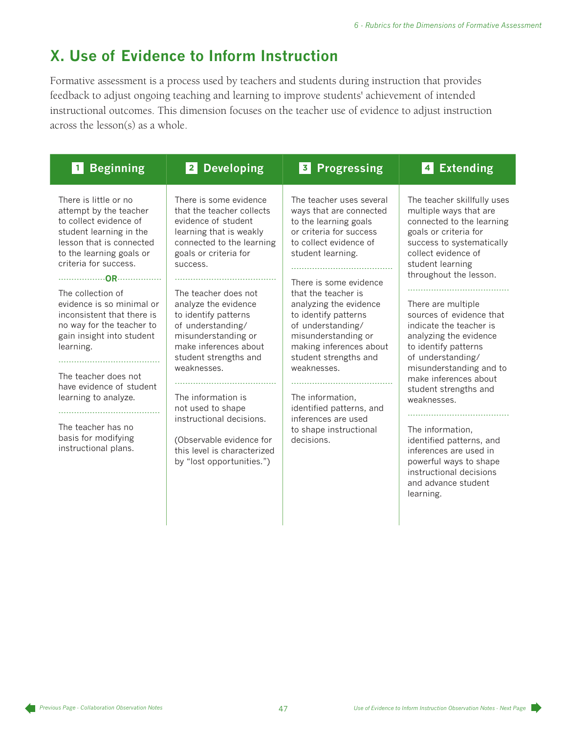# **X. Use of Evidence to Inform Instruction**

Formative assessment is a process used by teachers and students during instruction that provides feedback to adjust ongoing teaching and learning to improve students' achievement of intended instructional outcomes. This dimension focuses on the teacher use of evidence to adjust instruction across the lesson(s) as a whole.

| <b>Beginning</b><br>$\vert$ 1 $\vert$                                                                                                                                                                                                                                                                                                                                                                                                                                                         | 2 Developing                                                                                                                                                                                                                                                                                                                                                                                                                                                                                                                | <b>Progressing</b><br> 3                                                                                                                                                                                                                                                                                                                                                                                                                                                                | <b>Extending</b><br>$\vert$ 4                                                                                                                                                                                                                                                                                                                                                                                                                                                                                                                                                                                                    |
|-----------------------------------------------------------------------------------------------------------------------------------------------------------------------------------------------------------------------------------------------------------------------------------------------------------------------------------------------------------------------------------------------------------------------------------------------------------------------------------------------|-----------------------------------------------------------------------------------------------------------------------------------------------------------------------------------------------------------------------------------------------------------------------------------------------------------------------------------------------------------------------------------------------------------------------------------------------------------------------------------------------------------------------------|-----------------------------------------------------------------------------------------------------------------------------------------------------------------------------------------------------------------------------------------------------------------------------------------------------------------------------------------------------------------------------------------------------------------------------------------------------------------------------------------|----------------------------------------------------------------------------------------------------------------------------------------------------------------------------------------------------------------------------------------------------------------------------------------------------------------------------------------------------------------------------------------------------------------------------------------------------------------------------------------------------------------------------------------------------------------------------------------------------------------------------------|
| There is little or no<br>attempt by the teacher<br>to collect evidence of<br>student learning in the<br>lesson that is connected<br>to the learning goals or<br>criteria for success.<br>The collection of<br>evidence is so minimal or<br>inconsistent that there is<br>no way for the teacher to<br>gain insight into student<br>learning.<br>The teacher does not<br>have evidence of student<br>learning to analyze.<br>The teacher has no<br>basis for modifying<br>instructional plans. | There is some evidence<br>that the teacher collects<br>evidence of student<br>learning that is weakly<br>connected to the learning<br>goals or criteria for<br>success.<br>The teacher does not<br>analyze the evidence<br>to identify patterns<br>of understanding/<br>misunderstanding or<br>make inferences about<br>student strengths and<br>weaknesses.<br>The information is<br>not used to shape<br>instructional decisions.<br>(Observable evidence for<br>this level is characterized<br>by "lost opportunities.") | The teacher uses several<br>ways that are connected<br>to the learning goals<br>or criteria for success<br>to collect evidence of<br>student learning.<br>There is some evidence<br>that the teacher is<br>analyzing the evidence<br>to identify patterns<br>of understanding/<br>misunderstanding or<br>making inferences about<br>student strengths and<br>weaknesses.<br>The information,<br>identified patterns, and<br>inferences are used<br>to shape instructional<br>decisions. | The teacher skillfully uses<br>multiple ways that are<br>connected to the learning<br>goals or criteria for<br>success to systematically<br>collect evidence of<br>student learning<br>throughout the lesson.<br>There are multiple<br>sources of evidence that<br>indicate the teacher is<br>analyzing the evidence<br>to identify patterns<br>of understanding/<br>misunderstanding and to<br>make inferences about<br>student strengths and<br>weaknesses.<br>The information,<br>identified patterns, and<br>inferences are used in<br>powerful ways to shape<br>instructional decisions<br>and advance student<br>learning. |
|                                                                                                                                                                                                                                                                                                                                                                                                                                                                                               |                                                                                                                                                                                                                                                                                                                                                                                                                                                                                                                             |                                                                                                                                                                                                                                                                                                                                                                                                                                                                                         |                                                                                                                                                                                                                                                                                                                                                                                                                                                                                                                                                                                                                                  |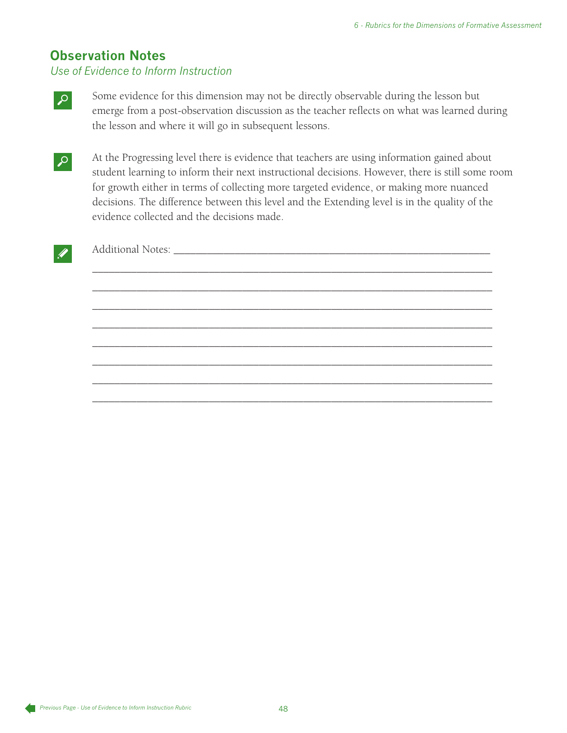## **Observation Notes**

*Use of Evidence to Inform Instruction*



Some evidence for this dimension may not be directly observable during the lesson but emerge from a post-observation discussion as the teacher reflects on what was learned during the lesson and where it will go in subsequent lessons.

At the Progressing level there is evidence that teachers are using information gained about student learning to inform their next instructional decisions. However, there is still some room for growth either in terms of collecting more targeted evidence, or making more nuanced decisions. The difference between this level and the Extending level is in the quality of the evidence collected and the decisions made.

\_\_\_\_\_\_\_\_\_\_\_\_\_\_\_\_\_\_\_\_\_\_\_\_\_\_\_\_\_\_\_\_\_\_\_\_\_\_\_\_\_\_\_\_\_\_\_\_\_\_\_\_\_\_\_\_\_\_\_\_\_\_\_\_\_\_\_\_\_\_\_\_

\_\_\_\_\_\_\_\_\_\_\_\_\_\_\_\_\_\_\_\_\_\_\_\_\_\_\_\_\_\_\_\_\_\_\_\_\_\_\_\_\_\_\_\_\_\_\_\_\_\_\_\_\_\_\_\_\_\_\_\_\_\_\_\_\_\_\_\_\_\_\_\_

\_\_\_\_\_\_\_\_\_\_\_\_\_\_\_\_\_\_\_\_\_\_\_\_\_\_\_\_\_\_\_\_\_\_\_\_\_\_\_\_\_\_\_\_\_\_\_\_\_\_\_\_\_\_\_\_\_\_\_\_\_\_\_\_\_\_\_\_\_\_\_\_

\_\_\_\_\_\_\_\_\_\_\_\_\_\_\_\_\_\_\_\_\_\_\_\_\_\_\_\_\_\_\_\_\_\_\_\_\_\_\_\_\_\_\_\_\_\_\_\_\_\_\_\_\_\_\_\_\_\_\_\_\_\_\_\_\_\_\_\_\_\_\_\_

\_\_\_\_\_\_\_\_\_\_\_\_\_\_\_\_\_\_\_\_\_\_\_\_\_\_\_\_\_\_\_\_\_\_\_\_\_\_\_\_\_\_\_\_\_\_\_\_\_\_\_\_\_\_\_\_\_\_\_\_\_\_\_\_\_\_\_\_\_\_\_\_

\_\_\_\_\_\_\_\_\_\_\_\_\_\_\_\_\_\_\_\_\_\_\_\_\_\_\_\_\_\_\_\_\_\_\_\_\_\_\_\_\_\_\_\_\_\_\_\_\_\_\_\_\_\_\_\_\_\_\_\_\_\_\_\_\_\_\_\_\_\_\_\_

\_\_\_\_\_\_\_\_\_\_\_\_\_\_\_\_\_\_\_\_\_\_\_\_\_\_\_\_\_\_\_\_\_\_\_\_\_\_\_\_\_\_\_\_\_\_\_\_\_\_\_\_\_\_\_\_\_\_\_\_\_\_\_\_\_\_\_\_\_\_\_\_

\_\_\_\_\_\_\_\_\_\_\_\_\_\_\_\_\_\_\_\_\_\_\_\_\_\_\_\_\_\_\_\_\_\_\_\_\_\_\_\_\_\_\_\_\_\_\_\_\_\_\_\_\_\_\_\_\_\_\_\_\_\_\_\_\_\_\_\_\_\_\_\_



Additional Notes: \_\_\_\_\_\_\_\_\_\_\_\_\_\_\_\_\_\_\_\_\_\_\_\_\_\_\_\_\_\_\_\_\_\_\_\_\_\_\_\_\_\_\_\_\_\_\_\_\_\_\_\_\_\_\_\_\_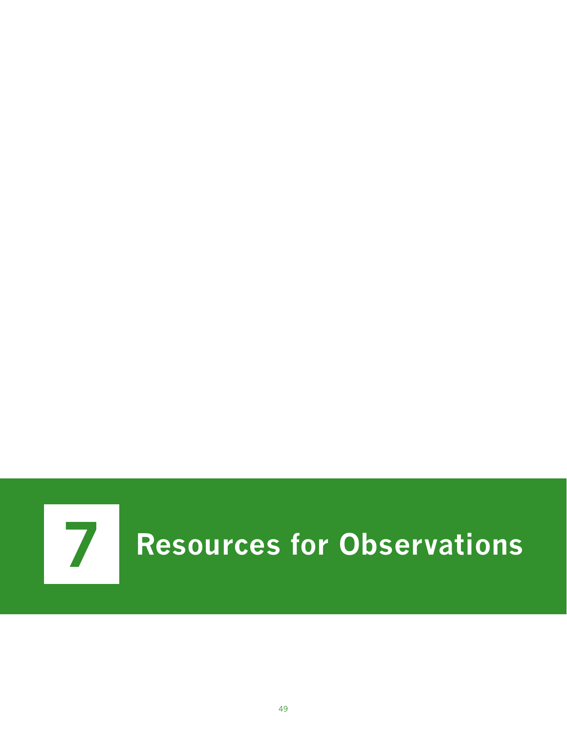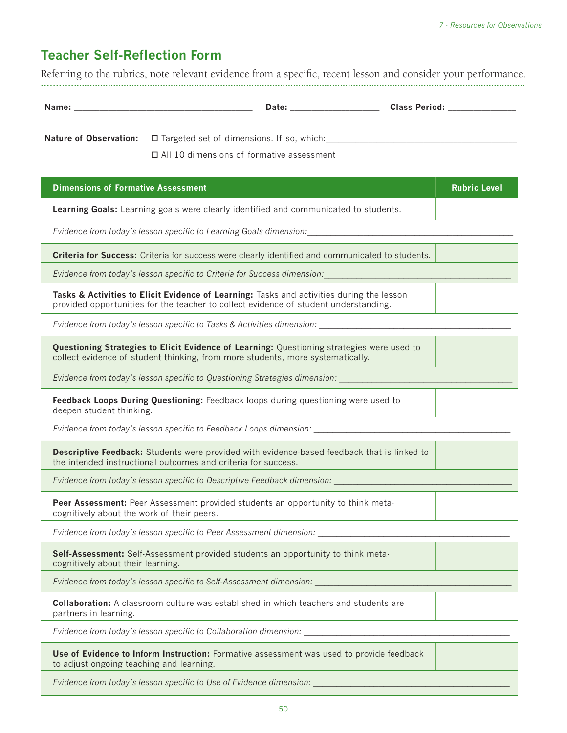## **Teacher Self-Reflection Form**

Referring to the rubrics, note relevant evidence from a specific, recent lesson and consider your performance. ----------------------------------------------------------------------------------------------------------------------------------------------------------------------------------------

| Name: | <b>D</b> utt | .<br>חחו<br>-- |
|-------|--------------|----------------|

Nature of Observation:  $\square$  Targeted set of dimensions. If so, which:

All 10 dimensions of formative assessment

| <b>Dimensions of Formative Assessment</b>                                                                                                                                         | <b>Rubric Level</b> |
|-----------------------------------------------------------------------------------------------------------------------------------------------------------------------------------|---------------------|
| Learning Goals: Learning goals were clearly identified and communicated to students.                                                                                              |                     |
| Evidence from today's lesson specific to Learning Goals dimension:                                                                                                                |                     |
| Criteria for Success: Criteria for success were clearly identified and communicated to students.                                                                                  |                     |
| Evidence from today's lesson specific to Criteria for Success dimension:                                                                                                          |                     |
| Tasks & Activities to Elicit Evidence of Learning: Tasks and activities during the lesson<br>provided opportunities for the teacher to collect evidence of student understanding. |                     |
| Evidence from today's lesson specific to Tasks & Activities dimension: __________                                                                                                 |                     |
| Questioning Strategies to Elicit Evidence of Learning: Questioning strategies were used to<br>collect evidence of student thinking, from more students, more systematically.      |                     |
| Evidence from today's lesson specific to Questioning Strategies dimension:                                                                                                        |                     |
| Feedback Loops During Questioning: Feedback loops during questioning were used to<br>deepen student thinking.                                                                     |                     |
| Evidence from today's lesson specific to Feedback Loops dimension: ______________                                                                                                 |                     |
| Descriptive Feedback: Students were provided with evidence-based feedback that is linked to<br>the intended instructional outcomes and criteria for success.                      |                     |
| Evidence from today's lesson specific to Descriptive Feedback dimension:                                                                                                          |                     |
| Peer Assessment: Peer Assessment provided students an opportunity to think meta-<br>cognitively about the work of their peers.                                                    |                     |
| Evidence from today's lesson specific to Peer Assessment dimension: ____________                                                                                                  |                     |
| Self-Assessment: Self-Assessment provided students an opportunity to think meta-<br>cognitively about their learning.                                                             |                     |
| Evidence from today's lesson specific to Self-Assessment dimension:                                                                                                               |                     |
| <b>Collaboration:</b> A classroom culture was established in which teachers and students are<br>partners in learning.                                                             |                     |
| Evidence from today's lesson specific to Collaboration dimension:                                                                                                                 |                     |
| Use of Evidence to Inform Instruction: Formative assessment was used to provide feedback                                                                                          |                     |

to adjust ongoing teaching and learning.

*Evidence from today's lesson specific to Use of Evidence dimension:*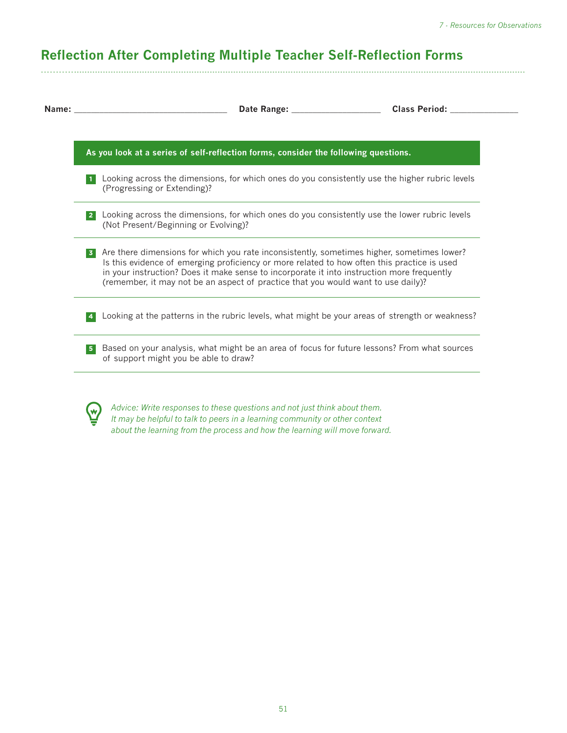# **Reflection After Completing Multiple Teacher Self-Reflection Forms**

----------------------------------------------------------------------------------------------------------------------------------------------------------------------------------------

| As you look at a series of self-reflection forms, consider the following questions.                                                                                                                                                                                                                                                                                                            |  |
|------------------------------------------------------------------------------------------------------------------------------------------------------------------------------------------------------------------------------------------------------------------------------------------------------------------------------------------------------------------------------------------------|--|
| Looking across the dimensions, for which ones do you consistently use the higher rubric levels<br>(Progressing or Extending)?                                                                                                                                                                                                                                                                  |  |
| Looking across the dimensions, for which ones do you consistently use the lower rubric levels<br>(Not Present/Beginning or Evolving)?                                                                                                                                                                                                                                                          |  |
| Are there dimensions for which you rate inconsistently, sometimes higher, sometimes lower?<br>3 <sup>1</sup><br>Is this evidence of emerging proficiency or more related to how often this practice is used<br>in your instruction? Does it make sense to incorporate it into instruction more frequently<br>(remember, it may not be an aspect of practice that you would want to use daily)? |  |
| Looking at the patterns in the rubric levels, what might be your areas of strength or weakness?<br>$\overline{4}$                                                                                                                                                                                                                                                                              |  |
| Based on your analysis, what might be an area of focus for future lessons? From what sources<br>5 <sub>1</sub><br>of support might you be able to draw?                                                                                                                                                                                                                                        |  |
|                                                                                                                                                                                                                                                                                                                                                                                                |  |



*Advice: Write responses to these questions and not just think about them. It may be helpful to talk to peers in a learning community or other context about the learning from the process and how the learning will move forward.*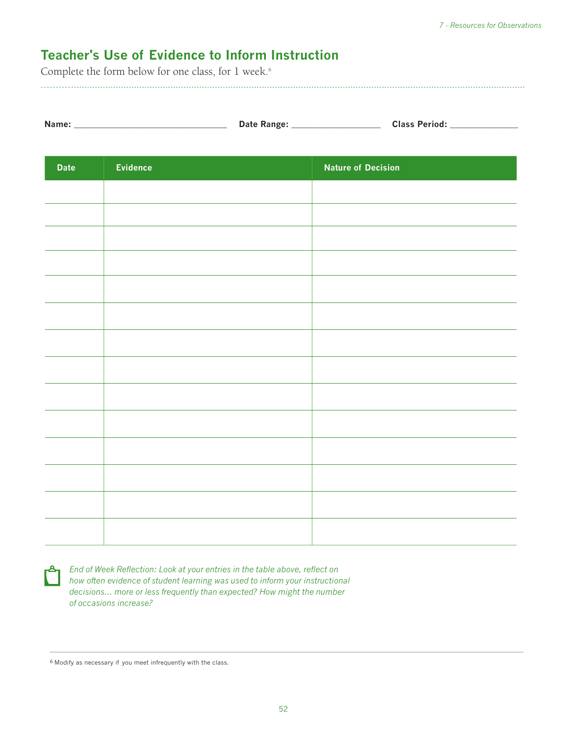## **Teacher's Use of Evidence to Inform Instruction**

Complete the form below for one class, for 1 week.<sup>6</sup>

|  | Name: | <b>Date Range</b> | <b>Class Period:</b> |
|--|-------|-------------------|----------------------|
|--|-------|-------------------|----------------------|

----------------------------------------------------------------------------------------------------------------------------------------------------------------------------------------

| <b>Date</b> | Evidence | <b>Nature of Decision</b> |
|-------------|----------|---------------------------|
|             |          |                           |
|             |          |                           |
|             |          |                           |
|             |          |                           |
|             |          |                           |
|             |          |                           |
|             |          |                           |
|             |          |                           |
|             |          |                           |
|             |          |                           |
|             |          |                           |
|             |          |                           |
|             |          |                           |
|             |          |                           |



**End of Week Reflection: Look at your entries in the table above, reflect on** *how often evidence of student learning was used to inform your instructional decisions… more or less frequently than expected? How might the number of occasions increase?*

6 Modify as necessary if you meet infrequently with the class.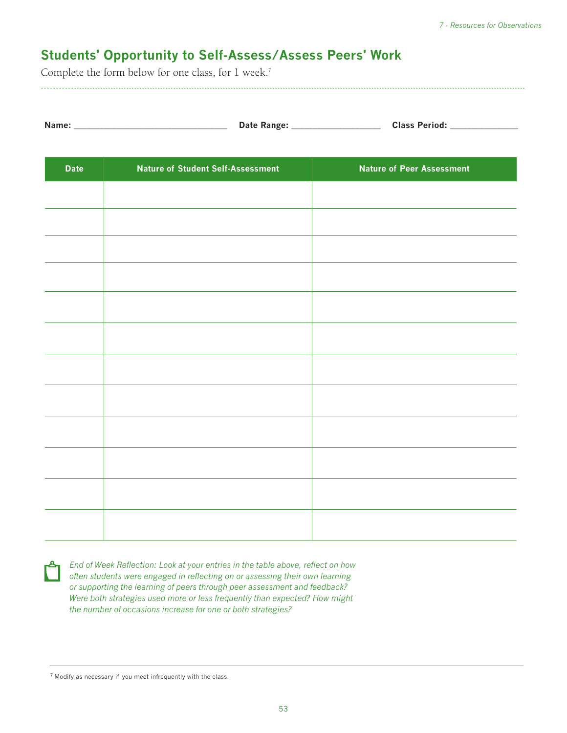## **Students' Opportunity to Self-Assess/Assess Peers' Work**

Complete the form below for one class, for 1 week.<sup>7</sup>

----------------------------------------------------------------------------------------------------------------------------------------------------------------------------------------

| Name: | Date Range: | <b>Class Period:</b> |
|-------|-------------|----------------------|
|-------|-------------|----------------------|

| <b>Date</b> | <b>Nature of Student Self-Assessment</b> | <b>Nature of Peer Assessment</b> |
|-------------|------------------------------------------|----------------------------------|
|             |                                          |                                  |
|             |                                          |                                  |
|             |                                          |                                  |
|             |                                          |                                  |
|             |                                          |                                  |
|             |                                          |                                  |
|             |                                          |                                  |
|             |                                          |                                  |
|             |                                          |                                  |
|             |                                          |                                  |
|             |                                          |                                  |
|             |                                          |                                  |
|             |                                          |                                  |
|             |                                          |                                  |
|             |                                          |                                  |

| 2년 1 |  |
|------|--|
|      |  |
|      |  |
|      |  |

*End of Week Reflection: Look at your entries in the table above, reflect on how often students were engaged in reflecting on or assessing their own learning or supporting the learning of peers through peer assessment and feedback? Were both strategies used more or less frequently than expected? How might the number of occasions increase for one or both strategies?* 

<sup>7</sup> Modify as necessary if you meet infrequently with the class.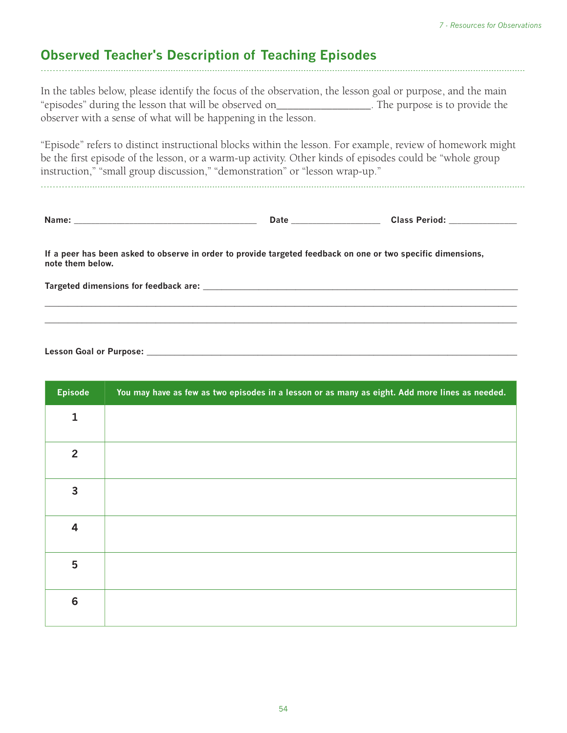## **Observed Teacher's Description of Teaching Episodes**

In the tables below, please identify the focus of the observation, the lesson goal or purpose, and the main "episodes" during the lesson that will be observed on\_\_\_\_\_\_\_\_\_\_\_\_\_\_\_\_\_. The purpose is to provide the observer with a sense of what will be happening in the lesson.

----------------------------------------------------------------------------------------------------------------------------------------------------------------------------------------

"Episode" refers to distinct instructional blocks within the lesson. For example, review of homework might be the first episode of the lesson, or a warm-up activity. Other kinds of episodes could be "whole group instruction," "small group discussion," "demonstration" or "lesson wrap-up."

----------------------------------------------------------------------------------------------------------------------------------------------------------------------------------------

**\_\_\_\_\_\_\_\_\_\_\_\_\_\_\_\_\_\_\_\_\_\_\_\_\_\_\_\_\_\_\_\_\_\_\_\_\_\_\_\_\_\_\_\_\_\_\_\_\_\_\_\_\_\_\_\_\_\_\_\_\_\_\_\_\_\_\_\_\_\_\_\_\_\_\_\_\_\_\_\_\_\_\_\_\_\_\_\_\_\_\_\_\_\_\_\_\_\_\_\_\_\_ \_\_\_\_\_\_\_\_\_\_\_\_\_\_\_\_\_\_\_\_\_\_\_\_\_\_\_\_\_\_\_\_\_\_\_\_\_\_\_\_\_\_\_\_\_\_\_\_\_\_\_\_\_\_\_\_\_\_\_\_\_\_\_\_\_\_\_\_\_\_\_\_\_\_\_\_\_\_\_\_\_\_\_\_\_\_\_\_\_\_\_\_\_\_\_\_\_\_\_\_\_\_**

| Name: |  |  |  |
|-------|--|--|--|
|       |  |  |  |

 $\blacksquare$  Date  $\blacksquare$   $\blacksquare$   $\blacksquare$   $\blacksquare$   $\blacksquare$   $\blacksquare$   $\blacksquare$   $\blacksquare$   $\blacksquare$   $\blacksquare$   $\blacksquare$   $\blacksquare$   $\blacksquare$   $\blacksquare$   $\blacksquare$   $\blacksquare$   $\blacksquare$   $\blacksquare$   $\blacksquare$   $\blacksquare$   $\blacksquare$   $\blacksquare$   $\blacksquare$   $\blacksquare$   $\blacksquare$   $\blacksquare$   $\blacksquare$   $\blacksquare$   $\blacksquare$   $\blacksquare$ 

**If a peer has been asked to observe in order to provide targeted feedback on one or two specific dimensions, note them below.**

**Targeted dimensions for feedback are: \_\_\_\_\_\_\_\_\_\_\_\_\_\_\_\_\_\_\_\_\_\_\_\_\_\_\_\_\_\_\_\_\_\_\_\_\_\_\_\_\_\_\_\_\_\_\_\_\_\_\_\_\_\_\_\_\_\_\_\_\_\_\_\_\_\_\_\_**

Lesson Goal or Purpose: \_\_\_\_

| <b>Episode</b>  | You may have as few as two episodes in a lesson or as many as eight. Add more lines as needed. |
|-----------------|------------------------------------------------------------------------------------------------|
| $\mathbf{1}$    |                                                                                                |
| $\overline{2}$  |                                                                                                |
| 3               |                                                                                                |
| 4               |                                                                                                |
| 5               |                                                                                                |
| $6\phantom{1}6$ |                                                                                                |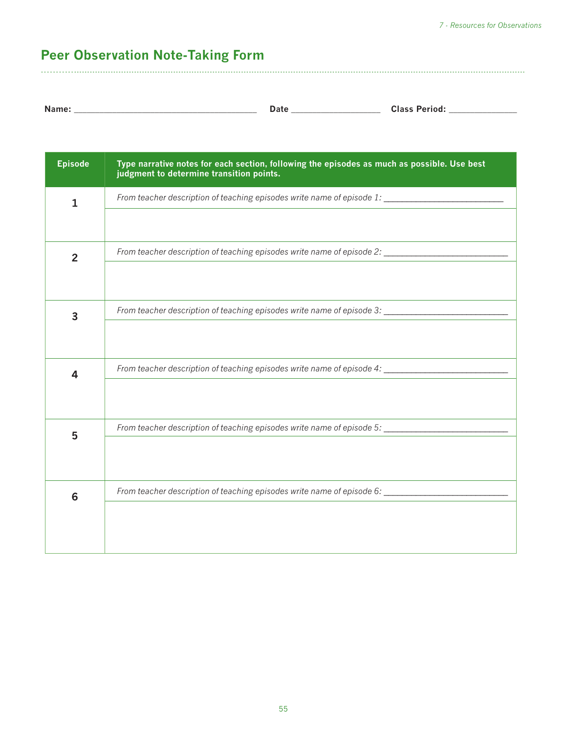# **Peer Observation Note-Taking Form**

| Name.<br>.<br>$\sim$<br>wids><br>Puw |
|--------------------------------------|
|--------------------------------------|

----------------------------------------------------------------------------------------------------------------------------------------------------------------------------------------

| <b>Episode</b> | Type narrative notes for each section, following the episodes as much as possible. Use best<br>judgment to determine transition points. |
|----------------|-----------------------------------------------------------------------------------------------------------------------------------------|
| 1              |                                                                                                                                         |
|                |                                                                                                                                         |
| $\overline{2}$ | From teacher description of teaching episodes write name of episode 2: _____________________________                                    |
|                |                                                                                                                                         |
| 3              | From teacher description of teaching episodes write name of episode 3:                                                                  |
|                |                                                                                                                                         |
| 4              | From teacher description of teaching episodes write name of episode 4: ____________________________                                     |
|                |                                                                                                                                         |
| 5              | From teacher description of teaching episodes write name of episode 5:                                                                  |
|                |                                                                                                                                         |
| 6              | From teacher description of teaching episodes write name of episode 6:                                                                  |
|                |                                                                                                                                         |
|                |                                                                                                                                         |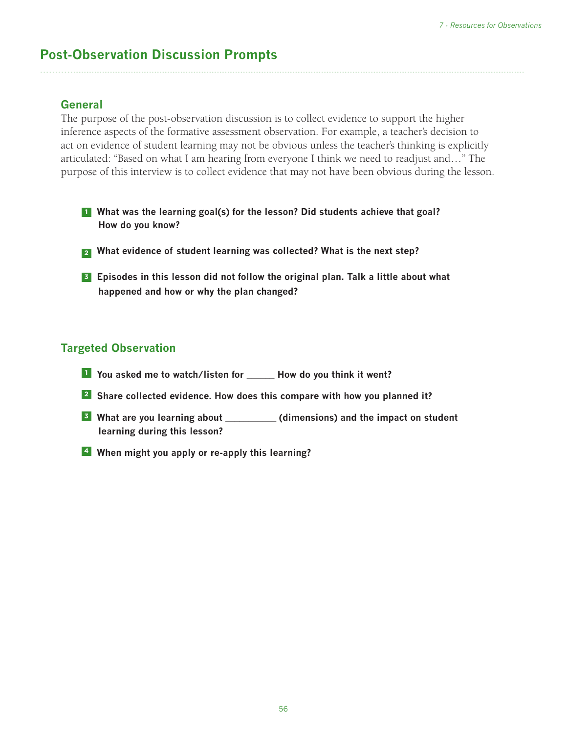## **Post-Observation Discussion Prompts**

#### **General**

The purpose of the post-observation discussion is to collect evidence to support the higher inference aspects of the formative assessment observation. For example, a teacher's decision to act on evidence of student learning may not be obvious unless the teacher's thinking is explicitly articulated: "Based on what I am hearing from everyone I think we need to readjust and…" The purpose of this interview is to collect evidence that may not have been obvious during the lesson.

----------------------------------------------------------------------------------------------------------------------------------------------------------------------------------------

- **<sup>1</sup> What was the learning goal(s) for the lesson? Did students achieve that goal? How do you know?**
- **<sup>2</sup> What evidence of student learning was collected? What is the next step?**
- **<sup>3</sup> Episodes in this lesson did not follow the original plan. Talk a little about what happened and how or why the plan changed?**

#### **Targeted Observation**

- **<sup>1</sup> You asked me to watch/listen for \_\_\_\_\_\_ How do you think it went?**
- **<sup>2</sup> Share collected evidence. How does this compare with how you planned it?**
- **<sup>3</sup> What are you learning about \_\_\_\_\_\_\_\_\_\_\_ (dimensions) and the impact on student learning during this lesson?**
- **4 When might you apply or re-apply this learning?**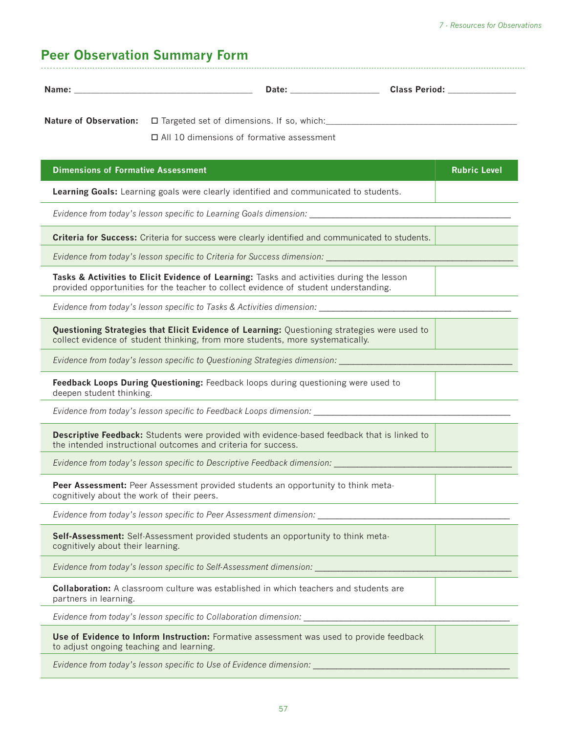# **Peer Observation Summary Form**

|                                            | Nature of Observation: □ Targeted set of dimensions. If so, which: _________________________________                                                                              |                     |
|--------------------------------------------|-----------------------------------------------------------------------------------------------------------------------------------------------------------------------------------|---------------------|
|                                            | $\Box$ All 10 dimensions of formative assessment                                                                                                                                  |                     |
| <b>Dimensions of Formative Assessment</b>  |                                                                                                                                                                                   | <b>Rubric Level</b> |
|                                            | Learning Goals: Learning goals were clearly identified and communicated to students.                                                                                              |                     |
|                                            |                                                                                                                                                                                   |                     |
|                                            | Criteria for Success: Criteria for success were clearly identified and communicated to students.                                                                                  |                     |
|                                            | Evidence from today's lesson specific to Criteria for Success dimension: __________________________                                                                               |                     |
|                                            | Tasks & Activities to Elicit Evidence of Learning: Tasks and activities during the lesson<br>provided opportunities for the teacher to collect evidence of student understanding. |                     |
|                                            | Evidence from today's lesson specific to Tasks & Activities dimension: _____________________________                                                                              |                     |
|                                            | Questioning Strategies that Elicit Evidence of Learning: Questioning strategies were used to<br>collect evidence of student thinking, from more students, more systematically.    |                     |
|                                            | Evidence from today's lesson specific to Questioning Strategies dimension: University of the University of the                                                                    |                     |
| deepen student thinking.                   | Feedback Loops During Questioning: Feedback loops during questioning were used to                                                                                                 |                     |
|                                            | Evidence from today's lesson specific to Feedback Loops dimension: ______________                                                                                                 |                     |
|                                            | Descriptive Feedback: Students were provided with evidence based feedback that is linked to<br>the intended instructional outcomes and criteria for success.                      |                     |
|                                            | Evidence from today's lesson specific to Descriptive Feedback dimension:                                                                                                          |                     |
| cognitively about the work of their peers. | Peer Assessment: Peer Assessment provided students an opportunity to think meta-                                                                                                  |                     |
|                                            | Evidence from today's lesson specific to Peer Assessment dimension:                                                                                                               |                     |
| cognitively about their learning.          | Self-Assessment: Self-Assessment provided students an opportunity to think meta-                                                                                                  |                     |
|                                            | Evidence from today's lesson specific to Self-Assessment dimension: ________________________________                                                                              |                     |
| partners in learning.                      | <b>Collaboration:</b> A classroom culture was established in which teachers and students are                                                                                      |                     |
|                                            | Evidence from today's lesson specific to Collaboration dimension: __________________________________                                                                              |                     |
| to adjust ongoing teaching and learning.   | Use of Evidence to Inform Instruction: Formative assessment was used to provide feedback                                                                                          |                     |
|                                            | Evidence from today's lesson specific to Use of Evidence dimension:                                                                                                               |                     |

57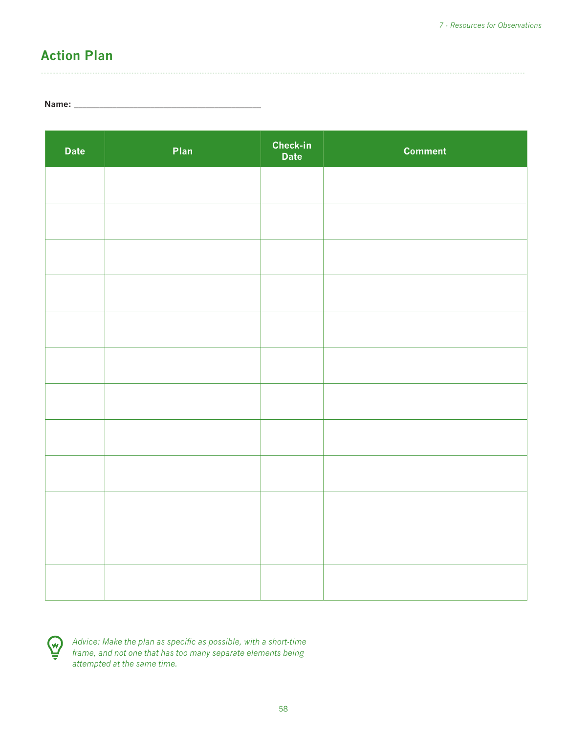## **Action Plan**

#### **Name: \_\_\_\_\_\_\_\_\_\_\_\_\_\_\_\_\_\_\_\_\_\_\_\_\_\_\_\_\_\_\_\_\_\_\_\_\_\_\_\_\_\_\_\_**

| <b>Date</b> | Plan | <b>Check-in</b><br>Date | <b>Comment</b> |
|-------------|------|-------------------------|----------------|
|             |      |                         |                |
|             |      |                         |                |
|             |      |                         |                |
|             |      |                         |                |
|             |      |                         |                |
|             |      |                         |                |
|             |      |                         |                |
|             |      |                         |                |
|             |      |                         |                |
|             |      |                         |                |
|             |      |                         |                |
|             |      |                         |                |
|             |      |                         |                |

----------------------------------------------------------------------------------------------------------------------------------------------------------------------------------------



*Advice: Make the plan as specific as possible, with a short-time frame, and not one that has too many separate elements being attempted at the same time.*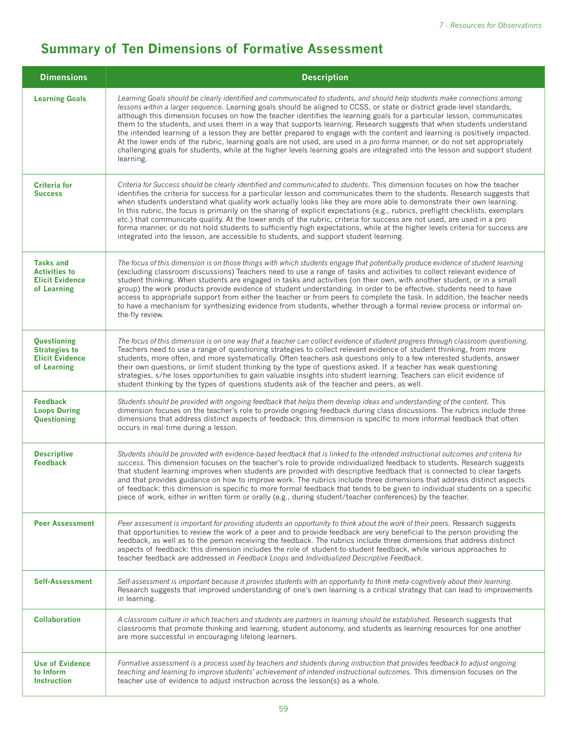## **Summary of Ten Dimensions of Formative Assessment**

| <b>Dimensions</b>                                                                 | <b>Description</b>                                                                                                                                                                                                                                                                                                                                                                                                                                                                                                                                                                                                                                                                                                                                                                                                                                                                                             |  |  |
|-----------------------------------------------------------------------------------|----------------------------------------------------------------------------------------------------------------------------------------------------------------------------------------------------------------------------------------------------------------------------------------------------------------------------------------------------------------------------------------------------------------------------------------------------------------------------------------------------------------------------------------------------------------------------------------------------------------------------------------------------------------------------------------------------------------------------------------------------------------------------------------------------------------------------------------------------------------------------------------------------------------|--|--|
| <b>Learning Goals</b>                                                             | Learning Goals should be clearly identified and communicated to students, and should help students make connections among<br>lessons within a larger sequence. Learning goals should be aligned to CCSS, or state or district grade-level standards,<br>although this dimension focuses on how the teacher identifies the learning goals for a particular lesson, communicates<br>them to the students, and uses them in a way that supports learning. Research suggests that when students understand<br>the intended learning of a lesson they are better prepared to engage with the content and learning is positively impacted.<br>At the lower ends of the rubric, learning goals are not used, are used in a pro forma manner, or do not set appropriately<br>challenging goals for students, while at the higher levels learning goals are integrated into the lesson and support student<br>learning. |  |  |
| <b>Criteria for</b><br><b>Success</b>                                             | Criteria for Success should be clearly identified and communicated to students. This dimension focuses on how the teacher<br>identifies the criteria for success for a particular lesson and communicates them to the students. Research suggests that<br>when students understand what quality work actually looks like they are more able to demonstrate their own learning.<br>In this rubric, the focus is primarily on the sharing of explicit expectations (e.g., rubrics, preflight checklists, exemplars<br>etc.) that communicate quality. At the lower ends of the rubric, criteria for success are not used, are used in a pro<br>forma manner, or do not hold students to sufficiently high expectations, while at the higher levels criteria for success are<br>integrated into the lesson, are accessible to students, and support student learning.                                             |  |  |
| <b>Tasks and</b><br><b>Activities to</b><br><b>Elicit Evidence</b><br>of Learning | The focus of this dimension is on those things with which students engage that potentially produce evidence of student learning<br>(excluding classroom discussions) Teachers need to use a range of tasks and activities to collect relevant evidence of<br>student thinking. When students are engaged in tasks and activities (on their own, with another student, or in a small<br>group) the work products provide evidence of student understanding. In order to be effective, students need to have<br>access to appropriate support from either the teacher or from peers to complete the task. In addition, the teacher needs<br>to have a mechanism for synthesizing evidence from students, whether through a formal review process or informal on-<br>the-fly review.                                                                                                                              |  |  |
| Questioning<br><b>Strategies to</b><br><b>Elicit Evidence</b><br>of Learning      | The focus of this dimension is on one way that a teacher can collect evidence of student progress through classroom questioning.<br>Teachers need to use a range of questioning strategies to collect relevant evidence of student thinking, from more<br>students, more often, and more systematically. Often teachers ask questions only to a few interested students, answer<br>their own questions, or limit student thinking by the type of questions asked. If a teacher has weak questioning<br>strategies, s/he loses opportunities to gain valuable insights into student learning. Teachers can elicit evidence of<br>student thinking by the types of questions students ask of the teacher and peers, as well.                                                                                                                                                                                     |  |  |
| <b>Feedback</b><br><b>Loops During</b><br>Questioning                             | Students should be provided with ongoing feedback that helps them develop ideas and understanding of the content. This<br>dimension focuses on the teacher's role to provide ongoing feedback during class discussions. The rubrics include three<br>dimensions that address distinct aspects of feedback: this dimension is specific to more informal feedback that often<br>occurs in real-time during a lesson.                                                                                                                                                                                                                                                                                                                                                                                                                                                                                             |  |  |
| <b>Descriptive</b><br><b>Feedback</b>                                             | Students should be provided with evidence-based feedback that is linked to the intended instructional outcomes and criteria for<br>success. This dimension focuses on the teacher's role to provide individualized feedback to students. Research suggests<br>that student learning improves when students are provided with descriptive feedback that is connected to clear targets<br>and that provides guidance on how to improve work. The rubrics include three dimensions that address distinct aspects<br>of feedback: this dimension is specific to more formal feedback that tends to be given to individual students on a specific<br>piece of work, either in written form or orally (e.g., during student/teacher conferences) by the teacher.                                                                                                                                                     |  |  |
| <b>Peer Assessment</b>                                                            | Peer assessment is important for providing students an opportunity to think about the work of their peers. Research suggests<br>that opportunities to review the work of a peer and to provide feedback are very beneficial to the person providing the<br>feedback, as well as to the person receiving the feedback. The rubrics include three dimensions that address distinct<br>aspects of feedback: this dimension includes the role of student-to-student feedback, while various approaches to<br>teacher feedback are addressed in Feedback Loops and Individualized Descriptive Feedback.                                                                                                                                                                                                                                                                                                             |  |  |
| Self-Assessment                                                                   | Self-assessment is important because it provides students with an opportunity to think meta-cognitively about their learning.<br>Research suggests that improved understanding of one's own learning is a critical strategy that can lead to improvements<br>in learning.                                                                                                                                                                                                                                                                                                                                                                                                                                                                                                                                                                                                                                      |  |  |
| <b>Collaboration</b>                                                              | A classroom culture in which teachers and students are partners in learning should be established. Research suggests that<br>classrooms that promote thinking and learning, student autonomy, and students as learning resources for one another<br>are more successful in encouraging lifelong learners.                                                                                                                                                                                                                                                                                                                                                                                                                                                                                                                                                                                                      |  |  |
| <b>Use of Evidence</b><br>to Inform<br><b>Instruction</b>                         | Formative assessment is a process used by teachers and students during instruction that provides feedback to adjust ongoing<br>teaching and learning to improve students' achievement of intended instructional outcomes. This dimension focuses on the<br>teacher use of evidence to adjust instruction across the lesson(s) as a whole.                                                                                                                                                                                                                                                                                                                                                                                                                                                                                                                                                                      |  |  |